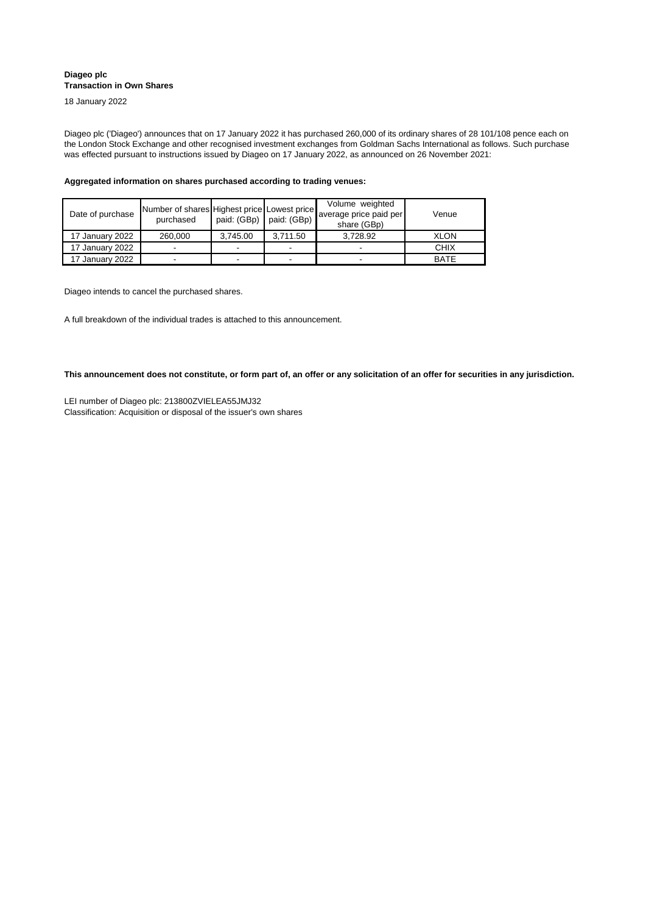| Date of purchase | Number of shares Highest price Lowest price<br>purchased | paid: $(GBp)$ paid: $(GBp)$ |                          | Volume weighted<br>average price paid per<br>share (GBp) | Venue       |
|------------------|----------------------------------------------------------|-----------------------------|--------------------------|----------------------------------------------------------|-------------|
| 17 January 2022  | 260,000                                                  | 3,745.00                    | 3,711.50                 | 3,728.92                                                 | <b>XLON</b> |
| 17 January 2022  |                                                          |                             | -                        |                                                          | <b>CHIX</b> |
| 17 January 2022  |                                                          |                             | $\overline{\phantom{0}}$ |                                                          | <b>BATE</b> |

Diageo plc ('Diageo') announces that on 17 January 2022 it has purchased 260,000 of its ordinary shares of 28 101/108 pence each on the London Stock Exchange and other recognised investment exchanges from Goldman Sachs International as follows. Such purchase was effected pursuant to instructions issued by Diageo on 17 January 2022, as announced on 26 November 2021:

Classification: Acquisition or disposal of the issuer's own shares LEI number of Diageo plc: 213800ZVIELEA55JMJ32

**Aggregated information on shares purchased according to trading venues:**

Diageo intends to cancel the purchased shares.

A full breakdown of the individual trades is attached to this announcement.

**This announcement does not constitute, or form part of, an offer or any solicitation of an offer for securities in any jurisdiction.**

## **Diageo plc Transaction in Own Shares**

18 January 2022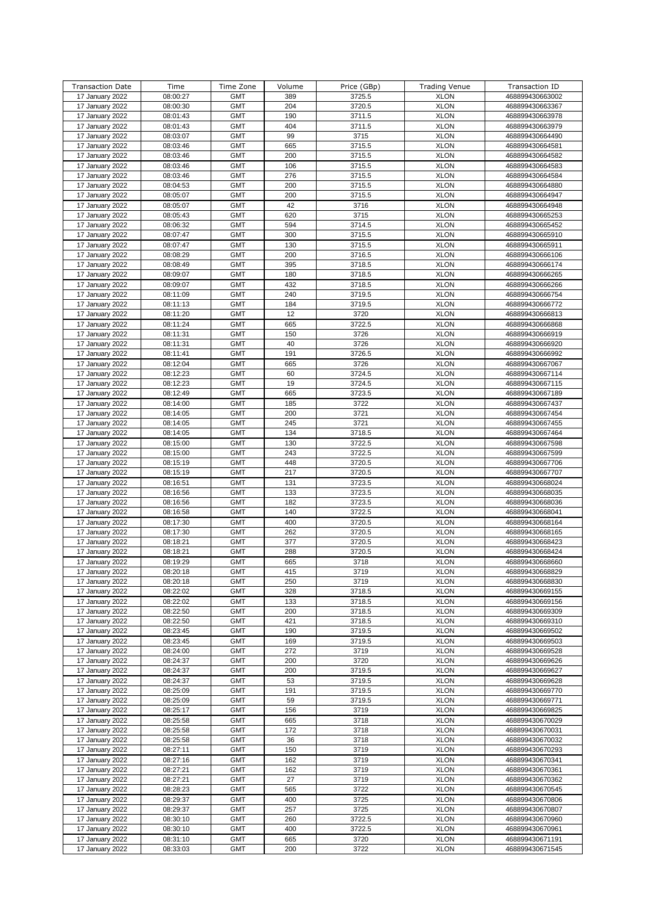| <b>Transaction Date</b>            | Time                 | Time Zone                | Volume     | Price (GBp)    | <b>Trading Venue</b>       | Transaction ID                     |
|------------------------------------|----------------------|--------------------------|------------|----------------|----------------------------|------------------------------------|
| 17 January 2022                    | 08:00:27             | <b>GMT</b>               | 389        | 3725.5         | <b>XLON</b>                | 468899430663002                    |
| 17 January 2022                    | 08:00:30             | <b>GMT</b>               | 204        | 3720.5         | <b>XLON</b>                | 468899430663367                    |
| 17 January 2022                    | 08:01:43             | <b>GMT</b>               | 190        | 3711.5         | <b>XLON</b>                | 468899430663978                    |
| 17 January 2022                    | 08:01:43             | <b>GMT</b>               | 404        | 3711.5         | <b>XLON</b>                | 468899430663979                    |
| 17 January 2022                    | 08:03:07             | <b>GMT</b>               | 99         | 3715           | <b>XLON</b>                | 468899430664490                    |
| 17 January 2022                    | 08:03:46             | <b>GMT</b>               | 665        | 3715.5         | <b>XLON</b>                | 468899430664581                    |
| 17 January 2022                    | 08:03:46             | <b>GMT</b>               | 200        | 3715.5         | <b>XLON</b>                | 468899430664582                    |
| 17 January 2022                    | 08:03:46             | <b>GMT</b>               | 106        | 3715.5         | <b>XLON</b>                | 468899430664583                    |
| 17 January 2022                    | 08:03:46             | <b>GMT</b>               | 276        | 3715.5         | <b>XLON</b>                | 468899430664584                    |
| 17 January 2022                    | 08:04:53             | <b>GMT</b>               | 200        | 3715.5         | <b>XLON</b>                | 468899430664880                    |
| 17 January 2022                    | 08:05:07             | <b>GMT</b>               | 200        | 3715.5         | <b>XLON</b>                | 468899430664947                    |
| 17 January 2022                    | 08:05:07             | <b>GMT</b>               | 42         | 3716           | <b>XLON</b>                | 468899430664948                    |
| 17 January 2022                    | 08:05:43             | <b>GMT</b>               | 620        | 3715           | <b>XLON</b>                | 468899430665253                    |
| 17 January 2022                    | 08:06:32             | <b>GMT</b>               | 594        | 3714.5         | <b>XLON</b>                | 468899430665452                    |
| 17 January 2022                    | 08:07:47             | <b>GMT</b>               | 300        | 3715.5         | <b>XLON</b>                | 468899430665910                    |
| 17 January 2022                    | 08:07:47             | <b>GMT</b>               | 130        | 3715.5         | <b>XLON</b>                | 468899430665911                    |
| 17 January 2022                    | 08:08:29             | <b>GMT</b>               | 200        | 3716.5         | <b>XLON</b>                | 468899430666106                    |
| 17 January 2022                    | 08:08:49             | <b>GMT</b>               | 395        | 3718.5         | <b>XLON</b>                | 468899430666174                    |
| 17 January 2022                    | 08:09:07             | <b>GMT</b>               | 180        | 3718.5         | <b>XLON</b>                | 468899430666265                    |
| 17 January 2022                    | 08:09:07             | <b>GMT</b>               | 432        | 3718.5         | <b>XLON</b>                | 468899430666266                    |
| 17 January 2022                    | 08:11:09             | <b>GMT</b>               | 240        | 3719.5         | <b>XLON</b>                | 468899430666754                    |
| 17 January 2022                    | 08:11:13             | <b>GMT</b><br><b>GMT</b> | 184<br>12  | 3719.5         | <b>XLON</b>                | 468899430666772                    |
| 17 January 2022                    | 08:11:20             | <b>GMT</b>               | 665        | 3720           | <b>XLON</b><br><b>XLON</b> | 468899430666813                    |
| 17 January 2022                    | 08:11:24             |                          |            | 3722.5         |                            | 468899430666868                    |
| 17 January 2022                    | 08:11:31             | <b>GMT</b><br><b>GMT</b> | 150        | 3726<br>3726   | <b>XLON</b><br><b>XLON</b> | 468899430666919                    |
| 17 January 2022                    | 08:11:31             | <b>GMT</b>               | 40<br>191  |                | <b>XLON</b>                | 468899430666920                    |
| 17 January 2022<br>17 January 2022 | 08:11:41<br>08:12:04 | <b>GMT</b>               | 665        | 3726.5<br>3726 | <b>XLON</b>                | 468899430666992<br>468899430667067 |
| 17 January 2022                    | 08:12:23             | <b>GMT</b>               | 60         | 3724.5         | <b>XLON</b>                | 468899430667114                    |
| 17 January 2022                    | 08:12:23             | <b>GMT</b>               | 19         | 3724.5         | <b>XLON</b>                | 468899430667115                    |
| 17 January 2022                    | 08:12:49             | <b>GMT</b>               | 665        | 3723.5         | <b>XLON</b>                | 468899430667189                    |
| 17 January 2022                    | 08:14:00             | <b>GMT</b>               | 185        | 3722           | <b>XLON</b>                | 468899430667437                    |
| 17 January 2022                    | 08:14:05             | <b>GMT</b>               | 200        | 3721           | <b>XLON</b>                | 468899430667454                    |
| 17 January 2022                    | 08:14:05             | <b>GMT</b>               | 245        | 3721           | <b>XLON</b>                | 468899430667455                    |
| 17 January 2022                    | 08:14:05             | <b>GMT</b>               | 134        | 3718.5         | <b>XLON</b>                | 468899430667464                    |
| 17 January 2022                    | 08:15:00             | <b>GMT</b>               | 130        | 3722.5         | <b>XLON</b>                | 468899430667598                    |
| 17 January 2022                    | 08:15:00             | <b>GMT</b>               | 243        | 3722.5         | <b>XLON</b>                | 468899430667599                    |
| 17 January 2022                    | 08:15:19             | <b>GMT</b>               | 448        | 3720.5         | <b>XLON</b>                | 468899430667706                    |
| 17 January 2022                    | 08:15:19             | <b>GMT</b>               | 217        | 3720.5         | <b>XLON</b>                | 468899430667707                    |
| 17 January 2022                    | 08:16:51             | <b>GMT</b>               | 131        | 3723.5         | <b>XLON</b>                | 468899430668024                    |
| 17 January 2022                    | 08:16:56             | <b>GMT</b>               | 133        | 3723.5         | <b>XLON</b>                | 468899430668035                    |
| 17 January 2022                    | 08:16:56             | <b>GMT</b>               | 182        | 3723.5         | <b>XLON</b>                | 468899430668036                    |
| 17 January 2022                    | 08:16:58             | <b>GMT</b>               | 140        | 3722.5         | <b>XLON</b>                | 468899430668041                    |
| 17 January 2022                    | 08:17:30             | <b>GMT</b>               | 400        | 3720.5         | <b>XLON</b>                | 468899430668164                    |
| 17 January 2022                    | 08:17:30             | <b>GMT</b>               | 262        | 3720.5         | <b>XLON</b>                | 468899430668165                    |
| 17 January 2022                    | 08:18:21             | <b>GMT</b>               | 377        | 3720.5         | <b>XLON</b>                | 468899430668423                    |
| 17 January 2022                    | 08:18:21             | <b>GMT</b>               | 288        | 3720.5         | <b>XLON</b>                | 468899430668424                    |
| 17 January 2022                    | 08:19:29             | <b>GMT</b>               | 665        | 3718           | <b>XLON</b>                | 468899430668660                    |
| 17 January 2022                    | 08:20:18             | <b>GMT</b>               | 415        | 3719           | <b>XLON</b>                | 468899430668829                    |
| 17 January 2022                    | 08:20:18             | <b>GMT</b>               | 250        | 3719           | <b>XLON</b>                | 468899430668830                    |
| 17 January 2022                    | 08:22:02             | <b>GMT</b>               | 328        | 3718.5         | <b>XLON</b>                | 468899430669155                    |
| 17 January 2022                    | 08:22:02             | <b>GMT</b>               | 133        | 3718.5         | <b>XLON</b>                | 468899430669156                    |
| 17 January 2022                    | 08:22:50             | <b>GMT</b>               | 200        | 3718.5         | <b>XLON</b>                | 468899430669309                    |
| 17 January 2022                    | 08:22:50             | <b>GMT</b>               | 421        | 3718.5         | <b>XLON</b>                | 468899430669310                    |
| 17 January 2022                    | 08:23:45             | <b>GMT</b>               | 190        | 3719.5         | <b>XLON</b>                | 468899430669502                    |
| 17 January 2022                    | 08:23:45             | <b>GMT</b>               | 169        | 3719.5         | <b>XLON</b>                | 468899430669503                    |
| 17 January 2022                    | 08:24:00             | <b>GMT</b>               | 272        | 3719           | <b>XLON</b>                | 468899430669528                    |
| 17 January 2022                    | 08:24:37             | <b>GMT</b>               | 200        | 3720           | <b>XLON</b>                | 468899430669626                    |
| 17 January 2022                    | 08:24:37             | <b>GMT</b>               | 200        | 3719.5         | <b>XLON</b>                | 468899430669627                    |
| 17 January 2022                    | 08:24:37             | <b>GMT</b>               | 53         | 3719.5         | <b>XLON</b>                | 468899430669628                    |
| 17 January 2022                    | 08:25:09             | <b>GMT</b>               | 191        | 3719.5         | <b>XLON</b>                | 468899430669770                    |
| 17 January 2022                    | 08:25:09             | <b>GMT</b>               | 59         | 3719.5         | <b>XLON</b><br><b>XLON</b> | 468899430669771                    |
| 17 January 2022                    | 08:25:17             | <b>GMT</b><br><b>GMT</b> | 156        | 3719           |                            | 468899430669825                    |
| 17 January 2022<br>17 January 2022 | 08:25:58<br>08:25:58 | <b>GMT</b>               | 665<br>172 | 3718<br>3718   | <b>XLON</b><br><b>XLON</b> | 468899430670029<br>468899430670031 |
| 17 January 2022                    | 08:25:58             | <b>GMT</b>               | 36         | 3718           | <b>XLON</b>                | 468899430670032                    |
| 17 January 2022                    | 08:27:11             | <b>GMT</b>               | 150        | 3719           | <b>XLON</b>                | 468899430670293                    |
| 17 January 2022                    | 08:27:16             | <b>GMT</b>               | 162        | 3719           | <b>XLON</b>                | 468899430670341                    |
| 17 January 2022                    | 08:27:21             | <b>GMT</b>               | 162        | 3719           | <b>XLON</b>                | 468899430670361                    |
| 17 January 2022                    | 08:27:21             | <b>GMT</b>               | 27         | 3719           | <b>XLON</b>                | 468899430670362                    |
| 17 January 2022                    | 08:28:23             | <b>GMT</b>               | 565        | 3722           | <b>XLON</b>                | 468899430670545                    |
| 17 January 2022                    | 08:29:37             | <b>GMT</b>               | 400        | 3725           | <b>XLON</b>                | 468899430670806                    |
| 17 January 2022                    | 08:29:37             | <b>GMT</b>               | 257        | 3725           | <b>XLON</b>                | 468899430670807                    |
| 17 January 2022                    | 08:30:10             | <b>GMT</b>               | 260        | 3722.5         | <b>XLON</b>                | 468899430670960                    |
| 17 January 2022                    | 08:30:10             | <b>GMT</b>               | 400        | 3722.5         | <b>XLON</b>                | 468899430670961                    |
| 17 January 2022                    | 08:31:10             | <b>GMT</b>               | 665        | 3720           | <b>XLON</b>                | 468899430671191                    |
| 17 January 2022                    | 08:33:03             | <b>GMT</b>               | 200        | 3722           | <b>XLON</b>                | 468899430671545                    |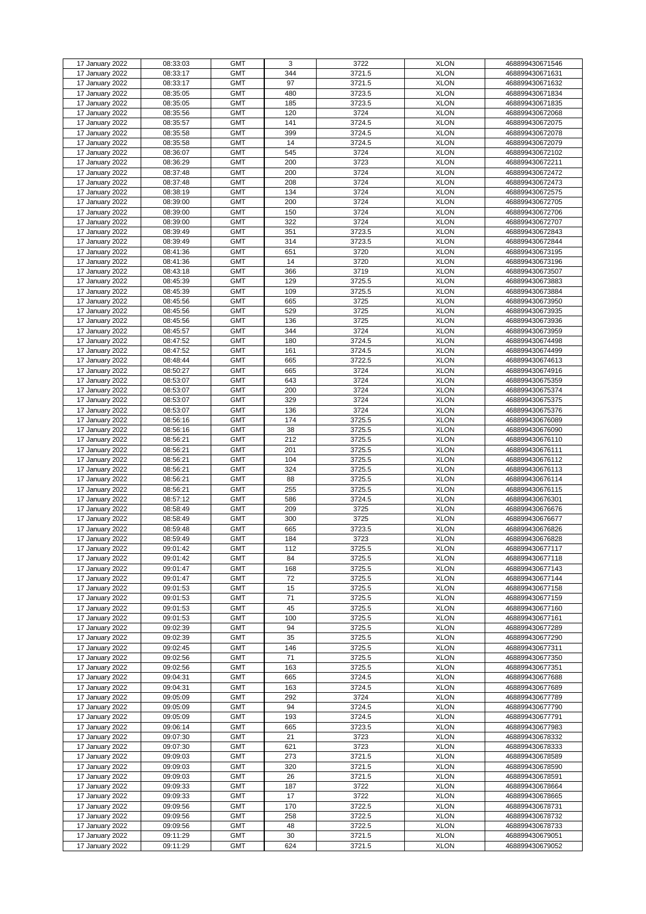| 17 January 2022 | 08:33:03 | <b>GMT</b> | 3   | 3722   | <b>XLON</b> | 468899430671546 |
|-----------------|----------|------------|-----|--------|-------------|-----------------|
| 17 January 2022 | 08:33:17 | <b>GMT</b> | 344 | 3721.5 | <b>XLON</b> | 468899430671631 |
|                 |          |            |     |        |             |                 |
| 17 January 2022 | 08:33:17 | <b>GMT</b> | 97  | 3721.5 | <b>XLON</b> | 468899430671632 |
| 17 January 2022 | 08:35:05 | <b>GMT</b> | 480 | 3723.5 | <b>XLON</b> | 468899430671834 |
| 17 January 2022 | 08:35:05 | <b>GMT</b> | 185 | 3723.5 | <b>XLON</b> | 468899430671835 |
|                 |          |            |     |        |             |                 |
| 17 January 2022 | 08:35:56 | <b>GMT</b> | 120 | 3724   | <b>XLON</b> | 468899430672068 |
| 17 January 2022 | 08:35:57 | <b>GMT</b> | 141 | 3724.5 | <b>XLON</b> | 468899430672075 |
| 17 January 2022 | 08:35:58 | <b>GMT</b> | 399 | 3724.5 | <b>XLON</b> | 468899430672078 |
|                 |          |            |     |        |             |                 |
| 17 January 2022 | 08:35:58 | <b>GMT</b> | 14  | 3724.5 | <b>XLON</b> | 468899430672079 |
| 17 January 2022 | 08:36:07 | <b>GMT</b> | 545 | 3724   | <b>XLON</b> | 468899430672102 |
|                 |          |            |     |        |             |                 |
| 17 January 2022 | 08:36:29 | <b>GMT</b> | 200 | 3723   | <b>XLON</b> | 468899430672211 |
| 17 January 2022 | 08:37:48 | <b>GMT</b> | 200 | 3724   | <b>XLON</b> | 468899430672472 |
| 17 January 2022 | 08:37:48 | <b>GMT</b> | 208 | 3724   | <b>XLON</b> | 468899430672473 |
|                 |          |            |     |        |             |                 |
| 17 January 2022 | 08:38:19 | <b>GMT</b> | 134 | 3724   | <b>XLON</b> | 468899430672575 |
| 17 January 2022 | 08:39:00 | <b>GMT</b> | 200 | 3724   | <b>XLON</b> | 468899430672705 |
| 17 January 2022 | 08:39:00 | <b>GMT</b> | 150 | 3724   | <b>XLON</b> | 468899430672706 |
|                 |          |            |     |        |             |                 |
| 17 January 2022 | 08:39:00 | <b>GMT</b> | 322 | 3724   | <b>XLON</b> | 468899430672707 |
| 17 January 2022 | 08:39:49 | <b>GMT</b> | 351 | 3723.5 | <b>XLON</b> | 468899430672843 |
|                 |          |            |     |        |             |                 |
| 17 January 2022 | 08:39:49 | <b>GMT</b> | 314 | 3723.5 | <b>XLON</b> | 468899430672844 |
| 17 January 2022 | 08:41:36 | <b>GMT</b> | 651 | 3720   | <b>XLON</b> | 468899430673195 |
| 17 January 2022 | 08:41:36 | <b>GMT</b> | 14  | 3720   | <b>XLON</b> | 468899430673196 |
|                 |          |            |     |        |             |                 |
| 17 January 2022 | 08:43:18 | <b>GMT</b> | 366 | 3719   | <b>XLON</b> | 468899430673507 |
| 17 January 2022 | 08:45:39 | <b>GMT</b> | 129 | 3725.5 | <b>XLON</b> | 468899430673883 |
| 17 January 2022 | 08:45:39 | <b>GMT</b> | 109 | 3725.5 | <b>XLON</b> | 468899430673884 |
|                 |          |            |     |        |             |                 |
| 17 January 2022 | 08:45:56 | <b>GMT</b> | 665 | 3725   | <b>XLON</b> | 468899430673950 |
| 17 January 2022 | 08:45:56 | <b>GMT</b> | 529 | 3725   | <b>XLON</b> | 468899430673935 |
|                 |          |            |     |        |             |                 |
| 17 January 2022 | 08:45:56 | <b>GMT</b> | 136 | 3725   | <b>XLON</b> | 468899430673936 |
| 17 January 2022 | 08:45:57 | <b>GMT</b> | 344 | 3724   | <b>XLON</b> | 468899430673959 |
| 17 January 2022 | 08:47:52 | <b>GMT</b> | 180 | 3724.5 | <b>XLON</b> | 468899430674498 |
|                 |          |            |     |        |             |                 |
| 17 January 2022 | 08:47:52 | <b>GMT</b> | 161 | 3724.5 | <b>XLON</b> | 468899430674499 |
| 17 January 2022 | 08:48:44 | <b>GMT</b> | 665 | 3722.5 | <b>XLON</b> | 468899430674613 |
|                 |          | <b>GMT</b> |     |        | <b>XLON</b> | 468899430674916 |
| 17 January 2022 | 08:50:27 |            | 665 | 3724   |             |                 |
| 17 January 2022 | 08:53:07 | <b>GMT</b> | 643 | 3724   | <b>XLON</b> | 468899430675359 |
| 17 January 2022 | 08:53:07 | <b>GMT</b> | 200 | 3724   | <b>XLON</b> | 468899430675374 |
|                 |          |            |     |        |             |                 |
| 17 January 2022 | 08:53:07 | <b>GMT</b> | 329 | 3724   | <b>XLON</b> | 468899430675375 |
| 17 January 2022 | 08:53:07 | <b>GMT</b> | 136 | 3724   | <b>XLON</b> | 468899430675376 |
|                 | 08:56:16 | <b>GMT</b> |     |        |             |                 |
| 17 January 2022 |          |            | 174 | 3725.5 | <b>XLON</b> | 468899430676089 |
| 17 January 2022 | 08:56:16 | <b>GMT</b> | 38  | 3725.5 | <b>XLON</b> | 468899430676090 |
| 17 January 2022 | 08:56:21 | <b>GMT</b> | 212 | 3725.5 | <b>XLON</b> | 468899430676110 |
|                 |          |            |     |        |             |                 |
| 17 January 2022 | 08:56:21 | <b>GMT</b> | 201 | 3725.5 | <b>XLON</b> | 468899430676111 |
| 17 January 2022 | 08:56:21 | <b>GMT</b> | 104 | 3725.5 | <b>XLON</b> | 468899430676112 |
| 17 January 2022 | 08:56:21 | <b>GMT</b> | 324 | 3725.5 | <b>XLON</b> | 468899430676113 |
|                 |          |            |     |        |             |                 |
| 17 January 2022 | 08:56:21 | <b>GMT</b> | 88  | 3725.5 | <b>XLON</b> | 468899430676114 |
| 17 January 2022 | 08:56:21 | <b>GMT</b> | 255 | 3725.5 | <b>XLON</b> | 468899430676115 |
|                 |          |            |     |        |             |                 |
| 17 January 2022 | 08:57:12 | <b>GMT</b> | 586 | 3724.5 | <b>XLON</b> | 468899430676301 |
| 17 January 2022 | 08:58:49 | <b>GMT</b> | 209 | 3725   | <b>XLON</b> | 468899430676676 |
| 17 January 2022 | 08:58:49 | <b>GMT</b> | 300 | 3725   | <b>XLON</b> | 468899430676677 |
|                 |          |            |     |        |             |                 |
| 17 January 2022 | 08:59:48 | <b>GMT</b> | 665 | 3723.5 | <b>XLON</b> | 468899430676826 |
| 17 January 2022 | 08:59:49 | <b>GMT</b> | 184 | 3723   | <b>XLON</b> | 468899430676828 |
| 17 January 2022 | 09:01:42 | <b>GMT</b> | 112 | 3725.5 | <b>XLON</b> |                 |
|                 |          |            |     |        |             | 468899430677117 |
| 17 January 2022 | 09:01:42 | <b>GMT</b> | 84  | 3725.5 | <b>XLON</b> | 468899430677118 |
| 17 January 2022 | 09:01:47 | <b>GMT</b> | 168 | 3725.5 | <b>XLON</b> | 468899430677143 |
|                 |          |            |     |        |             |                 |
| 17 January 2022 | 09:01:47 | <b>GMT</b> | 72  | 3725.5 | <b>XLON</b> | 468899430677144 |
| 17 January 2022 | 09:01:53 | <b>GMT</b> | 15  | 3725.5 | <b>XLON</b> | 468899430677158 |
| 17 January 2022 | 09:01:53 | <b>GMT</b> | 71  | 3725.5 | <b>XLON</b> | 468899430677159 |
|                 |          |            |     |        |             |                 |
| 17 January 2022 | 09:01:53 | <b>GMT</b> | 45  | 3725.5 | <b>XLON</b> | 468899430677160 |
| 17 January 2022 | 09:01:53 | <b>GMT</b> | 100 | 3725.5 | <b>XLON</b> | 468899430677161 |
| 17 January 2022 | 09:02:39 | <b>GMT</b> | 94  | 3725.5 | <b>XLON</b> | 468899430677289 |
|                 |          |            |     |        |             |                 |
| 17 January 2022 | 09:02:39 | <b>GMT</b> | 35  | 3725.5 | <b>XLON</b> | 468899430677290 |
| 17 January 2022 | 09:02:45 | <b>GMT</b> | 146 | 3725.5 | <b>XLON</b> | 468899430677311 |
| 17 January 2022 | 09:02:56 | <b>GMT</b> | 71  | 3725.5 | <b>XLON</b> | 468899430677350 |
|                 |          |            |     |        |             |                 |
| 17 January 2022 | 09:02:56 | <b>GMT</b> | 163 | 3725.5 | <b>XLON</b> | 468899430677351 |
| 17 January 2022 | 09:04:31 | <b>GMT</b> | 665 | 3724.5 | <b>XLON</b> | 468899430677688 |
|                 | 09:04:31 | <b>GMT</b> | 163 | 3724.5 | <b>XLON</b> |                 |
| 17 January 2022 |          |            |     |        |             | 468899430677689 |
| 17 January 2022 | 09:05:09 | <b>GMT</b> | 292 | 3724   | <b>XLON</b> | 468899430677789 |
| 17 January 2022 | 09:05:09 | <b>GMT</b> | 94  | 3724.5 | <b>XLON</b> | 468899430677790 |
|                 |          |            |     |        |             |                 |
| 17 January 2022 | 09:05:09 | <b>GMT</b> | 193 | 3724.5 | <b>XLON</b> | 468899430677791 |
| 17 January 2022 | 09:06:14 | <b>GMT</b> | 665 | 3723.5 | <b>XLON</b> | 468899430677983 |
| 17 January 2022 | 09:07:30 | <b>GMT</b> | 21  | 3723   | <b>XLON</b> | 468899430678332 |
|                 |          |            |     |        |             |                 |
| 17 January 2022 | 09:07:30 | <b>GMT</b> | 621 | 3723   | <b>XLON</b> | 468899430678333 |
| 17 January 2022 | 09:09:03 | <b>GMT</b> | 273 | 3721.5 | <b>XLON</b> | 468899430678589 |
|                 |          |            |     |        |             |                 |
| 17 January 2022 | 09:09:03 | <b>GMT</b> | 320 | 3721.5 | <b>XLON</b> | 468899430678590 |
| 17 January 2022 | 09:09:03 | <b>GMT</b> | 26  | 3721.5 | <b>XLON</b> | 468899430678591 |
| 17 January 2022 | 09:09:33 | <b>GMT</b> | 187 | 3722   | <b>XLON</b> | 468899430678664 |
|                 |          |            |     |        |             |                 |
| 17 January 2022 | 09:09:33 | <b>GMT</b> | 17  | 3722   | <b>XLON</b> | 468899430678665 |
| 17 January 2022 | 09:09:56 | <b>GMT</b> | 170 | 3722.5 | <b>XLON</b> | 468899430678731 |
| 17 January 2022 | 09:09:56 | <b>GMT</b> | 258 | 3722.5 | <b>XLON</b> | 468899430678732 |
|                 |          |            |     |        |             |                 |
| 17 January 2022 | 09:09:56 | <b>GMT</b> | 48  | 3722.5 | <b>XLON</b> | 468899430678733 |
| 17 January 2022 | 09:11:29 | <b>GMT</b> | 30  | 3721.5 | <b>XLON</b> | 468899430679051 |
|                 |          |            |     |        |             |                 |
| 17 January 2022 | 09:11:29 | <b>GMT</b> | 624 | 3721.5 | <b>XLON</b> | 468899430679052 |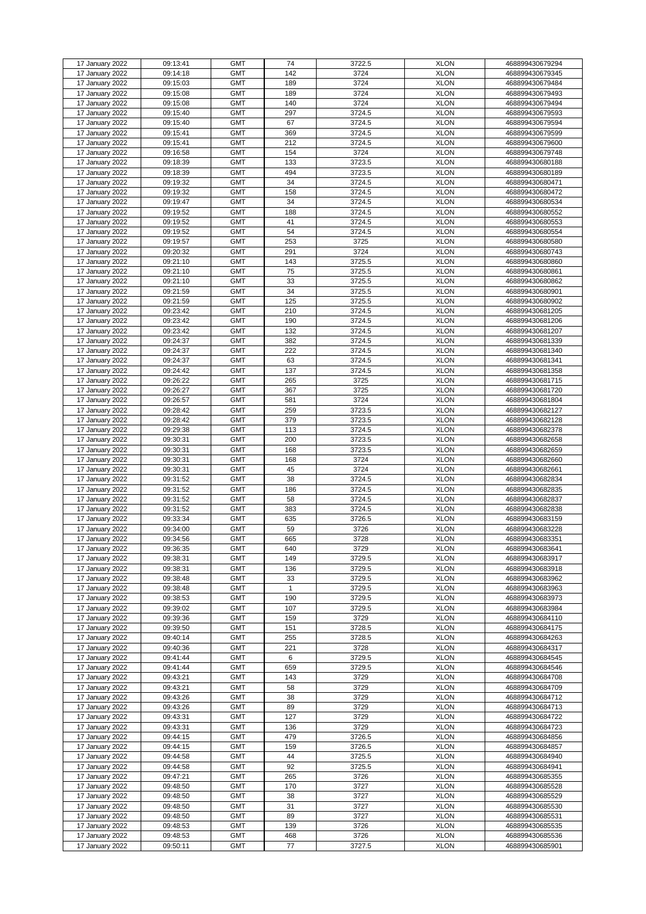|                 |          | <b>GMT</b> | 74           |        | <b>XLON</b> |                 |
|-----------------|----------|------------|--------------|--------|-------------|-----------------|
| 17 January 2022 | 09:13:41 |            |              | 3722.5 |             | 468899430679294 |
| 17 January 2022 | 09:14:18 | <b>GMT</b> | 142          | 3724   | <b>XLON</b> | 468899430679345 |
| 17 January 2022 | 09:15:03 | <b>GMT</b> | 189          | 3724   | <b>XLON</b> | 468899430679484 |
| 17 January 2022 | 09:15:08 | <b>GMT</b> | 189          | 3724   | <b>XLON</b> | 468899430679493 |
| 17 January 2022 | 09:15:08 | <b>GMT</b> | 140          | 3724   | <b>XLON</b> | 468899430679494 |
|                 |          |            |              |        |             |                 |
| 17 January 2022 | 09:15:40 | <b>GMT</b> | 297          | 3724.5 | <b>XLON</b> | 468899430679593 |
| 17 January 2022 | 09:15:40 | <b>GMT</b> | 67           | 3724.5 | <b>XLON</b> | 468899430679594 |
| 17 January 2022 | 09:15:41 | <b>GMT</b> | 369          | 3724.5 | <b>XLON</b> | 468899430679599 |
| 17 January 2022 | 09:15:41 | <b>GMT</b> | 212          | 3724.5 | <b>XLON</b> | 468899430679600 |
|                 | 09:16:58 |            |              |        |             |                 |
| 17 January 2022 |          | <b>GMT</b> | 154          | 3724   | <b>XLON</b> | 468899430679748 |
| 17 January 2022 | 09:18:39 | <b>GMT</b> | 133          | 3723.5 | <b>XLON</b> | 468899430680188 |
| 17 January 2022 | 09:18:39 | <b>GMT</b> | 494          | 3723.5 | <b>XLON</b> | 468899430680189 |
| 17 January 2022 | 09:19:32 | <b>GMT</b> | 34           | 3724.5 | <b>XLON</b> | 468899430680471 |
| 17 January 2022 | 09:19:32 | <b>GMT</b> | 158          | 3724.5 | <b>XLON</b> | 468899430680472 |
|                 |          |            |              |        |             |                 |
| 17 January 2022 | 09:19:47 | <b>GMT</b> | 34           | 3724.5 | <b>XLON</b> | 468899430680534 |
| 17 January 2022 | 09:19:52 | <b>GMT</b> | 188          | 3724.5 | <b>XLON</b> | 468899430680552 |
| 17 January 2022 | 09:19:52 | <b>GMT</b> | 41           | 3724.5 | <b>XLON</b> | 468899430680553 |
| 17 January 2022 | 09:19:52 | <b>GMT</b> | 54           | 3724.5 | <b>XLON</b> | 468899430680554 |
| 17 January 2022 | 09:19:57 | <b>GMT</b> | 253          | 3725   | <b>XLON</b> | 468899430680580 |
|                 |          |            |              |        |             |                 |
| 17 January 2022 | 09:20:32 | <b>GMT</b> | 291          | 3724   | <b>XLON</b> | 468899430680743 |
| 17 January 2022 | 09:21:10 | <b>GMT</b> | 143          | 3725.5 | <b>XLON</b> | 468899430680860 |
| 17 January 2022 | 09:21:10 | <b>GMT</b> | 75           | 3725.5 | <b>XLON</b> | 468899430680861 |
| 17 January 2022 | 09:21:10 | <b>GMT</b> | 33           | 3725.5 | <b>XLON</b> | 468899430680862 |
| 17 January 2022 | 09:21:59 | <b>GMT</b> | 34           | 3725.5 | <b>XLON</b> | 468899430680901 |
|                 |          |            |              |        |             |                 |
| 17 January 2022 | 09:21:59 | <b>GMT</b> | 125          | 3725.5 | <b>XLON</b> | 468899430680902 |
| 17 January 2022 | 09:23:42 | <b>GMT</b> | 210          | 3724.5 | <b>XLON</b> | 468899430681205 |
| 17 January 2022 | 09:23:42 | <b>GMT</b> | 190          | 3724.5 | <b>XLON</b> | 468899430681206 |
| 17 January 2022 | 09:23:42 | <b>GMT</b> | 132          | 3724.5 | <b>XLON</b> | 468899430681207 |
|                 |          |            |              |        |             |                 |
| 17 January 2022 | 09:24:37 | <b>GMT</b> | 382          | 3724.5 | <b>XLON</b> | 468899430681339 |
| 17 January 2022 | 09:24:37 | <b>GMT</b> | 222          | 3724.5 | <b>XLON</b> | 468899430681340 |
| 17 January 2022 | 09:24:37 | <b>GMT</b> | 63           | 3724.5 | <b>XLON</b> | 468899430681341 |
| 17 January 2022 | 09:24:42 | <b>GMT</b> | 137          | 3724.5 | <b>XLON</b> | 468899430681358 |
| 17 January 2022 | 09:26:22 | <b>GMT</b> | 265          | 3725   | <b>XLON</b> | 468899430681715 |
|                 |          |            |              |        |             |                 |
| 17 January 2022 | 09:26:27 | <b>GMT</b> | 367          | 3725   | <b>XLON</b> | 468899430681720 |
| 17 January 2022 | 09:26:57 | <b>GMT</b> | 581          | 3724   | <b>XLON</b> | 468899430681804 |
| 17 January 2022 | 09:28:42 | <b>GMT</b> | 259          | 3723.5 | <b>XLON</b> | 468899430682127 |
| 17 January 2022 | 09:28:42 | <b>GMT</b> | 379          | 3723.5 | <b>XLON</b> | 468899430682128 |
| 17 January 2022 | 09:29:38 | <b>GMT</b> | 113          | 3724.5 | <b>XLON</b> | 468899430682378 |
|                 |          |            |              |        |             |                 |
| 17 January 2022 | 09:30:31 | <b>GMT</b> | 200          | 3723.5 | <b>XLON</b> | 468899430682658 |
| 17 January 2022 | 09:30:31 | <b>GMT</b> | 168          | 3723.5 | <b>XLON</b> | 468899430682659 |
| 17 January 2022 | 09:30:31 | <b>GMT</b> | 168          | 3724   | <b>XLON</b> | 468899430682660 |
| 17 January 2022 | 09:30:31 | <b>GMT</b> | 45           | 3724   | <b>XLON</b> | 468899430682661 |
|                 |          | <b>GMT</b> | 38           |        | <b>XLON</b> | 468899430682834 |
| 17 January 2022 | 09:31:52 |            |              | 3724.5 |             |                 |
| 17 January 2022 | 09:31:52 | <b>GMT</b> | 186          | 3724.5 | <b>XLON</b> | 468899430682835 |
| 17 January 2022 | 09:31:52 | <b>GMT</b> | 58           | 3724.5 | <b>XLON</b> | 468899430682837 |
| 17 January 2022 | 09:31:52 | <b>GMT</b> | 383          | 3724.5 | <b>XLON</b> | 468899430682838 |
| 17 January 2022 | 09:33:34 | <b>GMT</b> | 635          | 3726.5 | <b>XLON</b> | 468899430683159 |
|                 |          |            |              |        |             |                 |
| 17 January 2022 | 09:34:00 | <b>GMT</b> | 59           | 3726   | <b>XLON</b> | 468899430683228 |
| 17 January 2022 | 09:34:56 | <b>GMT</b> | 665          | 3728   | <b>XLON</b> | 468899430683351 |
| 17 January 2022 | 09:36:35 | <b>GMT</b> | 640          | 3729   | <b>XLON</b> | 468899430683641 |
| 17 January 2022 | 09:38:31 | <b>GMT</b> | 149          | 3729.5 | <b>XLON</b> | 468899430683917 |
| 17 January 2022 | 09:38:31 | <b>GMT</b> | 136          | 3729.5 | <b>XLON</b> | 468899430683918 |
|                 |          |            |              |        |             |                 |
| 17 January 2022 | 09:38:48 | <b>GMT</b> | 33           | 3729.5 | <b>XLON</b> | 468899430683962 |
| 17 January 2022 | 09:38:48 | <b>GMT</b> | $\mathbf{1}$ | 3729.5 | <b>XLON</b> | 468899430683963 |
| 17 January 2022 | 09:38:53 | <b>GMT</b> | 190          | 3729.5 | <b>XLON</b> | 468899430683973 |
| 17 January 2022 | 09:39:02 | <b>GMT</b> | 107          | 3729.5 | <b>XLON</b> | 468899430683984 |
| 17 January 2022 | 09:39:36 | <b>GMT</b> | 159          | 3729   | <b>XLON</b> | 468899430684110 |
| 17 January 2022 | 09:39:50 | <b>GMT</b> | 151          | 3728.5 | <b>XLON</b> | 468899430684175 |
|                 |          |            |              |        |             |                 |
| 17 January 2022 | 09:40:14 | <b>GMT</b> | 255          | 3728.5 | <b>XLON</b> | 468899430684263 |
| 17 January 2022 | 09:40:36 | <b>GMT</b> | 221          | 3728   | <b>XLON</b> | 468899430684317 |
| 17 January 2022 | 09:41:44 | <b>GMT</b> | 6            | 3729.5 | <b>XLON</b> | 468899430684545 |
| 17 January 2022 | 09:41:44 | <b>GMT</b> | 659          | 3729.5 | <b>XLON</b> | 468899430684546 |
| 17 January 2022 | 09:43:21 | <b>GMT</b> | 143          | 3729   | <b>XLON</b> | 468899430684708 |
|                 |          |            |              |        |             |                 |
| 17 January 2022 | 09:43:21 | <b>GMT</b> | 58           | 3729   | <b>XLON</b> | 468899430684709 |
| 17 January 2022 | 09:43:26 | <b>GMT</b> | 38           | 3729   | <b>XLON</b> | 468899430684712 |
| 17 January 2022 | 09:43:26 | <b>GMT</b> | 89           | 3729   | <b>XLON</b> | 468899430684713 |
| 17 January 2022 | 09:43:31 | <b>GMT</b> | 127          | 3729   | <b>XLON</b> | 468899430684722 |
| 17 January 2022 | 09:43:31 | <b>GMT</b> | 136          | 3729   | <b>XLON</b> | 468899430684723 |
|                 |          |            |              |        |             |                 |
| 17 January 2022 | 09:44:15 | <b>GMT</b> | 479          | 3726.5 | <b>XLON</b> | 468899430684856 |
| 17 January 2022 | 09:44:15 | <b>GMT</b> | 159          | 3726.5 | <b>XLON</b> | 468899430684857 |
| 17 January 2022 | 09:44:58 | <b>GMT</b> | 44           | 3725.5 | <b>XLON</b> | 468899430684940 |
| 17 January 2022 | 09:44:58 | <b>GMT</b> | 92           | 3725.5 | <b>XLON</b> | 468899430684941 |
|                 |          |            |              |        |             |                 |
| 17 January 2022 | 09:47:21 | <b>GMT</b> | 265          | 3726   | <b>XLON</b> | 468899430685355 |
| 17 January 2022 | 09:48:50 | <b>GMT</b> | 170          | 3727   | <b>XLON</b> | 468899430685528 |
| 17 January 2022 | 09:48:50 | <b>GMT</b> | 38           | 3727   | <b>XLON</b> | 468899430685529 |
| 17 January 2022 | 09:48:50 | <b>GMT</b> | 31           | 3727   | <b>XLON</b> | 468899430685530 |
| 17 January 2022 | 09:48:50 | <b>GMT</b> | 89           | 3727   | <b>XLON</b> | 468899430685531 |
| 17 January 2022 | 09:48:53 | <b>GMT</b> | 139          | 3726   | <b>XLON</b> |                 |
|                 |          |            |              |        |             | 468899430685535 |
| 17 January 2022 | 09:48:53 | <b>GMT</b> | 468          | 3726   | <b>XLON</b> | 468899430685536 |
| 17 January 2022 | 09:50:11 | <b>GMT</b> | 77           | 3727.5 | <b>XLON</b> | 468899430685901 |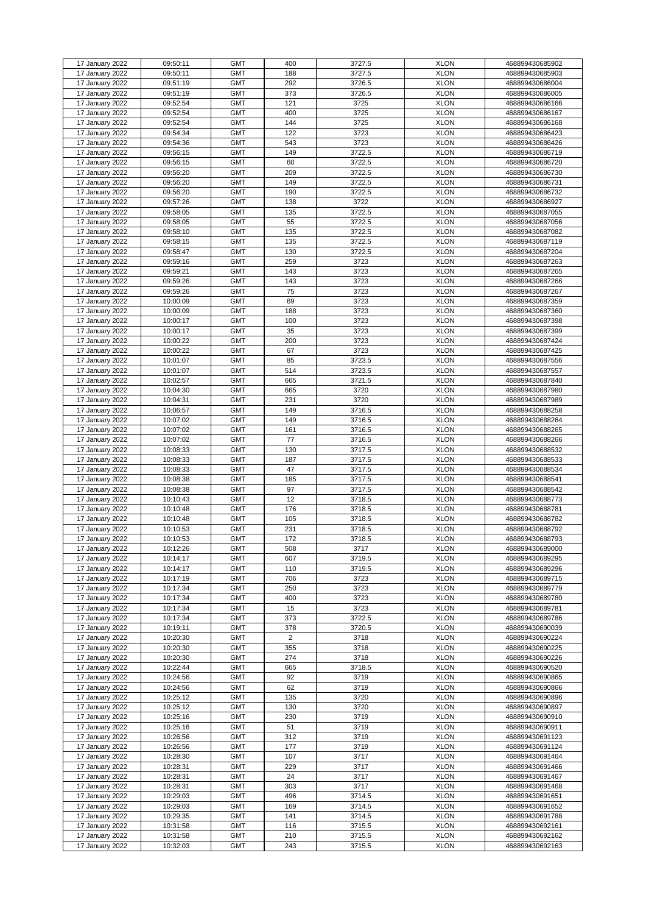| 17 January 2022 | 09:50:11 | <b>GMT</b> | 400            | 3727.5 | <b>XLON</b> | 468899430685902 |
|-----------------|----------|------------|----------------|--------|-------------|-----------------|
| 17 January 2022 | 09:50:11 | <b>GMT</b> | 188            | 3727.5 | <b>XLON</b> | 468899430685903 |
| 17 January 2022 | 09:51:19 | <b>GMT</b> | 292            | 3726.5 | <b>XLON</b> | 468899430686004 |
|                 |          | <b>GMT</b> |                |        | <b>XLON</b> |                 |
| 17 January 2022 | 09:51:19 |            | 373            | 3726.5 |             | 468899430686005 |
| 17 January 2022 | 09:52:54 | <b>GMT</b> | 121            | 3725   | <b>XLON</b> | 468899430686166 |
| 17 January 2022 | 09:52:54 | <b>GMT</b> | 400            | 3725   | <b>XLON</b> | 468899430686167 |
| 17 January 2022 | 09:52:54 | <b>GMT</b> | 144            | 3725   | <b>XLON</b> | 468899430686168 |
|                 |          |            |                |        |             |                 |
| 17 January 2022 | 09:54:34 | <b>GMT</b> | 122            | 3723   | <b>XLON</b> | 468899430686423 |
| 17 January 2022 | 09:54:36 | <b>GMT</b> | 543            | 3723   | <b>XLON</b> | 468899430686426 |
| 17 January 2022 | 09:56:15 | <b>GMT</b> | 149            | 3722.5 | <b>XLON</b> | 468899430686719 |
|                 |          | <b>GMT</b> |                |        | <b>XLON</b> |                 |
| 17 January 2022 | 09:56:15 |            | 60             | 3722.5 |             | 468899430686720 |
| 17 January 2022 | 09:56:20 | <b>GMT</b> | 209            | 3722.5 | <b>XLON</b> | 468899430686730 |
| 17 January 2022 | 09:56:20 | <b>GMT</b> | 149            | 3722.5 | <b>XLON</b> | 468899430686731 |
| 17 January 2022 | 09:56:20 | <b>GMT</b> | 190            | 3722.5 | <b>XLON</b> | 468899430686732 |
|                 |          |            |                |        |             |                 |
| 17 January 2022 | 09:57:26 | <b>GMT</b> | 138            | 3722   | <b>XLON</b> | 468899430686927 |
| 17 January 2022 | 09:58:05 | <b>GMT</b> | 135            | 3722.5 | <b>XLON</b> | 468899430687055 |
| 17 January 2022 | 09:58:05 | <b>GMT</b> | 55             | 3722.5 | <b>XLON</b> | 468899430687056 |
| 17 January 2022 | 09:58:10 | <b>GMT</b> | 135            | 3722.5 | <b>XLON</b> | 468899430687082 |
|                 |          |            |                |        |             |                 |
| 17 January 2022 | 09:58:15 | <b>GMT</b> | 135            | 3722.5 | <b>XLON</b> | 468899430687119 |
| 17 January 2022 | 09:58:47 | <b>GMT</b> | 130            | 3722.5 | <b>XLON</b> | 468899430687204 |
| 17 January 2022 | 09:59:16 | <b>GMT</b> | 259            | 3723   | <b>XLON</b> | 468899430687263 |
| 17 January 2022 | 09:59:21 | <b>GMT</b> | 143            | 3723   | <b>XLON</b> | 468899430687265 |
|                 |          |            |                |        |             |                 |
| 17 January 2022 | 09:59:26 | <b>GMT</b> | 143            | 3723   | <b>XLON</b> | 468899430687266 |
| 17 January 2022 | 09:59:26 | <b>GMT</b> | 75             | 3723   | <b>XLON</b> | 468899430687267 |
| 17 January 2022 | 10:00:09 | <b>GMT</b> | 69             | 3723   | <b>XLON</b> | 468899430687359 |
| 17 January 2022 | 10:00:09 | <b>GMT</b> | 188            | 3723   | <b>XLON</b> |                 |
|                 |          |            |                |        |             | 468899430687360 |
| 17 January 2022 | 10:00:17 | <b>GMT</b> | 100            | 3723   | <b>XLON</b> | 468899430687398 |
| 17 January 2022 | 10:00:17 | <b>GMT</b> | 35             | 3723   | <b>XLON</b> | 468899430687399 |
| 17 January 2022 | 10:00:22 | <b>GMT</b> | 200            | 3723   | <b>XLON</b> | 468899430687424 |
|                 |          |            |                |        |             |                 |
| 17 January 2022 | 10:00:22 | <b>GMT</b> | 67             | 3723   | <b>XLON</b> | 468899430687425 |
| 17 January 2022 | 10:01:07 | <b>GMT</b> | 85             | 3723.5 | <b>XLON</b> | 468899430687556 |
| 17 January 2022 | 10:01:07 | <b>GMT</b> | 514            | 3723.5 | <b>XLON</b> | 468899430687557 |
| 17 January 2022 | 10:02:57 | <b>GMT</b> | 665            | 3721.5 | <b>XLON</b> | 468899430687840 |
|                 |          |            |                |        |             |                 |
| 17 January 2022 | 10:04:30 | <b>GMT</b> | 665            | 3720   | <b>XLON</b> | 468899430687980 |
| 17 January 2022 | 10:04:31 | <b>GMT</b> | 231            | 3720   | <b>XLON</b> | 468899430687989 |
| 17 January 2022 | 10:06:57 | <b>GMT</b> | 149            | 3716.5 | <b>XLON</b> | 468899430688258 |
| 17 January 2022 | 10:07:02 | <b>GMT</b> | 149            | 3716.5 | <b>XLON</b> | 468899430688264 |
|                 |          |            |                |        |             |                 |
| 17 January 2022 | 10:07:02 | <b>GMT</b> | 161            | 3716.5 | <b>XLON</b> | 468899430688265 |
| 17 January 2022 | 10:07:02 | <b>GMT</b> | 77             | 3716.5 | <b>XLON</b> | 468899430688266 |
| 17 January 2022 | 10:08:33 | <b>GMT</b> | 130            | 3717.5 | <b>XLON</b> | 468899430688532 |
| 17 January 2022 | 10:08:33 | <b>GMT</b> | 187            | 3717.5 | <b>XLON</b> | 468899430688533 |
|                 |          |            |                |        |             |                 |
| 17 January 2022 | 10:08:33 | <b>GMT</b> | 47             | 3717.5 | <b>XLON</b> | 468899430688534 |
| 17 January 2022 | 10:08:38 | <b>GMT</b> | 185            | 3717.5 | <b>XLON</b> | 468899430688541 |
| 17 January 2022 | 10:08:38 | <b>GMT</b> | 97             | 3717.5 | <b>XLON</b> | 468899430688542 |
|                 | 10:10:43 | <b>GMT</b> | 12             |        | <b>XLON</b> |                 |
| 17 January 2022 |          |            |                | 3718.5 |             | 468899430688773 |
| 17 January 2022 | 10:10:48 | <b>GMT</b> | 176            | 3718.5 | <b>XLON</b> | 468899430688781 |
| 17 January 2022 | 10:10:48 | <b>GMT</b> | 105            | 3718.5 | <b>XLON</b> | 468899430688782 |
| 17 January 2022 | 10:10:53 | <b>GMT</b> | 231            | 3718.5 | <b>XLON</b> | 468899430688792 |
|                 | 10:10:53 | <b>GMT</b> | 172            |        |             |                 |
| 17 January 2022 |          |            |                | 3718.5 | <b>XLON</b> | 468899430688793 |
| 17 January 2022 | 10:12:26 | <b>GMT</b> | 508            | 3717   | <b>XLON</b> | 468899430689000 |
| 17 January 2022 | 10:14:17 | <b>GMT</b> | 607            | 3719.5 | <b>XLON</b> | 468899430689295 |
| 17 January 2022 | 10:14:17 | <b>GMT</b> | 110            | 3719.5 | <b>XLON</b> | 468899430689296 |
| 17 January 2022 | 10:17:19 | <b>GMT</b> | 706            | 3723   | <b>XLON</b> | 468899430689715 |
|                 |          |            |                |        |             |                 |
| 17 January 2022 | 10:17:34 | <b>GMT</b> | 250            | 3723   | <b>XLON</b> | 468899430689779 |
| 17 January 2022 | 10:17:34 | <b>GMT</b> | 400            | 3723   | <b>XLON</b> | 468899430689780 |
| 17 January 2022 | 10:17:34 | <b>GMT</b> | 15             | 3723   | <b>XLON</b> | 468899430689781 |
| 17 January 2022 | 10:17:34 | <b>GMT</b> | 373            | 3722.5 | <b>XLON</b> | 468899430689786 |
|                 |          |            |                |        |             |                 |
| 17 January 2022 | 10:19:11 | <b>GMT</b> | 378            | 3720.5 | <b>XLON</b> | 468899430690039 |
| 17 January 2022 | 10:20:30 | <b>GMT</b> | $\overline{2}$ | 3718   | <b>XLON</b> | 468899430690224 |
| 17 January 2022 | 10:20:30 | <b>GMT</b> | 355            | 3718   | <b>XLON</b> | 468899430690225 |
| 17 January 2022 | 10:20:30 | <b>GMT</b> | 274            | 3718   | <b>XLON</b> | 468899430690226 |
|                 | 10:22:44 | <b>GMT</b> |                | 3718.5 |             |                 |
| 17 January 2022 |          |            | 665            |        | <b>XLON</b> | 468899430690520 |
| 17 January 2022 | 10:24:56 | <b>GMT</b> | 92             | 3719   | <b>XLON</b> | 468899430690865 |
| 17 January 2022 | 10:24:56 | <b>GMT</b> | 62             | 3719   | <b>XLON</b> | 468899430690866 |
| 17 January 2022 | 10:25:12 | <b>GMT</b> | 135            | 3720   | <b>XLON</b> | 468899430690896 |
| 17 January 2022 | 10:25:12 | <b>GMT</b> | 130            | 3720   | <b>XLON</b> | 468899430690897 |
|                 |          |            |                |        |             |                 |
| 17 January 2022 | 10:25:16 | <b>GMT</b> | 230            | 3719   | <b>XLON</b> | 468899430690910 |
| 17 January 2022 | 10:25:16 | <b>GMT</b> | 51             | 3719   | <b>XLON</b> | 468899430690911 |
| 17 January 2022 | 10:26:56 | <b>GMT</b> | 312            | 3719   | <b>XLON</b> | 468899430691123 |
| 17 January 2022 | 10:26:56 | <b>GMT</b> | 177            | 3719   | <b>XLON</b> | 468899430691124 |
|                 |          |            |                |        |             |                 |
| 17 January 2022 | 10:28:30 | <b>GMT</b> | 107            | 3717   | <b>XLON</b> | 468899430691464 |
| 17 January 2022 | 10:28:31 | <b>GMT</b> | 229            | 3717   | <b>XLON</b> | 468899430691466 |
| 17 January 2022 | 10:28:31 | <b>GMT</b> | 24             | 3717   | <b>XLON</b> | 468899430691467 |
| 17 January 2022 | 10:28:31 | <b>GMT</b> | 303            | 3717   | <b>XLON</b> | 468899430691468 |
|                 |          |            |                |        |             |                 |
| 17 January 2022 | 10:29:03 | <b>GMT</b> | 496            | 3714.5 | <b>XLON</b> | 468899430691651 |
| 17 January 2022 | 10:29:03 | <b>GMT</b> | 169            | 3714.5 | <b>XLON</b> | 468899430691652 |
| 17 January 2022 | 10:29:35 | <b>GMT</b> | 141            | 3714.5 | <b>XLON</b> | 468899430691788 |
| 17 January 2022 | 10:31:58 | <b>GMT</b> | 116            | 3715.5 | <b>XLON</b> | 468899430692161 |
|                 |          |            |                |        |             |                 |
| 17 January 2022 | 10:31:58 | <b>GMT</b> | 210            | 3715.5 | <b>XLON</b> | 468899430692162 |
| 17 January 2022 | 10:32:03 | <b>GMT</b> | 243            | 3715.5 | <b>XLON</b> | 468899430692163 |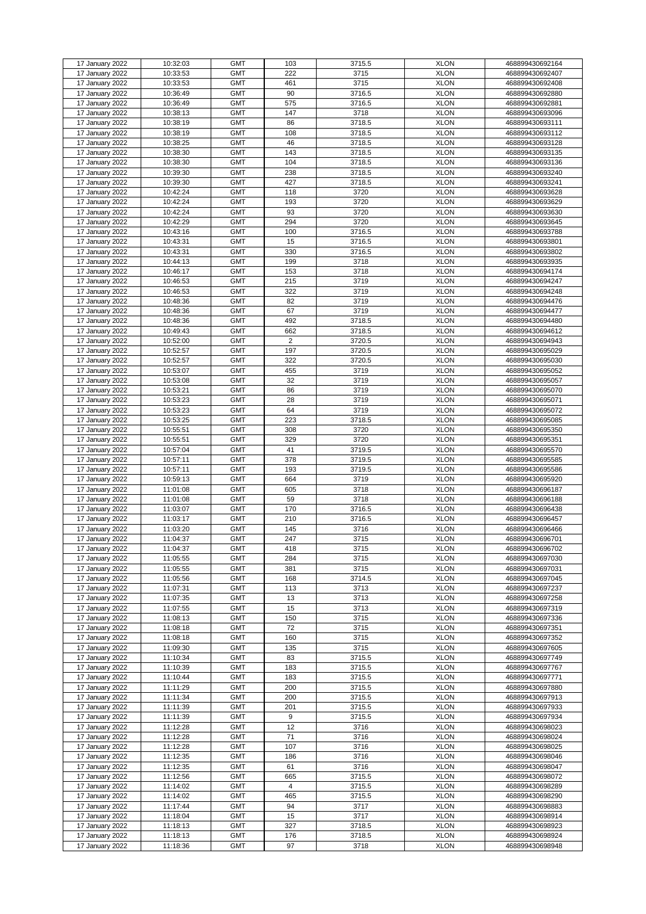| 17 January 2022 | 10:32:03 | <b>GMT</b> | 103            | 3715.5 | <b>XLON</b> | 468899430692164 |
|-----------------|----------|------------|----------------|--------|-------------|-----------------|
| 17 January 2022 | 10:33:53 | <b>GMT</b> | 222            | 3715   | <b>XLON</b> | 468899430692407 |
|                 |          |            |                |        |             |                 |
| 17 January 2022 | 10:33:53 | <b>GMT</b> | 461            | 3715   | <b>XLON</b> | 468899430692408 |
| 17 January 2022 | 10:36:49 | <b>GMT</b> | 90             | 3716.5 | <b>XLON</b> | 468899430692880 |
| 17 January 2022 | 10:36:49 | <b>GMT</b> | 575            | 3716.5 | <b>XLON</b> | 468899430692881 |
|                 |          |            |                |        |             |                 |
| 17 January 2022 | 10:38:13 | <b>GMT</b> | 147            | 3718   | <b>XLON</b> | 468899430693096 |
| 17 January 2022 | 10:38:19 | <b>GMT</b> | 86             | 3718.5 | <b>XLON</b> | 468899430693111 |
| 17 January 2022 | 10:38:19 | <b>GMT</b> | 108            | 3718.5 | <b>XLON</b> | 468899430693112 |
|                 |          |            |                |        |             |                 |
| 17 January 2022 | 10:38:25 | <b>GMT</b> | 46             | 3718.5 | <b>XLON</b> | 468899430693128 |
| 17 January 2022 | 10:38:30 | <b>GMT</b> | 143            | 3718.5 | <b>XLON</b> | 468899430693135 |
|                 |          |            |                |        |             |                 |
| 17 January 2022 | 10:38:30 | <b>GMT</b> | 104            | 3718.5 | <b>XLON</b> | 468899430693136 |
| 17 January 2022 | 10:39:30 | <b>GMT</b> | 238            | 3718.5 | <b>XLON</b> | 468899430693240 |
| 17 January 2022 | 10:39:30 | <b>GMT</b> | 427            | 3718.5 | <b>XLON</b> | 468899430693241 |
|                 |          |            |                |        |             |                 |
| 17 January 2022 | 10:42:24 | <b>GMT</b> | 118            | 3720   | <b>XLON</b> | 468899430693628 |
| 17 January 2022 | 10:42:24 | <b>GMT</b> | 193            | 3720   | <b>XLON</b> | 468899430693629 |
| 17 January 2022 | 10:42:24 | <b>GMT</b> | 93             | 3720   | <b>XLON</b> | 468899430693630 |
|                 |          |            |                |        |             |                 |
| 17 January 2022 | 10:42:29 | <b>GMT</b> | 294            | 3720   | <b>XLON</b> | 468899430693645 |
| 17 January 2022 | 10:43:16 | <b>GMT</b> | 100            | 3716.5 | <b>XLON</b> | 468899430693788 |
|                 |          |            |                |        |             |                 |
| 17 January 2022 | 10:43:31 | <b>GMT</b> | 15             | 3716.5 | <b>XLON</b> | 468899430693801 |
| 17 January 2022 | 10:43:31 | <b>GMT</b> | 330            | 3716.5 | <b>XLON</b> | 468899430693802 |
| 17 January 2022 | 10:44:13 | <b>GMT</b> | 199            | 3718   | <b>XLON</b> | 468899430693935 |
|                 |          |            |                |        |             |                 |
| 17 January 2022 | 10:46:17 | <b>GMT</b> | 153            | 3718   | <b>XLON</b> | 468899430694174 |
| 17 January 2022 | 10:46:53 | <b>GMT</b> | 215            | 3719   | <b>XLON</b> | 468899430694247 |
|                 |          | <b>GMT</b> | 322            | 3719   | <b>XLON</b> |                 |
| 17 January 2022 | 10:46:53 |            |                |        |             | 468899430694248 |
| 17 January 2022 | 10:48:36 | <b>GMT</b> | 82             | 3719   | <b>XLON</b> | 468899430694476 |
| 17 January 2022 | 10:48:36 | <b>GMT</b> | 67             | 3719   | <b>XLON</b> | 468899430694477 |
|                 |          |            |                |        |             |                 |
| 17 January 2022 | 10:48:36 | <b>GMT</b> | 492            | 3718.5 | <b>XLON</b> | 468899430694480 |
| 17 January 2022 | 10:49:43 | <b>GMT</b> | 662            | 3718.5 | <b>XLON</b> | 468899430694612 |
| 17 January 2022 | 10:52:00 | <b>GMT</b> | $\overline{2}$ | 3720.5 | <b>XLON</b> | 468899430694943 |
|                 |          |            |                |        |             |                 |
| 17 January 2022 | 10:52:57 | <b>GMT</b> | 197            | 3720.5 | <b>XLON</b> | 468899430695029 |
| 17 January 2022 | 10:52:57 | <b>GMT</b> | 322            | 3720.5 | <b>XLON</b> | 468899430695030 |
|                 |          |            |                |        |             |                 |
| 17 January 2022 | 10:53:07 | <b>GMT</b> | 455            | 3719   | <b>XLON</b> | 468899430695052 |
| 17 January 2022 | 10:53:08 | <b>GMT</b> | 32             | 3719   | <b>XLON</b> | 468899430695057 |
| 17 January 2022 | 10:53:21 | <b>GMT</b> | 86             | 3719   | <b>XLON</b> | 468899430695070 |
|                 |          |            |                |        |             |                 |
| 17 January 2022 | 10:53:23 | <b>GMT</b> | 28             | 3719   | <b>XLON</b> | 468899430695071 |
| 17 January 2022 | 10:53:23 | <b>GMT</b> | 64             | 3719   | <b>XLON</b> | 468899430695072 |
|                 |          |            |                |        |             |                 |
| 17 January 2022 | 10:53:25 | <b>GMT</b> | 223            | 3718.5 | <b>XLON</b> | 468899430695085 |
| 17 January 2022 | 10:55:51 | <b>GMT</b> | 308            | 3720   | <b>XLON</b> | 468899430695350 |
| 17 January 2022 | 10:55:51 | <b>GMT</b> | 329            | 3720   | <b>XLON</b> | 468899430695351 |
|                 |          |            |                |        |             |                 |
| 17 January 2022 | 10:57:04 | <b>GMT</b> | 41             | 3719.5 | <b>XLON</b> | 468899430695570 |
| 17 January 2022 | 10:57:11 | <b>GMT</b> | 378            | 3719.5 | <b>XLON</b> | 468899430695585 |
| 17 January 2022 | 10:57:11 | <b>GMT</b> | 193            | 3719.5 | <b>XLON</b> | 468899430695586 |
|                 |          |            |                |        |             |                 |
| 17 January 2022 | 10:59:13 | <b>GMT</b> | 664            | 3719   | <b>XLON</b> | 468899430695920 |
| 17 January 2022 | 11:01:08 | <b>GMT</b> | 605            | 3718   | <b>XLON</b> | 468899430696187 |
|                 |          |            |                |        |             |                 |
| 17 January 2022 | 11:01:08 | <b>GMT</b> | 59             | 3718   | <b>XLON</b> | 468899430696188 |
| 17 January 2022 | 11:03:07 | <b>GMT</b> | 170            | 3716.5 | <b>XLON</b> | 468899430696438 |
| 17 January 2022 | 11:03:17 | <b>GMT</b> | 210            | 3716.5 | <b>XLON</b> | 468899430696457 |
|                 |          |            |                |        |             |                 |
| 17 January 2022 | 11:03:20 | <b>GMT</b> | 145            | 3716   | <b>XLON</b> | 468899430696466 |
| 17 January 2022 | 11:04:37 | <b>GMT</b> | 247            | 3715   | <b>XLON</b> | 468899430696701 |
| 17 January 2022 | 11:04:37 | <b>GMT</b> | 418            | 3715   | <b>XLON</b> | 468899430696702 |
|                 |          |            |                |        |             |                 |
| 17 January 2022 | 11:05:55 | <b>GMT</b> | 284            | 3715   | <b>XLON</b> | 468899430697030 |
| 17 January 2022 | 11:05:55 | <b>GMT</b> | 381            | 3715   | <b>XLON</b> | 468899430697031 |
|                 |          |            |                |        |             |                 |
| 17 January 2022 | 11:05:56 | <b>GMT</b> | 168            | 3714.5 | <b>XLON</b> | 468899430697045 |
| 17 January 2022 | 11:07:31 | <b>GMT</b> | 113            | 3713   | <b>XLON</b> | 468899430697237 |
| 17 January 2022 | 11:07:35 | <b>GMT</b> | 13             | 3713   | <b>XLON</b> | 468899430697258 |
|                 |          |            |                |        |             |                 |
| 17 January 2022 | 11:07:55 | <b>GMT</b> | 15             | 3713   | <b>XLON</b> | 468899430697319 |
| 17 January 2022 | 11:08:13 | <b>GMT</b> | 150            | 3715   | <b>XLON</b> | 468899430697336 |
| 17 January 2022 | 11:08:18 | <b>GMT</b> | 72             | 3715   | <b>XLON</b> | 468899430697351 |
|                 |          |            |                |        |             |                 |
| 17 January 2022 | 11:08:18 | <b>GMT</b> | 160            | 3715   | <b>XLON</b> | 468899430697352 |
| 17 January 2022 | 11:09:30 | <b>GMT</b> | 135            | 3715   | <b>XLON</b> | 468899430697605 |
| 17 January 2022 | 11:10:34 | <b>GMT</b> | 83             | 3715.5 | <b>XLON</b> | 468899430697749 |
|                 |          |            |                |        |             |                 |
| 17 January 2022 | 11:10:39 | <b>GMT</b> | 183            | 3715.5 | <b>XLON</b> | 468899430697767 |
| 17 January 2022 | 11:10:44 | <b>GMT</b> | 183            | 3715.5 | <b>XLON</b> | 468899430697771 |
|                 | 11:11:29 | <b>GMT</b> | 200            | 3715.5 | <b>XLON</b> | 468899430697880 |
| 17 January 2022 |          |            |                |        |             |                 |
| 17 January 2022 | 11:11:34 | <b>GMT</b> | 200            | 3715.5 | <b>XLON</b> | 468899430697913 |
| 17 January 2022 | 11:11:39 | <b>GMT</b> | 201            | 3715.5 | <b>XLON</b> | 468899430697933 |
|                 |          |            |                |        |             |                 |
| 17 January 2022 | 11:11:39 | <b>GMT</b> | 9              | 3715.5 | <b>XLON</b> | 468899430697934 |
| 17 January 2022 | 11:12:28 | <b>GMT</b> | 12             | 3716   | <b>XLON</b> | 468899430698023 |
| 17 January 2022 | 11:12:28 | <b>GMT</b> | 71             | 3716   | <b>XLON</b> | 468899430698024 |
|                 |          |            |                |        |             |                 |
| 17 January 2022 | 11:12:28 | <b>GMT</b> | 107            | 3716   | <b>XLON</b> | 468899430698025 |
| 17 January 2022 | 11:12:35 | <b>GMT</b> | 186            | 3716   | <b>XLON</b> | 468899430698046 |
|                 |          |            |                |        |             |                 |
| 17 January 2022 | 11:12:35 | <b>GMT</b> | 61             | 3716   | <b>XLON</b> | 468899430698047 |
| 17 January 2022 | 11:12:56 | <b>GMT</b> | 665            | 3715.5 | <b>XLON</b> | 468899430698072 |
| 17 January 2022 | 11:14:02 | <b>GMT</b> | 4              | 3715.5 | <b>XLON</b> | 468899430698289 |
|                 |          |            |                |        |             |                 |
| 17 January 2022 | 11:14:02 | <b>GMT</b> | 465            | 3715.5 | <b>XLON</b> | 468899430698290 |
| 17 January 2022 | 11:17:44 | <b>GMT</b> | 94             | 3717   | <b>XLON</b> | 468899430698883 |
| 17 January 2022 | 11:18:04 | <b>GMT</b> | 15             | 3717   | <b>XLON</b> | 468899430698914 |
|                 |          |            |                |        |             |                 |
| 17 January 2022 | 11:18:13 | <b>GMT</b> | 327            | 3718.5 | <b>XLON</b> | 468899430698923 |
| 17 January 2022 | 11:18:13 | <b>GMT</b> | 176            | 3718.5 | <b>XLON</b> | 468899430698924 |
| 17 January 2022 | 11:18:36 | <b>GMT</b> | 97             | 3718   | <b>XLON</b> |                 |
|                 |          |            |                |        |             | 468899430698948 |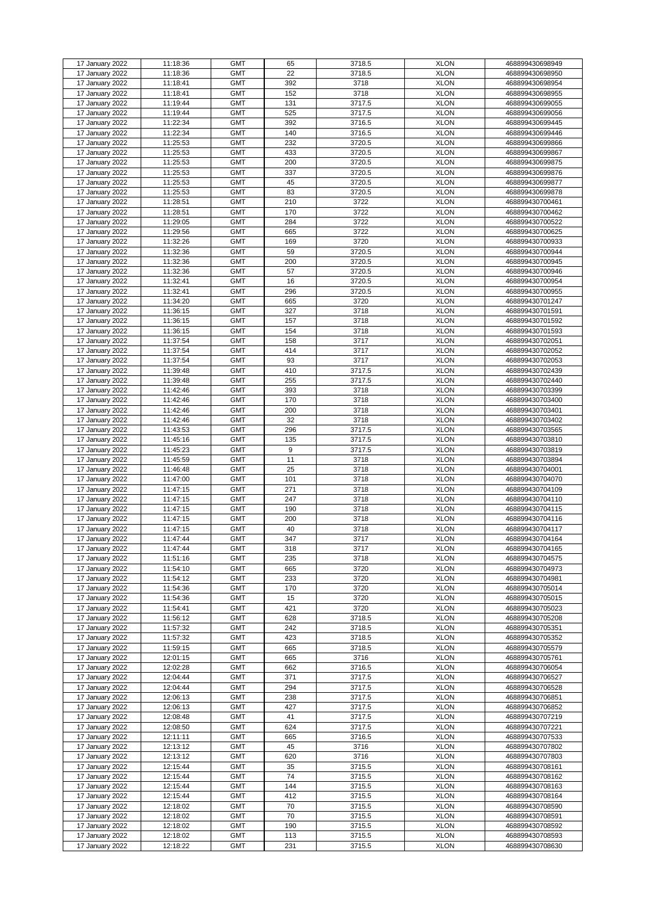|                                    |                      | <b>GMT</b>               | 65         |                  | <b>XLON</b>                |                                    |
|------------------------------------|----------------------|--------------------------|------------|------------------|----------------------------|------------------------------------|
| 17 January 2022                    | 11:18:36             |                          |            | 3718.5           |                            | 468899430698949                    |
| 17 January 2022                    | 11:18:36             | <b>GMT</b>               | 22         | 3718.5           | <b>XLON</b>                | 468899430698950                    |
| 17 January 2022                    | 11:18:41             | <b>GMT</b>               | 392        | 3718             | <b>XLON</b>                | 468899430698954                    |
| 17 January 2022                    | 11:18:41             | <b>GMT</b>               | 152        | 3718             | <b>XLON</b>                | 468899430698955                    |
|                                    |                      |                          |            | 3717.5           |                            |                                    |
| 17 January 2022                    | 11:19:44             | <b>GMT</b>               | 131        |                  | <b>XLON</b>                | 468899430699055                    |
| 17 January 2022                    | 11:19:44             | <b>GMT</b>               | 525        | 3717.5           | <b>XLON</b>                | 468899430699056                    |
| 17 January 2022                    | 11:22:34             | <b>GMT</b>               | 392        | 3716.5           | <b>XLON</b>                | 468899430699445                    |
| 17 January 2022                    | 11:22:34             | <b>GMT</b>               | 140        | 3716.5           | <b>XLON</b>                | 468899430699446                    |
|                                    |                      |                          |            |                  |                            |                                    |
| 17 January 2022                    | 11:25:53             | <b>GMT</b>               | 232        | 3720.5           | <b>XLON</b>                | 468899430699866                    |
| 17 January 2022                    | 11:25:53             | <b>GMT</b>               | 433        | 3720.5           | <b>XLON</b>                | 468899430699867                    |
| 17 January 2022                    | 11:25:53             | <b>GMT</b>               | 200        | 3720.5           | <b>XLON</b>                | 468899430699875                    |
| 17 January 2022                    | 11:25:53             | <b>GMT</b>               | 337        | 3720.5           | <b>XLON</b>                | 468899430699876                    |
|                                    |                      |                          |            |                  |                            |                                    |
| 17 January 2022                    | 11:25:53             | <b>GMT</b>               | 45         | 3720.5           | <b>XLON</b>                | 468899430699877                    |
| 17 January 2022                    | 11:25:53             | <b>GMT</b>               | 83         | 3720.5           | <b>XLON</b>                | 468899430699878                    |
| 17 January 2022                    | 11:28:51             | <b>GMT</b>               | 210        | 3722             | <b>XLON</b>                | 468899430700461                    |
|                                    |                      |                          |            |                  |                            |                                    |
| 17 January 2022                    | 11:28:51             | <b>GMT</b>               | 170        | 3722             | <b>XLON</b>                | 468899430700462                    |
| 17 January 2022                    | 11:29:05             | <b>GMT</b>               | 284        | 3722             | <b>XLON</b>                | 468899430700522                    |
| 17 January 2022                    | 11:29:56             | <b>GMT</b>               | 665        | 3722             | <b>XLON</b>                | 468899430700625                    |
| 17 January 2022                    | 11:32:26             | <b>GMT</b>               | 169        | 3720             | <b>XLON</b>                | 468899430700933                    |
|                                    |                      |                          |            |                  |                            |                                    |
| 17 January 2022                    | 11:32:36             | <b>GMT</b>               | 59         | 3720.5           | <b>XLON</b>                | 468899430700944                    |
| 17 January 2022                    | 11:32:36             | <b>GMT</b>               | 200        | 3720.5           | <b>XLON</b>                | 468899430700945                    |
| 17 January 2022                    | 11:32:36             | <b>GMT</b>               | 57         | 3720.5           | <b>XLON</b>                | 468899430700946                    |
| 17 January 2022                    | 11:32:41             | <b>GMT</b>               | 16         | 3720.5           | <b>XLON</b>                | 468899430700954                    |
|                                    |                      |                          |            |                  |                            |                                    |
| 17 January 2022                    | 11:32:41             | <b>GMT</b>               | 296        | 3720.5           | <b>XLON</b>                | 468899430700955                    |
| 17 January 2022                    | 11:34:20             | <b>GMT</b>               | 665        | 3720             | <b>XLON</b>                | 468899430701247                    |
| 17 January 2022                    | 11:36:15             | <b>GMT</b>               | 327        | 3718             | <b>XLON</b>                | 468899430701591                    |
|                                    |                      |                          |            |                  |                            |                                    |
| 17 January 2022                    | 11:36:15             | <b>GMT</b>               | 157        | 3718             | <b>XLON</b>                | 468899430701592                    |
| 17 January 2022                    | 11:36:15             | <b>GMT</b>               | 154        | 3718             | <b>XLON</b>                | 468899430701593                    |
| 17 January 2022                    | 11:37:54             | <b>GMT</b>               | 158        | 3717             | <b>XLON</b>                | 468899430702051                    |
| 17 January 2022                    | 11:37:54             | <b>GMT</b>               | 414        | 3717             | <b>XLON</b>                | 468899430702052                    |
|                                    |                      |                          |            |                  |                            |                                    |
| 17 January 2022                    | 11:37:54             | <b>GMT</b>               | 93         | 3717             | <b>XLON</b>                | 468899430702053                    |
| 17 January 2022                    | 11:39:48             | <b>GMT</b>               | 410        | 3717.5           | <b>XLON</b>                | 468899430702439                    |
| 17 January 2022                    | 11:39:48             | <b>GMT</b>               | 255        | 3717.5           | <b>XLON</b>                | 468899430702440                    |
| 17 January 2022                    | 11:42:46             | <b>GMT</b>               | 393        | 3718             | <b>XLON</b>                | 468899430703399                    |
|                                    |                      |                          |            |                  |                            |                                    |
| 17 January 2022                    | 11:42:46             | <b>GMT</b>               | 170        | 3718             | <b>XLON</b>                | 468899430703400                    |
| 17 January 2022                    | 11:42:46             | <b>GMT</b>               | 200        | 3718             | <b>XLON</b>                | 468899430703401                    |
| 17 January 2022                    | 11:42:46             | <b>GMT</b>               | 32         | 3718             | <b>XLON</b>                | 468899430703402                    |
|                                    | 11:43:53             |                          |            |                  |                            |                                    |
| 17 January 2022                    |                      | <b>GMT</b>               | 296        | 3717.5           | <b>XLON</b>                | 468899430703565                    |
| 17 January 2022                    | 11:45:16             | <b>GMT</b>               | 135        | 3717.5           | <b>XLON</b>                | 468899430703810                    |
| 17 January 2022                    | 11:45:23             | <b>GMT</b>               | 9          | 3717.5           | <b>XLON</b>                | 468899430703819                    |
| 17 January 2022                    | 11:45:59             | <b>GMT</b>               | 11         | 3718             | <b>XLON</b>                | 468899430703894                    |
|                                    |                      |                          |            |                  |                            |                                    |
| 17 January 2022                    | 11:46:48             | <b>GMT</b>               | 25         | 3718             | <b>XLON</b>                | 468899430704001                    |
| 17 January 2022                    | 11:47:00             | <b>GMT</b>               | 101        | 3718             | <b>XLON</b>                | 468899430704070                    |
| 17 January 2022                    | 11:47:15             | <b>GMT</b>               | 271        | 3718             | <b>XLON</b>                | 468899430704109                    |
| 17 January 2022                    | 11:47:15             | <b>GMT</b>               | 247        | 3718             | <b>XLON</b>                | 468899430704110                    |
|                                    |                      |                          |            |                  |                            |                                    |
| 17 January 2022                    | 11:47:15             | <b>GMT</b>               | 190        | 3718             | <b>XLON</b>                | 468899430704115                    |
| 17 January 2022                    | 11:47:15             | <b>GMT</b>               | 200        | 3718             | <b>XLON</b>                | 468899430704116                    |
| 17 January 2022                    | 11:47:15             | <b>GMT</b>               | 40         | 3718             | <b>XLON</b>                | 468899430704117                    |
| 17 January 2022                    | 11:47:44             | <b>GMT</b>               | 347        | 3717             | <b>XLON</b>                | 468899430704164                    |
|                                    |                      |                          |            |                  |                            |                                    |
| 17 January 2022                    | 11:47:44             | <b>GMT</b>               | 318        | 3717             | <b>XLON</b>                | 468899430704165                    |
| 17 January 2022                    | 11:51:16             | <b>GMT</b>               | 235        | 3718             | <b>XLON</b>                | 468899430704575                    |
| 17 January 2022                    | 11:54:10             | <b>GMT</b>               | 665        | 3720             | <b>XLON</b>                | 468899430704973                    |
| 17 January 2022                    | 11:54:12             | <b>GMT</b>               | 233        | 3720             | <b>XLON</b>                | 468899430704981                    |
|                                    |                      |                          |            |                  |                            |                                    |
| 17 January 2022                    | 11:54:36             | <b>GMT</b>               | 170        | 3720             | <b>XLON</b>                | 468899430705014                    |
| 17 January 2022                    | 11:54:36             | <b>GMT</b>               | 15         | 3720             | <b>XLON</b>                | 468899430705015                    |
| 17 January 2022                    | 11:54:41             | <b>GMT</b>               | 421        | 3720             | <b>XLON</b>                | 468899430705023                    |
|                                    | 11:56:12             | <b>GMT</b>               | 628        | 3718.5           | <b>XLON</b>                |                                    |
| 17 January 2022                    |                      |                          |            |                  |                            | 468899430705208                    |
| 17 January 2022                    | 11:57:32             | <b>GMT</b>               | 242        | 3718.5           | <b>XLON</b>                | 468899430705351                    |
| 17 January 2022                    | 11:57:32             | <b>GMT</b>               | 423        | 3718.5           | <b>XLON</b>                | 468899430705352                    |
| 17 January 2022                    | 11:59:15             | <b>GMT</b>               | 665        | 3718.5           | <b>XLON</b>                | 468899430705579                    |
|                                    |                      |                          |            |                  |                            |                                    |
| 17 January 2022                    | 12:01:15             | <b>GMT</b>               | 665        | 3716             | <b>XLON</b>                | 468899430705761                    |
| 17 January 2022                    | 12:02:28             | <b>GMT</b>               | 662        | 3716.5           | <b>XLON</b>                | 468899430706054                    |
| 17 January 2022                    | 12:04:44             | <b>GMT</b>               | 371        | 3717.5           | <b>XLON</b>                | 468899430706527                    |
| 17 January 2022                    | 12:04:44             | <b>GMT</b>               | 294        | 3717.5           | <b>XLON</b>                | 468899430706528                    |
|                                    |                      |                          |            |                  |                            |                                    |
| 17 January 2022                    | 12:06:13             | <b>GMT</b>               | 238        | 3717.5           | <b>XLON</b>                | 468899430706851                    |
| 17 January 2022                    | 12:06:13             | <b>GMT</b>               | 427        | 3717.5           | <b>XLON</b>                | 468899430706852                    |
| 17 January 2022                    | 12:08:48             | <b>GMT</b>               | 41         | 3717.5           | <b>XLON</b>                | 468899430707219                    |
| 17 January 2022                    | 12:08:50             | <b>GMT</b>               | 624        | 3717.5           | <b>XLON</b>                | 468899430707221                    |
|                                    |                      |                          |            |                  |                            |                                    |
| 17 January 2022                    | 12:11:11             | <b>GMT</b>               | 665        | 3716.5           | <b>XLON</b>                | 468899430707533                    |
| 17 January 2022                    | 12:13:12             | <b>GMT</b>               | 45         | 3716             | <b>XLON</b>                | 468899430707802                    |
| 17 January 2022                    | 12:13:12             | <b>GMT</b>               | 620        | 3716             | <b>XLON</b>                | 468899430707803                    |
|                                    |                      |                          |            |                  |                            |                                    |
| 17 January 2022                    | 12:15:44             | <b>GMT</b>               | 35         | 3715.5           | <b>XLON</b>                | 468899430708161                    |
| 17 January 2022                    | 12:15:44             | <b>GMT</b>               | 74         | 3715.5           | <b>XLON</b>                | 468899430708162                    |
| 17 January 2022                    | 12:15:44             | <b>GMT</b>               | 144        | 3715.5           | <b>XLON</b>                | 468899430708163                    |
| 17 January 2022                    | 12:15:44             | <b>GMT</b>               | 412        | 3715.5           | <b>XLON</b>                | 468899430708164                    |
|                                    |                      |                          |            |                  |                            |                                    |
| 17 January 2022                    | 12:18:02             | <b>GMT</b>               | 70         | 3715.5           | <b>XLON</b>                | 468899430708590                    |
| 17 January 2022                    | 12:18:02             | <b>GMT</b>               | 70         | 3715.5           | <b>XLON</b>                | 468899430708591                    |
| 17 January 2022                    | 12:18:02             | <b>GMT</b>               | 190        | 3715.5           | <b>XLON</b>                | 468899430708592                    |
|                                    |                      |                          |            |                  |                            |                                    |
|                                    |                      |                          |            |                  |                            |                                    |
| 17 January 2022<br>17 January 2022 | 12:18:02<br>12:18:22 | <b>GMT</b><br><b>GMT</b> | 113<br>231 | 3715.5<br>3715.5 | <b>XLON</b><br><b>XLON</b> | 468899430708593<br>468899430708630 |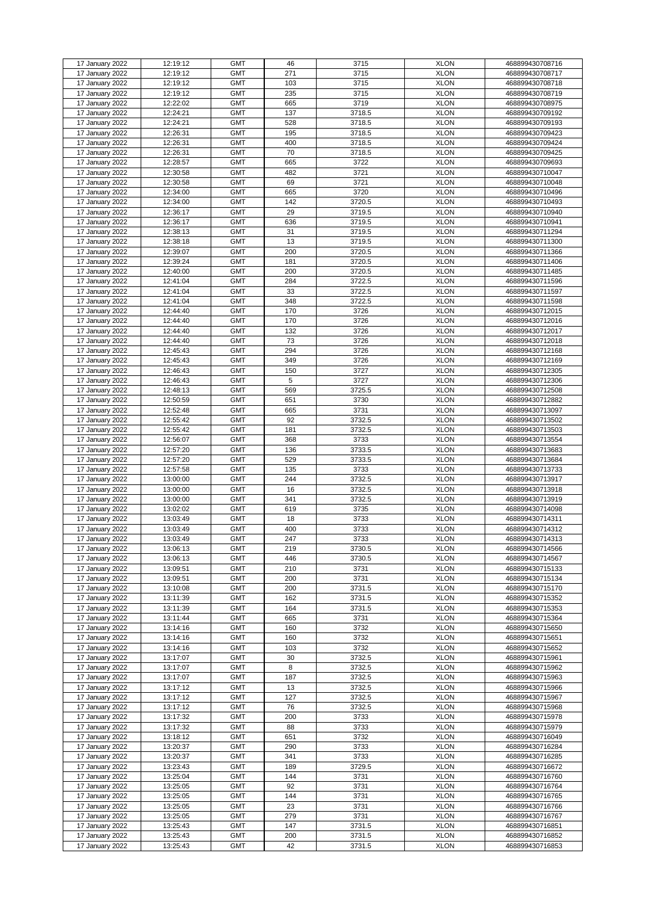| 17 January 2022 | 12:19:12 | <b>GMT</b> | 46  | 3715   | <b>XLON</b> | 468899430708716 |
|-----------------|----------|------------|-----|--------|-------------|-----------------|
|                 |          |            |     |        |             |                 |
| 17 January 2022 | 12:19:12 | <b>GMT</b> | 271 | 3715   | <b>XLON</b> | 468899430708717 |
| 17 January 2022 | 12:19:12 | <b>GMT</b> | 103 | 3715   | <b>XLON</b> | 468899430708718 |
|                 |          |            |     |        |             |                 |
| 17 January 2022 | 12:19:12 | <b>GMT</b> | 235 | 3715   | <b>XLON</b> | 468899430708719 |
| 17 January 2022 | 12:22:02 | <b>GMT</b> | 665 | 3719   | <b>XLON</b> | 468899430708975 |
|                 |          |            |     |        |             |                 |
| 17 January 2022 | 12:24:21 | <b>GMT</b> | 137 | 3718.5 | <b>XLON</b> | 468899430709192 |
| 17 January 2022 | 12:24:21 | <b>GMT</b> | 528 | 3718.5 | <b>XLON</b> | 468899430709193 |
|                 |          |            |     |        |             |                 |
| 17 January 2022 | 12:26:31 | <b>GMT</b> | 195 | 3718.5 | <b>XLON</b> | 468899430709423 |
| 17 January 2022 | 12:26:31 | <b>GMT</b> | 400 | 3718.5 | <b>XLON</b> | 468899430709424 |
|                 |          |            |     |        |             |                 |
| 17 January 2022 | 12:26:31 | <b>GMT</b> | 70  | 3718.5 | <b>XLON</b> | 468899430709425 |
| 17 January 2022 | 12:28:57 | <b>GMT</b> | 665 | 3722   | <b>XLON</b> | 468899430709693 |
|                 |          |            |     |        |             |                 |
| 17 January 2022 | 12:30:58 | <b>GMT</b> | 482 | 3721   | <b>XLON</b> | 468899430710047 |
| 17 January 2022 | 12:30:58 | <b>GMT</b> | 69  | 3721   | <b>XLON</b> | 468899430710048 |
|                 |          |            |     |        |             |                 |
| 17 January 2022 | 12:34:00 | <b>GMT</b> | 665 | 3720   | <b>XLON</b> | 468899430710496 |
| 17 January 2022 | 12:34:00 | <b>GMT</b> | 142 | 3720.5 | <b>XLON</b> | 468899430710493 |
|                 |          |            |     |        |             |                 |
| 17 January 2022 | 12:36:17 | <b>GMT</b> | 29  | 3719.5 | <b>XLON</b> | 468899430710940 |
| 17 January 2022 | 12:36:17 | <b>GMT</b> | 636 | 3719.5 | <b>XLON</b> | 468899430710941 |
|                 |          |            |     |        |             |                 |
| 17 January 2022 | 12:38:13 | <b>GMT</b> | 31  | 3719.5 | <b>XLON</b> | 468899430711294 |
| 17 January 2022 | 12:38:18 | <b>GMT</b> | 13  | 3719.5 | <b>XLON</b> | 468899430711300 |
|                 |          |            |     |        |             |                 |
| 17 January 2022 | 12:39:07 | <b>GMT</b> | 200 | 3720.5 | <b>XLON</b> | 468899430711366 |
| 17 January 2022 | 12:39:24 | <b>GMT</b> | 181 | 3720.5 | <b>XLON</b> | 468899430711406 |
|                 |          |            |     |        |             |                 |
| 17 January 2022 | 12:40:00 | <b>GMT</b> | 200 | 3720.5 | <b>XLON</b> | 468899430711485 |
| 17 January 2022 | 12:41:04 | <b>GMT</b> | 284 | 3722.5 | <b>XLON</b> | 468899430711596 |
|                 |          |            |     |        |             |                 |
| 17 January 2022 | 12:41:04 | <b>GMT</b> | 33  | 3722.5 | <b>XLON</b> | 468899430711597 |
| 17 January 2022 | 12:41:04 | <b>GMT</b> | 348 | 3722.5 | <b>XLON</b> | 468899430711598 |
|                 |          |            |     |        |             |                 |
| 17 January 2022 | 12:44:40 | <b>GMT</b> | 170 | 3726   | <b>XLON</b> | 468899430712015 |
| 17 January 2022 | 12:44:40 | <b>GMT</b> | 170 | 3726   | <b>XLON</b> | 468899430712016 |
|                 |          |            |     |        |             |                 |
| 17 January 2022 | 12:44:40 | <b>GMT</b> | 132 | 3726   | <b>XLON</b> | 468899430712017 |
| 17 January 2022 | 12:44:40 | <b>GMT</b> | 73  | 3726   | <b>XLON</b> | 468899430712018 |
|                 | 12:45:43 | <b>GMT</b> | 294 | 3726   | <b>XLON</b> |                 |
| 17 January 2022 |          |            |     |        |             | 468899430712168 |
| 17 January 2022 | 12:45:43 | <b>GMT</b> | 349 | 3726   | <b>XLON</b> | 468899430712169 |
|                 |          |            |     |        |             |                 |
| 17 January 2022 | 12:46:43 | <b>GMT</b> | 150 | 3727   | <b>XLON</b> | 468899430712305 |
| 17 January 2022 | 12:46:43 | <b>GMT</b> | 5   | 3727   | <b>XLON</b> | 468899430712306 |
| 17 January 2022 | 12:48:13 | <b>GMT</b> | 569 | 3725.5 | <b>XLON</b> | 468899430712508 |
|                 |          |            |     |        |             |                 |
| 17 January 2022 | 12:50:59 | <b>GMT</b> | 651 | 3730   | <b>XLON</b> | 468899430712882 |
|                 | 12:52:48 | <b>GMT</b> | 665 | 3731   | <b>XLON</b> | 468899430713097 |
| 17 January 2022 |          |            |     |        |             |                 |
| 17 January 2022 | 12:55:42 | <b>GMT</b> | 92  | 3732.5 | <b>XLON</b> | 468899430713502 |
| 17 January 2022 | 12:55:42 | <b>GMT</b> | 181 | 3732.5 | <b>XLON</b> | 468899430713503 |
|                 |          |            |     |        |             |                 |
| 17 January 2022 | 12:56:07 | <b>GMT</b> | 368 | 3733   | <b>XLON</b> | 468899430713554 |
| 17 January 2022 | 12:57:20 | <b>GMT</b> | 136 | 3733.5 | <b>XLON</b> | 468899430713683 |
|                 |          |            |     |        |             |                 |
| 17 January 2022 | 12:57:20 | <b>GMT</b> | 529 | 3733.5 | <b>XLON</b> | 468899430713684 |
| 17 January 2022 | 12:57:58 | <b>GMT</b> | 135 | 3733   | <b>XLON</b> | 468899430713733 |
|                 |          |            |     |        |             |                 |
| 17 January 2022 | 13:00:00 | <b>GMT</b> | 244 | 3732.5 | <b>XLON</b> | 468899430713917 |
| 17 January 2022 | 13:00:00 | <b>GMT</b> | 16  | 3732.5 | <b>XLON</b> | 468899430713918 |
|                 |          |            |     |        |             |                 |
| 17 January 2022 | 13:00:00 | <b>GMT</b> | 341 | 3732.5 | <b>XLON</b> | 468899430713919 |
| 17 January 2022 | 13:02:02 | <b>GMT</b> | 619 | 3735   | <b>XLON</b> | 468899430714098 |
|                 |          |            |     |        |             |                 |
| 17 January 2022 | 13:03:49 | <b>GMT</b> | 18  | 3733   | <b>XLON</b> | 468899430714311 |
| 17 January 2022 | 13:03:49 | <b>GMT</b> | 400 | 3733   | <b>XLON</b> | 468899430714312 |
|                 |          |            |     |        |             |                 |
| 17 January 2022 | 13:03:49 | <b>GMT</b> | 247 | 3733   | <b>XLON</b> | 468899430714313 |
| 17 January 2022 | 13:06:13 | <b>GMT</b> | 219 | 3730.5 | <b>XLON</b> | 468899430714566 |
|                 |          |            |     |        |             |                 |
| 17 January 2022 | 13:06:13 | <b>GMT</b> | 446 | 3730.5 | <b>XLON</b> | 468899430714567 |
| 17 January 2022 | 13:09:51 | <b>GMT</b> | 210 | 3731   | <b>XLON</b> | 468899430715133 |
|                 |          | <b>GMT</b> |     | 3731   | <b>XLON</b> |                 |
| 17 January 2022 | 13:09:51 |            | 200 |        |             | 468899430715134 |
| 17 January 2022 | 13:10:08 | <b>GMT</b> | 200 | 3731.5 | <b>XLON</b> | 468899430715170 |
| 17 January 2022 | 13:11:39 | <b>GMT</b> | 162 | 3731.5 | <b>XLON</b> | 468899430715352 |
|                 |          |            |     |        |             |                 |
| 17 January 2022 | 13:11:39 | <b>GMT</b> | 164 | 3731.5 | <b>XLON</b> | 468899430715353 |
| 17 January 2022 | 13:11:44 | <b>GMT</b> | 665 | 3731   | <b>XLON</b> | 468899430715364 |
|                 |          |            |     |        |             |                 |
| 17 January 2022 | 13:14:16 | <b>GMT</b> | 160 | 3732   | <b>XLON</b> | 468899430715650 |
| 17 January 2022 | 13:14:16 | <b>GMT</b> | 160 | 3732   | <b>XLON</b> | 468899430715651 |
|                 |          |            |     |        |             |                 |
| 17 January 2022 | 13:14:16 | <b>GMT</b> | 103 | 3732   | <b>XLON</b> | 468899430715652 |
| 17 January 2022 | 13:17:07 | <b>GMT</b> | 30  | 3732.5 | <b>XLON</b> | 468899430715961 |
|                 |          | <b>GMT</b> | 8   | 3732.5 | <b>XLON</b> |                 |
| 17 January 2022 | 13:17:07 |            |     |        |             | 468899430715962 |
| 17 January 2022 | 13:17:07 | <b>GMT</b> | 187 | 3732.5 | <b>XLON</b> | 468899430715963 |
| 17 January 2022 | 13:17:12 | <b>GMT</b> | 13  | 3732.5 | <b>XLON</b> | 468899430715966 |
|                 |          |            |     |        |             |                 |
| 17 January 2022 | 13:17:12 | <b>GMT</b> | 127 | 3732.5 | <b>XLON</b> | 468899430715967 |
| 17 January 2022 | 13:17:12 | <b>GMT</b> | 76  | 3732.5 | <b>XLON</b> | 468899430715968 |
|                 |          |            |     |        |             |                 |
| 17 January 2022 | 13:17:32 | <b>GMT</b> | 200 | 3733   | <b>XLON</b> | 468899430715978 |
| 17 January 2022 | 13:17:32 | <b>GMT</b> | 88  | 3733   | <b>XLON</b> | 468899430715979 |
|                 |          |            |     |        |             |                 |
| 17 January 2022 | 13:18:12 | <b>GMT</b> | 651 | 3732   | <b>XLON</b> | 468899430716049 |
| 17 January 2022 | 13:20:37 | <b>GMT</b> | 290 | 3733   | <b>XLON</b> | 468899430716284 |
|                 |          |            |     |        |             |                 |
| 17 January 2022 | 13:20:37 | <b>GMT</b> | 341 | 3733   | <b>XLON</b> | 468899430716285 |
| 17 January 2022 | 13:23:43 | <b>GMT</b> | 189 | 3729.5 | <b>XLON</b> | 468899430716672 |
|                 |          |            |     |        |             |                 |
| 17 January 2022 | 13:25:04 | <b>GMT</b> | 144 | 3731   | <b>XLON</b> | 468899430716760 |
| 17 January 2022 | 13:25:05 | <b>GMT</b> | 92  | 3731   | <b>XLON</b> | 468899430716764 |
|                 |          |            |     |        |             |                 |
| 17 January 2022 | 13:25:05 | <b>GMT</b> | 144 | 3731   | <b>XLON</b> | 468899430716765 |
| 17 January 2022 | 13:25:05 | <b>GMT</b> | 23  | 3731   | <b>XLON</b> | 468899430716766 |
|                 |          |            |     |        |             |                 |
| 17 January 2022 | 13:25:05 | <b>GMT</b> | 279 | 3731   | <b>XLON</b> | 468899430716767 |
| 17 January 2022 | 13:25:43 | <b>GMT</b> | 147 | 3731.5 | <b>XLON</b> | 468899430716851 |
| 17 January 2022 | 13:25:43 | <b>GMT</b> | 200 | 3731.5 | <b>XLON</b> | 468899430716852 |
|                 |          |            |     |        |             |                 |
| 17 January 2022 | 13:25:43 | <b>GMT</b> | 42  | 3731.5 | <b>XLON</b> | 468899430716853 |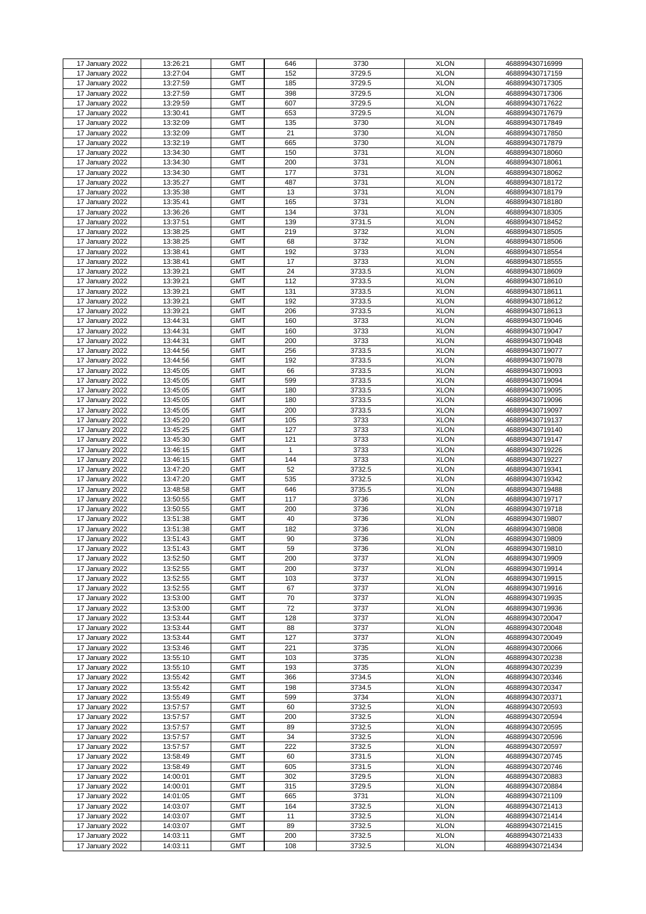| 17 January 2022 | 13:26:21 | <b>GMT</b> | 646 | 3730   | <b>XLON</b> | 468899430716999 |
|-----------------|----------|------------|-----|--------|-------------|-----------------|
| 17 January 2022 | 13:27:04 | <b>GMT</b> | 152 | 3729.5 | <b>XLON</b> | 468899430717159 |
|                 |          |            |     |        |             |                 |
| 17 January 2022 | 13:27:59 | <b>GMT</b> | 185 | 3729.5 | <b>XLON</b> | 468899430717305 |
| 17 January 2022 | 13:27:59 | <b>GMT</b> | 398 | 3729.5 | <b>XLON</b> | 468899430717306 |
|                 |          |            |     |        |             |                 |
| 17 January 2022 | 13:29:59 | <b>GMT</b> | 607 | 3729.5 | <b>XLON</b> | 468899430717622 |
| 17 January 2022 | 13:30:41 | <b>GMT</b> | 653 | 3729.5 | <b>XLON</b> | 468899430717679 |
| 17 January 2022 | 13:32:09 | <b>GMT</b> | 135 | 3730   | <b>XLON</b> | 468899430717849 |
|                 |          |            |     |        |             |                 |
| 17 January 2022 | 13:32:09 | <b>GMT</b> | 21  | 3730   | <b>XLON</b> | 468899430717850 |
| 17 January 2022 | 13:32:19 | <b>GMT</b> | 665 | 3730   | <b>XLON</b> | 468899430717879 |
|                 |          |            |     |        |             |                 |
| 17 January 2022 | 13:34:30 | <b>GMT</b> | 150 | 3731   | <b>XLON</b> | 468899430718060 |
| 17 January 2022 | 13:34:30 | <b>GMT</b> | 200 | 3731   | <b>XLON</b> | 468899430718061 |
| 17 January 2022 | 13:34:30 | <b>GMT</b> | 177 | 3731   | <b>XLON</b> | 468899430718062 |
|                 |          |            |     |        |             |                 |
| 17 January 2022 | 13:35:27 | <b>GMT</b> | 487 | 3731   | <b>XLON</b> | 468899430718172 |
| 17 January 2022 | 13:35:38 | <b>GMT</b> | 13  | 3731   | <b>XLON</b> | 468899430718179 |
| 17 January 2022 | 13:35:41 | <b>GMT</b> | 165 | 3731   | <b>XLON</b> | 468899430718180 |
|                 |          |            |     |        |             |                 |
| 17 January 2022 | 13:36:26 | <b>GMT</b> | 134 | 3731   | <b>XLON</b> | 468899430718305 |
| 17 January 2022 | 13:37:51 | <b>GMT</b> | 139 | 3731.5 | <b>XLON</b> | 468899430718452 |
| 17 January 2022 | 13:38:25 | <b>GMT</b> | 219 | 3732   | <b>XLON</b> | 468899430718505 |
|                 |          |            |     |        |             |                 |
| 17 January 2022 | 13:38:25 | <b>GMT</b> | 68  | 3732   | <b>XLON</b> | 468899430718506 |
| 17 January 2022 | 13:38:41 | <b>GMT</b> | 192 | 3733   | <b>XLON</b> | 468899430718554 |
|                 |          | <b>GMT</b> | 17  | 3733   | <b>XLON</b> |                 |
| 17 January 2022 | 13:38:41 |            |     |        |             | 468899430718555 |
| 17 January 2022 | 13:39:21 | <b>GMT</b> | 24  | 3733.5 | <b>XLON</b> | 468899430718609 |
| 17 January 2022 | 13:39:21 | <b>GMT</b> | 112 | 3733.5 | <b>XLON</b> | 468899430718610 |
|                 |          |            |     |        |             |                 |
| 17 January 2022 | 13:39:21 | <b>GMT</b> | 131 | 3733.5 | <b>XLON</b> | 468899430718611 |
| 17 January 2022 | 13:39:21 | <b>GMT</b> | 192 | 3733.5 | <b>XLON</b> | 468899430718612 |
| 17 January 2022 | 13:39:21 | <b>GMT</b> | 206 | 3733.5 | <b>XLON</b> | 468899430718613 |
|                 |          |            |     |        |             |                 |
| 17 January 2022 | 13:44:31 | <b>GMT</b> | 160 | 3733   | <b>XLON</b> | 468899430719046 |
| 17 January 2022 | 13:44:31 | <b>GMT</b> | 160 | 3733   | <b>XLON</b> | 468899430719047 |
|                 | 13:44:31 | <b>GMT</b> | 200 | 3733   | <b>XLON</b> | 468899430719048 |
| 17 January 2022 |          |            |     |        |             |                 |
| 17 January 2022 | 13:44:56 | <b>GMT</b> | 256 | 3733.5 | <b>XLON</b> | 468899430719077 |
| 17 January 2022 | 13:44:56 | <b>GMT</b> | 192 | 3733.5 | <b>XLON</b> | 468899430719078 |
|                 |          | <b>GMT</b> |     | 3733.5 | <b>XLON</b> |                 |
| 17 January 2022 | 13:45:05 |            | 66  |        |             | 468899430719093 |
| 17 January 2022 | 13:45:05 | <b>GMT</b> | 599 | 3733.5 | <b>XLON</b> | 468899430719094 |
| 17 January 2022 | 13:45:05 | <b>GMT</b> | 180 | 3733.5 | <b>XLON</b> | 468899430719095 |
|                 |          |            |     |        |             |                 |
| 17 January 2022 | 13:45:05 | <b>GMT</b> | 180 | 3733.5 | <b>XLON</b> | 468899430719096 |
| 17 January 2022 | 13:45:05 | <b>GMT</b> | 200 | 3733.5 | <b>XLON</b> | 468899430719097 |
| 17 January 2022 | 13:45:20 | <b>GMT</b> | 105 | 3733   | <b>XLON</b> | 468899430719137 |
|                 |          |            |     |        |             |                 |
| 17 January 2022 | 13:45:25 | <b>GMT</b> | 127 | 3733   | <b>XLON</b> | 468899430719140 |
| 17 January 2022 | 13:45:30 | <b>GMT</b> | 121 | 3733   | <b>XLON</b> | 468899430719147 |
| 17 January 2022 | 13:46:15 | <b>GMT</b> | 1   | 3733   | <b>XLON</b> | 468899430719226 |
|                 |          |            |     |        |             |                 |
| 17 January 2022 | 13:46:15 | <b>GMT</b> | 144 | 3733   | <b>XLON</b> | 468899430719227 |
| 17 January 2022 | 13:47:20 | <b>GMT</b> | 52  | 3732.5 | <b>XLON</b> | 468899430719341 |
|                 |          |            |     |        |             |                 |
| 17 January 2022 | 13:47:20 | <b>GMT</b> | 535 | 3732.5 | <b>XLON</b> | 468899430719342 |
| 17 January 2022 | 13:48:58 | <b>GMT</b> | 646 | 3735.5 | <b>XLON</b> | 468899430719488 |
| 17 January 2022 | 13:50:55 | <b>GMT</b> | 117 | 3736   | <b>XLON</b> | 468899430719717 |
|                 |          |            |     |        |             |                 |
| 17 January 2022 | 13:50:55 | <b>GMT</b> | 200 | 3736   | <b>XLON</b> | 468899430719718 |
| 17 January 2022 | 13:51:38 | <b>GMT</b> | 40  | 3736   | <b>XLON</b> | 468899430719807 |
| 17 January 2022 | 13:51:38 | <b>GMT</b> | 182 | 3736   | <b>XLON</b> | 468899430719808 |
|                 |          |            |     |        |             |                 |
| 17 January 2022 | 13:51:43 | <b>GMT</b> | 90  | 3736   | <b>XLON</b> | 468899430719809 |
| 17 January 2022 | 13:51:43 | <b>GMT</b> | 59  | 3736   | <b>XLON</b> | 468899430719810 |
|                 | 13:52:50 | <b>GMT</b> | 200 | 3737   | <b>XLON</b> |                 |
| 17 January 2022 |          |            |     |        |             | 468899430719909 |
| 17 January 2022 | 13:52:55 | <b>GMT</b> | 200 | 3737   | <b>XLON</b> | 468899430719914 |
| 17 January 2022 | 13:52:55 | <b>GMT</b> | 103 | 3737   | <b>XLON</b> | 468899430719915 |
| 17 January 2022 | 13:52:55 | <b>GMT</b> | 67  | 3737   | <b>XLON</b> | 468899430719916 |
|                 |          |            |     |        |             |                 |
| 17 January 2022 | 13:53:00 | <b>GMT</b> | 70  | 3737   | <b>XLON</b> | 468899430719935 |
| 17 January 2022 | 13:53:00 | <b>GMT</b> | 72  | 3737   | <b>XLON</b> | 468899430719936 |
| 17 January 2022 | 13:53:44 | <b>GMT</b> | 128 | 3737   | <b>XLON</b> | 468899430720047 |
|                 |          |            |     |        |             |                 |
| 17 January 2022 | 13:53:44 | <b>GMT</b> | 88  | 3737   | <b>XLON</b> | 468899430720048 |
| 17 January 2022 | 13:53:44 | <b>GMT</b> | 127 | 3737   | <b>XLON</b> | 468899430720049 |
| 17 January 2022 | 13:53:46 | <b>GMT</b> | 221 | 3735   | <b>XLON</b> | 468899430720066 |
|                 |          |            |     |        |             |                 |
| 17 January 2022 | 13:55:10 | <b>GMT</b> | 103 | 3735   | <b>XLON</b> | 468899430720238 |
| 17 January 2022 | 13:55:10 | <b>GMT</b> | 193 | 3735   | <b>XLON</b> | 468899430720239 |
| 17 January 2022 | 13:55:42 | <b>GMT</b> | 366 | 3734.5 | <b>XLON</b> | 468899430720346 |
|                 |          |            |     |        |             |                 |
| 17 January 2022 | 13:55:42 | <b>GMT</b> | 198 | 3734.5 | <b>XLON</b> | 468899430720347 |
| 17 January 2022 | 13:55:49 | <b>GMT</b> | 599 | 3734   | <b>XLON</b> | 468899430720371 |
| 17 January 2022 | 13:57:57 | <b>GMT</b> | 60  | 3732.5 | <b>XLON</b> | 468899430720593 |
|                 |          |            |     |        |             |                 |
| 17 January 2022 | 13:57:57 | <b>GMT</b> | 200 | 3732.5 | <b>XLON</b> | 468899430720594 |
| 17 January 2022 | 13:57:57 | <b>GMT</b> | 89  | 3732.5 | <b>XLON</b> | 468899430720595 |
| 17 January 2022 | 13:57:57 | <b>GMT</b> | 34  | 3732.5 | <b>XLON</b> | 468899430720596 |
|                 |          |            |     |        |             |                 |
| 17 January 2022 | 13:57:57 | <b>GMT</b> | 222 | 3732.5 | <b>XLON</b> | 468899430720597 |
| 17 January 2022 | 13:58:49 | <b>GMT</b> | 60  | 3731.5 | <b>XLON</b> | 468899430720745 |
| 17 January 2022 | 13:58:49 | <b>GMT</b> | 605 | 3731.5 | <b>XLON</b> | 468899430720746 |
|                 |          |            |     |        |             |                 |
| 17 January 2022 | 14:00:01 | <b>GMT</b> | 302 | 3729.5 | <b>XLON</b> | 468899430720883 |
| 17 January 2022 | 14:00:01 | <b>GMT</b> | 315 | 3729.5 | <b>XLON</b> | 468899430720884 |
| 17 January 2022 | 14:01:05 | <b>GMT</b> | 665 | 3731   | <b>XLON</b> | 468899430721109 |
|                 |          |            |     |        |             |                 |
| 17 January 2022 | 14:03:07 | <b>GMT</b> | 164 | 3732.5 | <b>XLON</b> | 468899430721413 |
| 17 January 2022 | 14:03:07 | <b>GMT</b> | 11  | 3732.5 | <b>XLON</b> | 468899430721414 |
| 17 January 2022 | 14:03:07 | <b>GMT</b> | 89  | 3732.5 | <b>XLON</b> | 468899430721415 |
|                 |          |            |     |        |             |                 |
| 17 January 2022 | 14:03:11 | <b>GMT</b> | 200 | 3732.5 | <b>XLON</b> | 468899430721433 |
| 17 January 2022 | 14:03:11 | <b>GMT</b> | 108 | 3732.5 | <b>XLON</b> | 468899430721434 |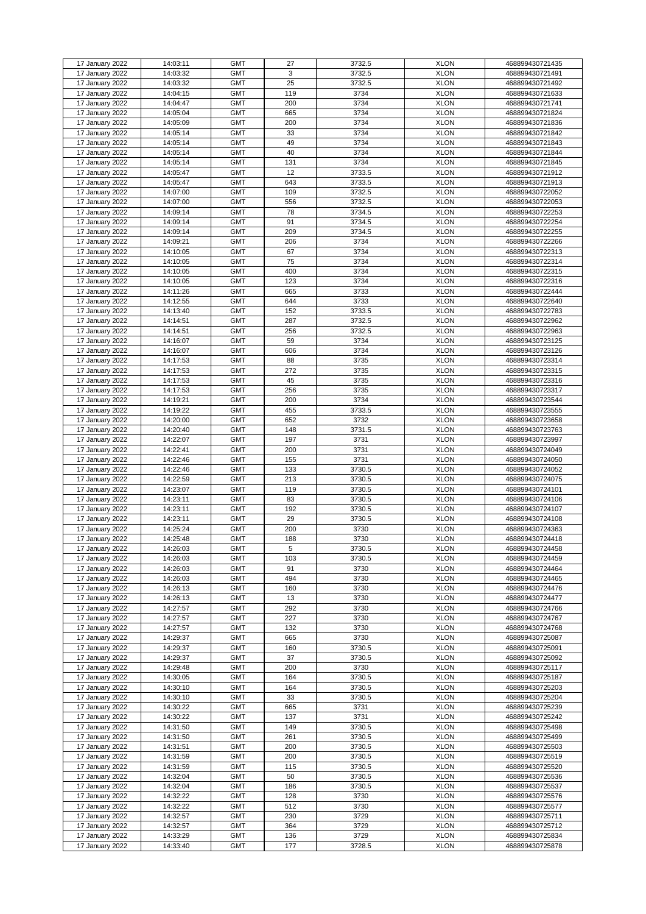| 17 January 2022 | 14:03:11 | <b>GMT</b> | 27  | 3732.5 | <b>XLON</b> | 468899430721435 |
|-----------------|----------|------------|-----|--------|-------------|-----------------|
| 17 January 2022 | 14:03:32 | <b>GMT</b> | 3   | 3732.5 | <b>XLON</b> | 468899430721491 |
| 17 January 2022 | 14:03:32 | <b>GMT</b> | 25  | 3732.5 | <b>XLON</b> | 468899430721492 |
| 17 January 2022 | 14:04:15 | <b>GMT</b> | 119 | 3734   | <b>XLON</b> | 468899430721633 |
| 17 January 2022 | 14:04:47 | <b>GMT</b> | 200 | 3734   | <b>XLON</b> | 468899430721741 |
| 17 January 2022 | 14:05:04 | <b>GMT</b> | 665 | 3734   | <b>XLON</b> | 468899430721824 |
|                 |          |            |     |        |             |                 |
| 17 January 2022 | 14:05:09 | <b>GMT</b> | 200 | 3734   | <b>XLON</b> | 468899430721836 |
| 17 January 2022 | 14:05:14 | <b>GMT</b> | 33  | 3734   | <b>XLON</b> | 468899430721842 |
| 17 January 2022 | 14:05:14 | <b>GMT</b> | 49  | 3734   | <b>XLON</b> | 468899430721843 |
| 17 January 2022 | 14:05:14 | <b>GMT</b> | 40  | 3734   | <b>XLON</b> | 468899430721844 |
| 17 January 2022 |          | <b>GMT</b> |     | 3734   | <b>XLON</b> |                 |
|                 | 14:05:14 |            | 131 |        |             | 468899430721845 |
| 17 January 2022 | 14:05:47 | <b>GMT</b> | 12  | 3733.5 | <b>XLON</b> | 468899430721912 |
| 17 January 2022 | 14:05:47 | <b>GMT</b> | 643 | 3733.5 | <b>XLON</b> | 468899430721913 |
| 17 January 2022 | 14:07:00 | <b>GMT</b> | 109 | 3732.5 | <b>XLON</b> | 468899430722052 |
| 17 January 2022 | 14:07:00 | <b>GMT</b> | 556 | 3732.5 | <b>XLON</b> | 468899430722053 |
| 17 January 2022 | 14:09:14 | <b>GMT</b> | 78  | 3734.5 | <b>XLON</b> |                 |
|                 |          |            |     |        |             | 468899430722253 |
| 17 January 2022 | 14:09:14 | <b>GMT</b> | 91  | 3734.5 | <b>XLON</b> | 468899430722254 |
| 17 January 2022 | 14:09:14 | <b>GMT</b> | 209 | 3734.5 | <b>XLON</b> | 468899430722255 |
| 17 January 2022 | 14:09:21 | <b>GMT</b> | 206 | 3734   | <b>XLON</b> | 468899430722266 |
| 17 January 2022 | 14:10:05 | <b>GMT</b> | 67  | 3734   | <b>XLON</b> | 468899430722313 |
| 17 January 2022 | 14:10:05 | <b>GMT</b> | 75  | 3734   | <b>XLON</b> | 468899430722314 |
|                 |          |            |     |        |             |                 |
| 17 January 2022 | 14:10:05 | <b>GMT</b> | 400 | 3734   | <b>XLON</b> | 468899430722315 |
| 17 January 2022 | 14:10:05 | <b>GMT</b> | 123 | 3734   | <b>XLON</b> | 468899430722316 |
| 17 January 2022 | 14:11:26 | <b>GMT</b> | 665 | 3733   | <b>XLON</b> | 468899430722444 |
| 17 January 2022 | 14:12:55 | <b>GMT</b> | 644 | 3733   | <b>XLON</b> | 468899430722640 |
| 17 January 2022 | 14:13:40 | <b>GMT</b> | 152 | 3733.5 | <b>XLON</b> | 468899430722783 |
|                 |          |            |     |        |             |                 |
| 17 January 2022 | 14:14:51 | <b>GMT</b> | 287 | 3732.5 | <b>XLON</b> | 468899430722962 |
| 17 January 2022 | 14:14:51 | <b>GMT</b> | 256 | 3732.5 | <b>XLON</b> | 468899430722963 |
| 17 January 2022 | 14:16:07 | <b>GMT</b> | 59  | 3734   | <b>XLON</b> | 468899430723125 |
| 17 January 2022 | 14:16:07 | <b>GMT</b> | 606 | 3734   | <b>XLON</b> | 468899430723126 |
| 17 January 2022 | 14:17:53 | <b>GMT</b> | 88  | 3735   | <b>XLON</b> | 468899430723314 |
|                 |          |            |     |        |             |                 |
| 17 January 2022 | 14:17:53 | <b>GMT</b> | 272 | 3735   | <b>XLON</b> | 468899430723315 |
| 17 January 2022 | 14:17:53 | <b>GMT</b> | 45  | 3735   | <b>XLON</b> | 468899430723316 |
| 17 January 2022 | 14:17:53 | <b>GMT</b> | 256 | 3735   | <b>XLON</b> | 468899430723317 |
| 17 January 2022 | 14:19:21 | <b>GMT</b> | 200 | 3734   | <b>XLON</b> | 468899430723544 |
| 17 January 2022 | 14:19:22 | <b>GMT</b> | 455 | 3733.5 | <b>XLON</b> | 468899430723555 |
|                 |          |            |     |        |             |                 |
| 17 January 2022 | 14:20:00 | <b>GMT</b> | 652 | 3732   | <b>XLON</b> | 468899430723658 |
| 17 January 2022 | 14:20:40 | <b>GMT</b> | 148 | 3731.5 | <b>XLON</b> | 468899430723763 |
| 17 January 2022 | 14:22:07 | <b>GMT</b> | 197 | 3731   | <b>XLON</b> | 468899430723997 |
| 17 January 2022 | 14:22:41 | <b>GMT</b> | 200 | 3731   | <b>XLON</b> | 468899430724049 |
| 17 January 2022 | 14:22:46 | <b>GMT</b> | 155 | 3731   | <b>XLON</b> | 468899430724050 |
|                 | 14:22:46 |            |     |        |             |                 |
| 17 January 2022 |          | <b>GMT</b> | 133 | 3730.5 | <b>XLON</b> | 468899430724052 |
| 17 January 2022 | 14:22:59 | <b>GMT</b> | 213 | 3730.5 | <b>XLON</b> | 468899430724075 |
| 17 January 2022 | 14:23:07 | <b>GMT</b> | 119 | 3730.5 | <b>XLON</b> | 468899430724101 |
| 17 January 2022 | 14:23:11 | <b>GMT</b> | 83  | 3730.5 | <b>XLON</b> | 468899430724106 |
| 17 January 2022 | 14:23:11 | <b>GMT</b> | 192 | 3730.5 | <b>XLON</b> | 468899430724107 |
|                 |          | <b>GMT</b> |     |        |             |                 |
| 17 January 2022 | 14:23:11 |            | 29  | 3730.5 | <b>XLON</b> | 468899430724108 |
| 17 January 2022 | 14:25:24 | <b>GMT</b> | 200 | 3730   | <b>XLON</b> | 468899430724363 |
| 17 January 2022 | 14:25:48 | <b>GMT</b> | 188 | 3730   | <b>XLON</b> | 468899430724418 |
| 17 January 2022 | 14:26:03 | <b>GMT</b> | 5   | 3730.5 | <b>XLON</b> | 468899430724458 |
| 17 January 2022 | 14:26:03 | <b>GMT</b> | 103 | 3730.5 | <b>XLON</b> | 468899430724459 |
| 17 January 2022 | 14:26:03 | <b>GMT</b> | 91  | 3730   | <b>XLON</b> | 468899430724464 |
|                 |          | <b>GMT</b> |     | 3730   |             |                 |
| 17 January 2022 | 14:26:03 |            | 494 |        | <b>XLON</b> | 468899430724465 |
| 17 January 2022 | 14:26:13 | <b>GMT</b> | 160 | 3730   | <b>XLON</b> | 468899430724476 |
| 17 January 2022 | 14:26:13 | <b>GMT</b> | 13  | 3730   | <b>XLON</b> | 468899430724477 |
| 17 January 2022 | 14:27:57 | <b>GMT</b> | 292 | 3730   | <b>XLON</b> | 468899430724766 |
| 17 January 2022 | 14:27:57 | <b>GMT</b> | 227 | 3730   | <b>XLON</b> | 468899430724767 |
| 17 January 2022 | 14:27:57 | <b>GMT</b> | 132 | 3730   | <b>XLON</b> | 468899430724768 |
|                 |          |            |     |        |             |                 |
| 17 January 2022 | 14:29:37 | <b>GMT</b> | 665 | 3730   | <b>XLON</b> | 468899430725087 |
| 17 January 2022 | 14:29:37 | <b>GMT</b> | 160 | 3730.5 | <b>XLON</b> | 468899430725091 |
| 17 January 2022 | 14:29:37 | <b>GMT</b> | 37  | 3730.5 | <b>XLON</b> | 468899430725092 |
| 17 January 2022 | 14:29:48 | <b>GMT</b> | 200 | 3730   | <b>XLON</b> | 468899430725117 |
| 17 January 2022 | 14:30:05 | <b>GMT</b> | 164 | 3730.5 | <b>XLON</b> | 468899430725187 |
|                 | 14:30:10 | <b>GMT</b> |     | 3730.5 | <b>XLON</b> |                 |
| 17 January 2022 |          |            | 164 |        |             | 468899430725203 |
| 17 January 2022 | 14:30:10 | <b>GMT</b> | 33  | 3730.5 | <b>XLON</b> | 468899430725204 |
| 17 January 2022 | 14:30:22 | <b>GMT</b> | 665 | 3731   | <b>XLON</b> | 468899430725239 |
| 17 January 2022 | 14:30:22 | <b>GMT</b> | 137 | 3731   | <b>XLON</b> | 468899430725242 |
| 17 January 2022 | 14:31:50 | <b>GMT</b> | 149 | 3730.5 | <b>XLON</b> | 468899430725498 |
| 17 January 2022 | 14:31:50 | <b>GMT</b> | 261 | 3730.5 | <b>XLON</b> | 468899430725499 |
|                 |          |            |     |        |             |                 |
| 17 January 2022 | 14:31:51 | <b>GMT</b> | 200 | 3730.5 | <b>XLON</b> | 468899430725503 |
| 17 January 2022 | 14:31:59 | <b>GMT</b> | 200 | 3730.5 | <b>XLON</b> | 468899430725519 |
| 17 January 2022 | 14:31:59 | <b>GMT</b> | 115 | 3730.5 | <b>XLON</b> | 468899430725520 |
| 17 January 2022 | 14:32:04 | <b>GMT</b> | 50  | 3730.5 | <b>XLON</b> | 468899430725536 |
| 17 January 2022 | 14:32:04 | <b>GMT</b> | 186 | 3730.5 | <b>XLON</b> | 468899430725537 |
|                 |          |            |     |        |             |                 |
| 17 January 2022 | 14:32:22 | <b>GMT</b> | 128 | 3730   | <b>XLON</b> | 468899430725576 |
| 17 January 2022 | 14:32:22 | <b>GMT</b> | 512 | 3730   | <b>XLON</b> | 468899430725577 |
| 17 January 2022 | 14:32:57 | <b>GMT</b> | 230 | 3729   | <b>XLON</b> | 468899430725711 |
| 17 January 2022 | 14:32:57 | <b>GMT</b> | 364 | 3729   | <b>XLON</b> | 468899430725712 |
| 17 January 2022 | 14:33:29 | <b>GMT</b> | 136 | 3729   | <b>XLON</b> | 468899430725834 |
| 17 January 2022 |          |            |     |        |             |                 |
|                 | 14:33:40 | <b>GMT</b> | 177 | 3728.5 | <b>XLON</b> | 468899430725878 |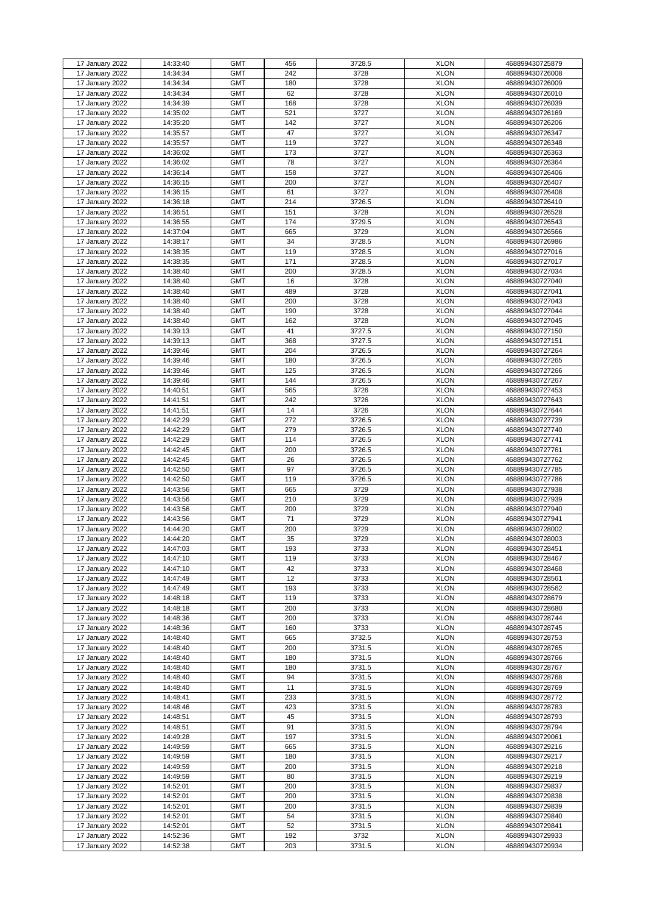|                 | 14:33:40 | <b>GMT</b> | 456 |        | <b>XLON</b> |                 |
|-----------------|----------|------------|-----|--------|-------------|-----------------|
| 17 January 2022 |          |            |     | 3728.5 |             | 468899430725879 |
| 17 January 2022 | 14:34:34 | <b>GMT</b> | 242 | 3728   | <b>XLON</b> | 468899430726008 |
| 17 January 2022 | 14:34:34 | <b>GMT</b> | 180 | 3728   | <b>XLON</b> | 468899430726009 |
| 17 January 2022 | 14:34:34 | <b>GMT</b> | 62  | 3728   | <b>XLON</b> | 468899430726010 |
|                 |          |            |     | 3728   |             |                 |
| 17 January 2022 | 14:34:39 | <b>GMT</b> | 168 |        | <b>XLON</b> | 468899430726039 |
| 17 January 2022 | 14:35:02 | <b>GMT</b> | 521 | 3727   | <b>XLON</b> | 468899430726169 |
| 17 January 2022 | 14:35:20 | <b>GMT</b> | 142 | 3727   | <b>XLON</b> | 468899430726206 |
| 17 January 2022 | 14:35:57 | <b>GMT</b> | 47  | 3727   | <b>XLON</b> | 468899430726347 |
|                 |          |            |     |        |             |                 |
| 17 January 2022 | 14:35:57 | <b>GMT</b> | 119 | 3727   | <b>XLON</b> | 468899430726348 |
| 17 January 2022 | 14:36:02 | <b>GMT</b> | 173 | 3727   | <b>XLON</b> | 468899430726363 |
| 17 January 2022 | 14:36:02 | <b>GMT</b> | 78  | 3727   | <b>XLON</b> | 468899430726364 |
| 17 January 2022 | 14:36:14 | <b>GMT</b> | 158 | 3727   | <b>XLON</b> | 468899430726406 |
|                 |          |            |     |        |             |                 |
| 17 January 2022 | 14:36:15 | <b>GMT</b> | 200 | 3727   | <b>XLON</b> | 468899430726407 |
| 17 January 2022 | 14:36:15 | <b>GMT</b> | 61  | 3727   | <b>XLON</b> | 468899430726408 |
| 17 January 2022 | 14:36:18 | <b>GMT</b> | 214 | 3726.5 | <b>XLON</b> | 468899430726410 |
|                 |          |            |     |        |             |                 |
| 17 January 2022 | 14:36:51 | <b>GMT</b> | 151 | 3728   | <b>XLON</b> | 468899430726528 |
| 17 January 2022 | 14:36:55 | <b>GMT</b> | 174 | 3729.5 | <b>XLON</b> | 468899430726543 |
| 17 January 2022 | 14:37:04 | <b>GMT</b> | 665 | 3729   | <b>XLON</b> | 468899430726566 |
| 17 January 2022 | 14:38:17 | <b>GMT</b> | 34  | 3728.5 | <b>XLON</b> | 468899430726986 |
|                 |          |            |     |        |             |                 |
| 17 January 2022 | 14:38:35 | <b>GMT</b> | 119 | 3728.5 | <b>XLON</b> | 468899430727016 |
| 17 January 2022 | 14:38:35 | <b>GMT</b> | 171 | 3728.5 | <b>XLON</b> | 468899430727017 |
| 17 January 2022 | 14:38:40 | <b>GMT</b> | 200 | 3728.5 | <b>XLON</b> | 468899430727034 |
| 17 January 2022 | 14:38:40 | <b>GMT</b> | 16  | 3728   | <b>XLON</b> | 468899430727040 |
|                 |          |            |     |        |             |                 |
| 17 January 2022 | 14:38:40 | <b>GMT</b> | 489 | 3728   | <b>XLON</b> | 468899430727041 |
| 17 January 2022 | 14:38:40 | <b>GMT</b> | 200 | 3728   | <b>XLON</b> | 468899430727043 |
| 17 January 2022 | 14:38:40 | <b>GMT</b> | 190 | 3728   | <b>XLON</b> | 468899430727044 |
|                 |          |            |     |        |             |                 |
| 17 January 2022 | 14:38:40 | <b>GMT</b> | 162 | 3728   | <b>XLON</b> | 468899430727045 |
| 17 January 2022 | 14:39:13 | <b>GMT</b> | 41  | 3727.5 | <b>XLON</b> | 468899430727150 |
| 17 January 2022 | 14:39:13 | <b>GMT</b> | 368 | 3727.5 | <b>XLON</b> | 468899430727151 |
| 17 January 2022 | 14:39:46 | <b>GMT</b> | 204 | 3726.5 | <b>XLON</b> | 468899430727264 |
|                 |          |            |     |        |             |                 |
| 17 January 2022 | 14:39:46 | <b>GMT</b> | 180 | 3726.5 | <b>XLON</b> | 468899430727265 |
| 17 January 2022 | 14:39:46 | <b>GMT</b> | 125 | 3726.5 | <b>XLON</b> | 468899430727266 |
| 17 January 2022 | 14:39:46 | <b>GMT</b> | 144 | 3726.5 | <b>XLON</b> | 468899430727267 |
| 17 January 2022 | 14:40:51 | <b>GMT</b> | 565 | 3726   | <b>XLON</b> | 468899430727453 |
|                 |          |            |     |        |             |                 |
| 17 January 2022 | 14:41:51 | <b>GMT</b> | 242 | 3726   | <b>XLON</b> | 468899430727643 |
| 17 January 2022 | 14:41:51 | <b>GMT</b> | 14  | 3726   | <b>XLON</b> | 468899430727644 |
| 17 January 2022 | 14:42:29 | <b>GMT</b> | 272 | 3726.5 | <b>XLON</b> | 468899430727739 |
|                 | 14:42:29 | <b>GMT</b> | 279 |        | <b>XLON</b> | 468899430727740 |
| 17 January 2022 |          |            |     | 3726.5 |             |                 |
| 17 January 2022 | 14:42:29 | <b>GMT</b> | 114 | 3726.5 | <b>XLON</b> | 468899430727741 |
| 17 January 2022 | 14:42:45 | <b>GMT</b> | 200 | 3726.5 | <b>XLON</b> | 468899430727761 |
| 17 January 2022 | 14:42:45 | <b>GMT</b> | 26  | 3726.5 | <b>XLON</b> | 468899430727762 |
|                 |          |            |     |        |             |                 |
| 17 January 2022 | 14:42:50 | <b>GMT</b> | 97  | 3726.5 | <b>XLON</b> | 468899430727785 |
| 17 January 2022 | 14:42:50 | <b>GMT</b> | 119 | 3726.5 | <b>XLON</b> | 468899430727786 |
| 17 January 2022 | 14:43:56 | <b>GMT</b> | 665 | 3729   | <b>XLON</b> | 468899430727938 |
| 17 January 2022 | 14:43:56 | <b>GMT</b> | 210 | 3729   | <b>XLON</b> | 468899430727939 |
|                 |          |            |     |        |             |                 |
| 17 January 2022 | 14:43:56 | <b>GMT</b> | 200 | 3729   | <b>XLON</b> | 468899430727940 |
| 17 January 2022 | 14:43:56 | <b>GMT</b> | 71  | 3729   | <b>XLON</b> | 468899430727941 |
| 17 January 2022 | 14:44:20 | <b>GMT</b> | 200 | 3729   | <b>XLON</b> | 468899430728002 |
| 17 January 2022 | 14:44:20 | <b>GMT</b> | 35  | 3729   | <b>XLON</b> | 468899430728003 |
|                 |          |            |     |        |             |                 |
| 17 January 2022 | 14:47:03 | <b>GMT</b> | 193 | 3733   | <b>XLON</b> | 468899430728451 |
| 17 January 2022 | 14:47:10 | <b>GMT</b> | 119 | 3733   | <b>XLON</b> | 468899430728467 |
| 17 January 2022 | 14:47:10 | <b>GMT</b> | 42  | 3733   | <b>XLON</b> | 468899430728468 |
| 17 January 2022 | 14:47:49 | <b>GMT</b> | 12  | 3733   | <b>XLON</b> | 468899430728561 |
|                 |          |            |     |        |             |                 |
| 17 January 2022 | 14:47:49 | <b>GMT</b> | 193 | 3733   | <b>XLON</b> | 468899430728562 |
| 17 January 2022 | 14:48:18 | <b>GMT</b> | 119 | 3733   | <b>XLON</b> | 468899430728679 |
| 17 January 2022 | 14:48:18 | <b>GMT</b> | 200 | 3733   | <b>XLON</b> | 468899430728680 |
| 17 January 2022 | 14:48:36 | <b>GMT</b> | 200 | 3733   | <b>XLON</b> | 468899430728744 |
|                 |          |            |     |        |             |                 |
| 17 January 2022 | 14:48:36 | <b>GMT</b> | 160 | 3733   | <b>XLON</b> | 468899430728745 |
| 17 January 2022 | 14:48:40 | <b>GMT</b> | 665 | 3732.5 | <b>XLON</b> | 468899430728753 |
| 17 January 2022 | 14:48:40 | <b>GMT</b> | 200 | 3731.5 | <b>XLON</b> | 468899430728765 |
|                 |          | <b>GMT</b> |     |        | <b>XLON</b> |                 |
| 17 January 2022 | 14:48:40 |            | 180 | 3731.5 |             | 468899430728766 |
| 17 January 2022 | 14:48:40 | <b>GMT</b> | 180 | 3731.5 | <b>XLON</b> | 468899430728767 |
| 17 January 2022 | 14:48:40 | <b>GMT</b> | 94  | 3731.5 | <b>XLON</b> | 468899430728768 |
| 17 January 2022 | 14:48:40 | <b>GMT</b> | 11  | 3731.5 | <b>XLON</b> | 468899430728769 |
|                 |          |            |     |        |             |                 |
| 17 January 2022 | 14:48:41 | <b>GMT</b> | 233 | 3731.5 | <b>XLON</b> | 468899430728772 |
| 17 January 2022 | 14:48:46 | <b>GMT</b> | 423 | 3731.5 | <b>XLON</b> | 468899430728783 |
| 17 January 2022 | 14:48:51 | <b>GMT</b> | 45  | 3731.5 | <b>XLON</b> | 468899430728793 |
| 17 January 2022 | 14:48:51 | <b>GMT</b> | 91  | 3731.5 | <b>XLON</b> | 468899430728794 |
|                 |          |            |     |        |             |                 |
| 17 January 2022 | 14:49:28 | <b>GMT</b> | 197 | 3731.5 | <b>XLON</b> | 468899430729061 |
| 17 January 2022 | 14:49:59 | <b>GMT</b> | 665 | 3731.5 | <b>XLON</b> | 468899430729216 |
| 17 January 2022 | 14:49:59 | <b>GMT</b> | 180 | 3731.5 | <b>XLON</b> | 468899430729217 |
|                 |          |            |     |        |             |                 |
| 17 January 2022 | 14:49:59 | <b>GMT</b> | 200 | 3731.5 | <b>XLON</b> | 468899430729218 |
| 17 January 2022 | 14:49:59 | <b>GMT</b> | 80  | 3731.5 | <b>XLON</b> | 468899430729219 |
| 17 January 2022 | 14:52:01 | <b>GMT</b> | 200 | 3731.5 | <b>XLON</b> | 468899430729837 |
| 17 January 2022 | 14:52:01 | <b>GMT</b> | 200 | 3731.5 | <b>XLON</b> | 468899430729838 |
|                 |          |            |     |        |             |                 |
| 17 January 2022 | 14:52:01 | <b>GMT</b> | 200 | 3731.5 | <b>XLON</b> | 468899430729839 |
| 17 January 2022 | 14:52:01 | <b>GMT</b> | 54  | 3731.5 | <b>XLON</b> | 468899430729840 |
| 17 January 2022 | 14:52:01 | <b>GMT</b> | 52  | 3731.5 | <b>XLON</b> | 468899430729841 |
| 17 January 2022 | 14:52:36 | <b>GMT</b> | 192 | 3732   | <b>XLON</b> | 468899430729933 |
|                 | 14:52:38 |            |     |        |             |                 |
| 17 January 2022 |          | <b>GMT</b> | 203 | 3731.5 | <b>XLON</b> | 468899430729934 |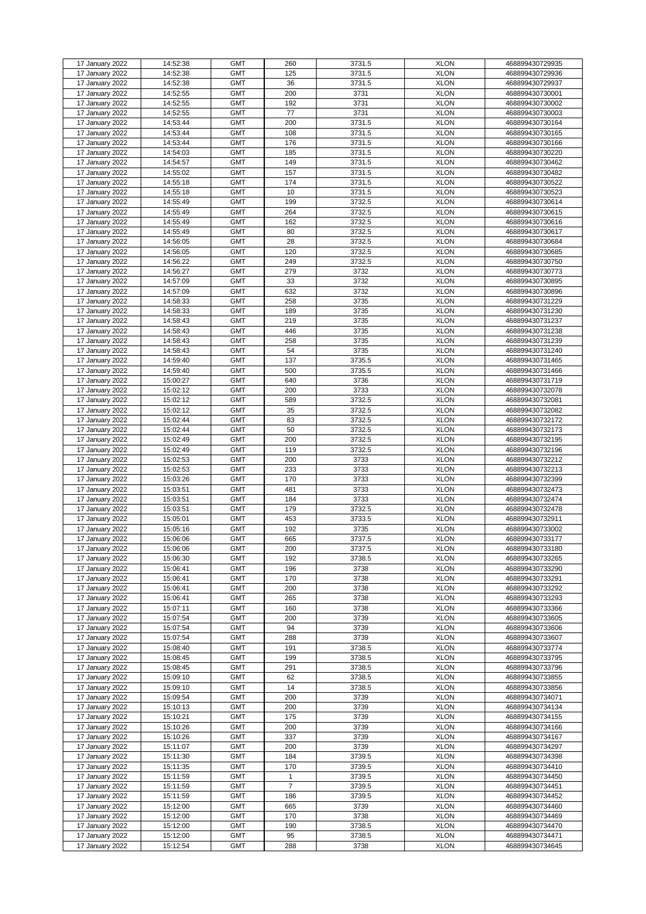| 17 January 2022                    | 14:52:38             |                          |                |                |                            |                                    |
|------------------------------------|----------------------|--------------------------|----------------|----------------|----------------------------|------------------------------------|
|                                    |                      | <b>GMT</b>               | 260            | 3731.5         | <b>XLON</b>                | 468899430729935                    |
|                                    |                      |                          |                |                |                            |                                    |
| 17 January 2022                    | 14:52:38             | <b>GMT</b>               | 125            | 3731.5         | <b>XLON</b>                | 468899430729936                    |
|                                    |                      |                          |                |                |                            |                                    |
| 17 January 2022                    | 14:52:38             | <b>GMT</b>               | 36             | 3731.5         | <b>XLON</b>                | 468899430729937                    |
| 17 January 2022                    | 14:52:55             | <b>GMT</b>               | 200            | 3731           | <b>XLON</b>                | 468899430730001                    |
|                                    |                      |                          |                |                |                            |                                    |
| 17 January 2022                    | 14:52:55             | <b>GMT</b>               | 192            | 3731           | <b>XLON</b>                | 468899430730002                    |
|                                    |                      |                          |                |                |                            |                                    |
| 17 January 2022                    | 14:52:55             | <b>GMT</b>               | 77             | 3731           | <b>XLON</b>                | 468899430730003                    |
| 17 January 2022                    | 14:53:44             | <b>GMT</b>               | 200            | 3731.5         | <b>XLON</b>                | 468899430730164                    |
|                                    |                      |                          |                |                |                            |                                    |
| 17 January 2022                    | 14:53:44             | <b>GMT</b>               | 108            | 3731.5         | <b>XLON</b>                | 468899430730165                    |
|                                    |                      |                          |                |                |                            |                                    |
| 17 January 2022                    | 14:53:44             | <b>GMT</b>               | 176            | 3731.5         | <b>XLON</b>                | 468899430730166                    |
| 17 January 2022                    | 14:54:03             | <b>GMT</b>               | 185            | 3731.5         | <b>XLON</b>                | 468899430730220                    |
|                                    |                      |                          |                |                |                            |                                    |
| 17 January 2022                    | 14:54:57             | <b>GMT</b>               | 149            | 3731.5         | <b>XLON</b>                | 468899430730462                    |
|                                    |                      |                          |                |                |                            |                                    |
| 17 January 2022                    | 14:55:02             | <b>GMT</b>               | 157            | 3731.5         | <b>XLON</b>                | 468899430730482                    |
|                                    |                      | <b>GMT</b>               | 174            |                | <b>XLON</b>                |                                    |
| 17 January 2022                    | 14:55:18             |                          |                | 3731.5         |                            | 468899430730522                    |
| 17 January 2022                    | 14:55:18             | <b>GMT</b>               | 10             | 3731.5         | <b>XLON</b>                | 468899430730523                    |
|                                    |                      |                          |                |                |                            |                                    |
| 17 January 2022                    | 14:55:49             | <b>GMT</b>               | 199            | 3732.5         | <b>XLON</b>                | 468899430730614                    |
|                                    |                      |                          |                |                |                            |                                    |
| 17 January 2022                    | 14:55:49             | <b>GMT</b>               | 264            | 3732.5         | <b>XLON</b>                | 468899430730615                    |
| 17 January 2022                    | 14:55:49             | <b>GMT</b>               | 162            | 3732.5         | <b>XLON</b>                | 468899430730616                    |
|                                    |                      |                          |                |                |                            |                                    |
| 17 January 2022                    | 14:55:49             | <b>GMT</b>               | 80             | 3732.5         | <b>XLON</b>                | 468899430730617                    |
|                                    |                      | <b>GMT</b>               | 28             |                | <b>XLON</b>                |                                    |
| 17 January 2022                    | 14:56:05             |                          |                | 3732.5         |                            | 468899430730684                    |
| 17 January 2022                    | 14:56:05             | <b>GMT</b>               | 120            | 3732.5         | <b>XLON</b>                | 468899430730685                    |
|                                    |                      |                          |                |                |                            |                                    |
| 17 January 2022                    | 14:56:22             | <b>GMT</b>               | 249            | 3732.5         | <b>XLON</b>                | 468899430730750                    |
|                                    |                      |                          |                |                |                            |                                    |
| 17 January 2022                    | 14:56:27             | <b>GMT</b>               | 279            | 3732           | <b>XLON</b>                | 468899430730773                    |
| 17 January 2022                    | 14:57:09             | <b>GMT</b>               | 33             | 3732           | <b>XLON</b>                | 468899430730895                    |
|                                    |                      |                          |                |                |                            |                                    |
| 17 January 2022                    | 14:57:09             | <b>GMT</b>               | 632            | 3732           | <b>XLON</b>                | 468899430730896                    |
|                                    |                      | <b>GMT</b>               |                |                | <b>XLON</b>                |                                    |
| 17 January 2022                    | 14:58:33             |                          | 258            | 3735           |                            | 468899430731229                    |
| 17 January 2022                    | 14:58:33             | <b>GMT</b>               | 189            | 3735           | <b>XLON</b>                | 468899430731230                    |
|                                    |                      |                          |                |                |                            |                                    |
| 17 January 2022                    | 14:58:43             | <b>GMT</b>               | 219            | 3735           | <b>XLON</b>                | 468899430731237                    |
|                                    |                      |                          |                |                |                            |                                    |
| 17 January 2022                    | 14:58:43             | <b>GMT</b>               | 446            | 3735           | <b>XLON</b>                | 468899430731238                    |
| 17 January 2022                    | 14:58:43             | <b>GMT</b>               | 258            | 3735           | <b>XLON</b>                | 468899430731239                    |
|                                    |                      |                          |                |                |                            |                                    |
| 17 January 2022                    | 14:58:43             | <b>GMT</b>               | 54             | 3735           | <b>XLON</b>                | 468899430731240                    |
|                                    |                      |                          |                |                |                            |                                    |
| 17 January 2022                    | 14:59:40             | <b>GMT</b>               | 137            | 3735.5         | <b>XLON</b>                | 468899430731465                    |
| 17 January 2022                    | 14:59:40             | <b>GMT</b>               | 500            | 3735.5         | <b>XLON</b>                | 468899430731466                    |
|                                    |                      |                          |                |                |                            |                                    |
| 17 January 2022                    | 15:00:27             | <b>GMT</b>               | 640            | 3736           | <b>XLON</b>                | 468899430731719                    |
|                                    |                      |                          |                |                |                            |                                    |
| 17 January 2022                    | 15:02:12             | <b>GMT</b>               | 200            | 3733           | <b>XLON</b>                | 468899430732078                    |
| 17 January 2022                    | 15:02:12             | <b>GMT</b>               | 589            | 3732.5         | <b>XLON</b>                | 468899430732081                    |
|                                    |                      |                          |                |                |                            |                                    |
| 17 January 2022                    | 15:02:12             | <b>GMT</b>               | 35             | 3732.5         | <b>XLON</b>                | 468899430732082                    |
|                                    |                      |                          |                |                |                            |                                    |
| 17 January 2022                    | 15:02:44             | <b>GMT</b>               | 83             | 3732.5         | <b>XLON</b>                | 468899430732172                    |
| 17 January 2022                    | 15:02:44             | <b>GMT</b>               | 50             | 3732.5         | <b>XLON</b>                | 468899430732173                    |
|                                    |                      |                          |                |                |                            |                                    |
| 17 January 2022                    | 15:02:49             | <b>GMT</b>               | 200            | 3732.5         | <b>XLON</b>                | 468899430732195                    |
|                                    |                      |                          |                |                |                            |                                    |
| 17 January 2022                    | 15:02:49             | <b>GMT</b>               | 119            | 3732.5         | <b>XLON</b>                | 468899430732196                    |
|                                    |                      | <b>GMT</b>               | 200            | 3733           | <b>XLON</b>                |                                    |
| 17 January 2022                    | 15:02:53             |                          |                |                |                            | 468899430732212                    |
| 17 January 2022                    | 15:02:53             | <b>GMT</b>               | 233            | 3733           | <b>XLON</b>                | 468899430732213                    |
|                                    |                      |                          |                |                |                            |                                    |
| 17 January 2022                    | 15:03:26             | <b>GMT</b>               | 170            | 3733           | <b>XLON</b>                | 468899430732399                    |
| 17 January 2022                    | 15:03:51             | <b>GMT</b>               | 481            | 3733           | <b>XLON</b>                |                                    |
|                                    |                      |                          |                |                |                            | 468899430732473                    |
| 17 January 2022                    | 15:03:51             | <b>GMT</b>               | 184            | 3733           | <b>XLON</b>                | 468899430732474                    |
|                                    |                      |                          |                |                |                            |                                    |
| 17 January 2022                    | 15:03:51             | <b>GMT</b>               | 179            | 3732.5         | <b>XLON</b>                | 468899430732478                    |
| 17 January 2022                    | 15:05:01             | <b>GMT</b>               | 453            | 3733.5         | <b>XLON</b>                | 468899430732911                    |
|                                    |                      |                          |                |                |                            |                                    |
| 17 January 2022                    | 15:05:16             | <b>GMT</b>               | 192            | 3735           | <b>XLON</b>                | 468899430733002                    |
|                                    |                      |                          |                |                |                            |                                    |
| 17 January 2022                    | 15:06:06             | <b>GMT</b>               | 665            | 3737.5         | <b>XLON</b>                | 468899430733177                    |
|                                    |                      |                          |                |                | <b>XLON</b>                |                                    |
| 17 January 2022                    | 15:06:06             | <b>GMT</b>               | 200            | 3737.5         |                            | 468899430733180                    |
| 17 January 2022                    | 15:06:30             | <b>GMT</b>               | 192            | 3738.5         |                            |                                    |
|                                    |                      |                          |                |                |                            |                                    |
| 17 January 2022                    | 15:06:41             | <b>GMT</b>               | 196            |                | <b>XLON</b>                | 468899430733265                    |
| 17 January 2022                    | 15:06:41             |                          |                | 3738           | <b>XLON</b>                | 468899430733290                    |
|                                    |                      |                          |                |                |                            |                                    |
| 17 January 2022                    |                      | <b>GMT</b>               | 170            | 3738           | <b>XLON</b>                | 468899430733291                    |
|                                    | 15:06:41             | <b>GMT</b>               | 200            | 3738           | <b>XLON</b>                |                                    |
|                                    |                      |                          |                |                |                            | 468899430733292                    |
| 17 January 2022                    | 15:06:41             | <b>GMT</b>               | 265            | 3738           | <b>XLON</b>                | 468899430733293                    |
|                                    |                      |                          |                |                |                            |                                    |
| 17 January 2022                    | 15:07:11             | <b>GMT</b>               | 160            | 3738           | <b>XLON</b>                | 468899430733366                    |
| 17 January 2022                    | 15:07:54             | <b>GMT</b>               | 200            | 3739           | <b>XLON</b>                | 468899430733605                    |
|                                    |                      |                          |                |                |                            |                                    |
| 17 January 2022                    | 15:07:54             | <b>GMT</b>               | 94             | 3739           | <b>XLON</b>                | 468899430733606                    |
|                                    |                      |                          |                |                |                            |                                    |
| 17 January 2022                    | 15:07:54             | <b>GMT</b>               | 288            | 3739           | <b>XLON</b>                | 468899430733607                    |
| 17 January 2022                    | 15:08:40             | <b>GMT</b>               | 191            | 3738.5         | <b>XLON</b>                | 468899430733774                    |
|                                    |                      |                          |                |                |                            |                                    |
| 17 January 2022                    | 15:08:45             | <b>GMT</b>               | 199            | 3738.5         | <b>XLON</b>                | 468899430733795                    |
|                                    |                      |                          |                |                |                            |                                    |
| 17 January 2022                    | 15:08:45             | <b>GMT</b>               | 291            | 3738.5         | <b>XLON</b>                | 468899430733796                    |
| 17 January 2022                    | 15:09:10             | <b>GMT</b>               | 62             | 3738.5         | <b>XLON</b>                | 468899430733855                    |
|                                    |                      |                          |                |                |                            |                                    |
| 17 January 2022                    | 15:09:10             | <b>GMT</b>               | 14             | 3738.5         | <b>XLON</b>                | 468899430733856                    |
|                                    | 15:09:54             | <b>GMT</b>               | 200            | 3739           | <b>XLON</b>                |                                    |
| 17 January 2022                    |                      |                          |                |                |                            | 468899430734071                    |
| 17 January 2022                    | 15:10:13             | <b>GMT</b>               | 200            | 3739           | <b>XLON</b>                | 468899430734134                    |
|                                    |                      |                          |                |                |                            |                                    |
| 17 January 2022                    | 15:10:21             | <b>GMT</b>               | 175            | 3739           | <b>XLON</b>                | 468899430734155                    |
|                                    |                      |                          |                |                |                            |                                    |
| 17 January 2022                    | 15:10:26             | <b>GMT</b>               | 200            | 3739           | <b>XLON</b>                | 468899430734166                    |
| 17 January 2022                    | 15:10:26             | <b>GMT</b>               | 337            | 3739           | <b>XLON</b>                | 468899430734167                    |
|                                    |                      |                          |                |                |                            |                                    |
| 17 January 2022                    | 15:11:07             | <b>GMT</b>               | 200            | 3739           | <b>XLON</b>                | 468899430734297                    |
|                                    |                      | <b>GMT</b>               | 184            |                |                            |                                    |
| 17 January 2022                    | 15:11:30             |                          |                | 3739.5         | <b>XLON</b>                | 468899430734398                    |
| 17 January 2022                    | 15:11:35             | <b>GMT</b>               | 170            | 3739.5         | <b>XLON</b>                | 468899430734410                    |
|                                    |                      |                          |                |                |                            |                                    |
| 17 January 2022                    | 15:11:59             | <b>GMT</b>               | 1              | 3739.5         | <b>XLON</b>                | 468899430734450                    |
| 17 January 2022                    | 15:11:59             | <b>GMT</b>               | $\overline{7}$ | 3739.5         | <b>XLON</b>                | 468899430734451                    |
|                                    |                      |                          |                |                |                            |                                    |
| 17 January 2022                    | 15:11:59             | <b>GMT</b>               | 186            | 3739.5         | <b>XLON</b>                | 468899430734452                    |
|                                    |                      |                          |                |                |                            |                                    |
| 17 January 2022                    | 15:12:00             | <b>GMT</b>               | 665            | 3739           | <b>XLON</b>                | 468899430734460                    |
| 17 January 2022                    | 15:12:00             | <b>GMT</b>               | 170            | 3738           | <b>XLON</b>                | 468899430734469                    |
|                                    |                      |                          |                |                |                            |                                    |
| 17 January 2022                    | 15:12:00             | <b>GMT</b>               | 190            | 3738.5         | <b>XLON</b>                | 468899430734470                    |
|                                    |                      |                          |                |                |                            |                                    |
| 17 January 2022<br>17 January 2022 | 15:12:00<br>15:12:54 | <b>GMT</b><br><b>GMT</b> | 95<br>288      | 3738.5<br>3738 | <b>XLON</b><br><b>XLON</b> | 468899430734471<br>468899430734645 |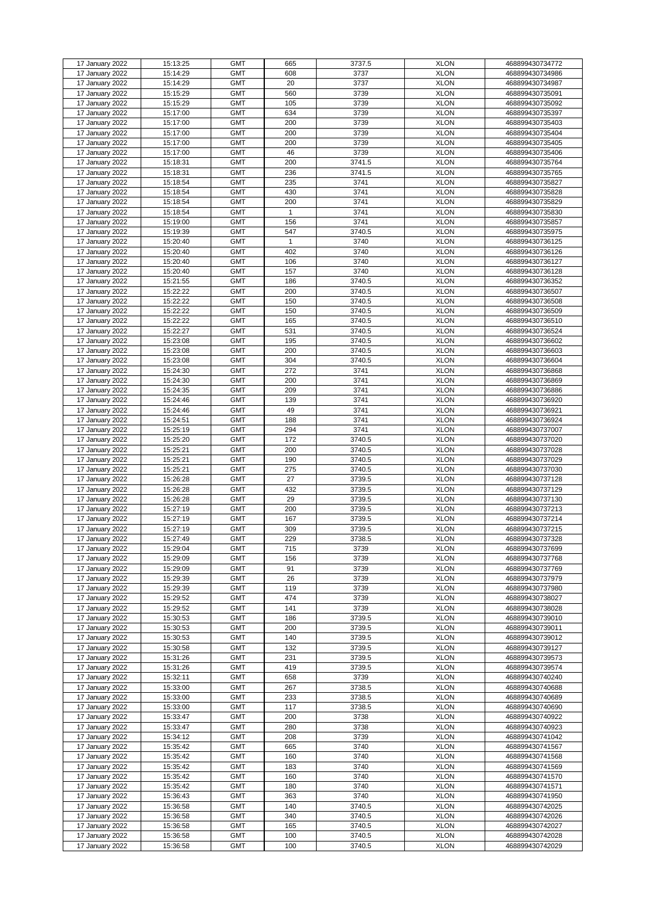|                 |          | <b>GMT</b> | 665 |        | <b>XLON</b> |                 |
|-----------------|----------|------------|-----|--------|-------------|-----------------|
| 17 January 2022 | 15:13:25 |            |     | 3737.5 |             | 468899430734772 |
| 17 January 2022 | 15:14:29 | <b>GMT</b> | 608 | 3737   | <b>XLON</b> | 468899430734986 |
| 17 January 2022 | 15:14:29 | <b>GMT</b> | 20  | 3737   | <b>XLON</b> | 468899430734987 |
| 17 January 2022 | 15:15:29 | <b>GMT</b> | 560 | 3739   | <b>XLON</b> | 468899430735091 |
| 17 January 2022 | 15:15:29 | <b>GMT</b> | 105 | 3739   | <b>XLON</b> | 468899430735092 |
| 17 January 2022 | 15:17:00 | <b>GMT</b> | 634 | 3739   | <b>XLON</b> | 468899430735397 |
|                 |          |            |     |        |             |                 |
| 17 January 2022 | 15:17:00 | <b>GMT</b> | 200 | 3739   | <b>XLON</b> | 468899430735403 |
| 17 January 2022 | 15:17:00 | <b>GMT</b> | 200 | 3739   | <b>XLON</b> | 468899430735404 |
| 17 January 2022 | 15:17:00 | <b>GMT</b> | 200 | 3739   | <b>XLON</b> | 468899430735405 |
| 17 January 2022 | 15:17:00 | <b>GMT</b> | 46  | 3739   | <b>XLON</b> | 468899430735406 |
|                 |          | <b>GMT</b> | 200 |        | <b>XLON</b> |                 |
| 17 January 2022 | 15:18:31 |            |     | 3741.5 |             | 468899430735764 |
| 17 January 2022 | 15:18:31 | <b>GMT</b> | 236 | 3741.5 | <b>XLON</b> | 468899430735765 |
| 17 January 2022 | 15:18:54 | <b>GMT</b> | 235 | 3741   | <b>XLON</b> | 468899430735827 |
| 17 January 2022 | 15:18:54 | <b>GMT</b> | 430 | 3741   | <b>XLON</b> | 468899430735828 |
| 17 January 2022 | 15:18:54 | <b>GMT</b> | 200 | 3741   | <b>XLON</b> | 468899430735829 |
| 17 January 2022 | 15:18:54 | <b>GMT</b> | 1   | 3741   | <b>XLON</b> | 468899430735830 |
|                 |          |            |     |        |             |                 |
| 17 January 2022 | 15:19:00 | <b>GMT</b> | 156 | 3741   | <b>XLON</b> | 468899430735857 |
| 17 January 2022 | 15:19:39 | <b>GMT</b> | 547 | 3740.5 | <b>XLON</b> | 468899430735975 |
| 17 January 2022 | 15:20:40 | <b>GMT</b> | 1   | 3740   | <b>XLON</b> | 468899430736125 |
| 17 January 2022 | 15:20:40 | <b>GMT</b> | 402 | 3740   | <b>XLON</b> | 468899430736126 |
| 17 January 2022 | 15:20:40 | <b>GMT</b> | 106 | 3740   | <b>XLON</b> | 468899430736127 |
|                 |          |            |     |        |             |                 |
| 17 January 2022 | 15:20:40 | <b>GMT</b> | 157 | 3740   | <b>XLON</b> | 468899430736128 |
| 17 January 2022 | 15:21:55 | <b>GMT</b> | 186 | 3740.5 | <b>XLON</b> | 468899430736352 |
| 17 January 2022 | 15:22:22 | <b>GMT</b> | 200 | 3740.5 | <b>XLON</b> | 468899430736507 |
| 17 January 2022 | 15:22:22 | <b>GMT</b> | 150 | 3740.5 | <b>XLON</b> | 468899430736508 |
| 17 January 2022 | 15:22:22 | <b>GMT</b> | 150 | 3740.5 | <b>XLON</b> | 468899430736509 |
|                 |          |            |     |        |             |                 |
| 17 January 2022 | 15:22:22 | <b>GMT</b> | 165 | 3740.5 | <b>XLON</b> | 468899430736510 |
| 17 January 2022 | 15:22:27 | <b>GMT</b> | 531 | 3740.5 | <b>XLON</b> | 468899430736524 |
| 17 January 2022 | 15:23:08 | <b>GMT</b> | 195 | 3740.5 | <b>XLON</b> | 468899430736602 |
| 17 January 2022 | 15:23:08 | <b>GMT</b> | 200 | 3740.5 | <b>XLON</b> | 468899430736603 |
| 17 January 2022 | 15:23:08 | <b>GMT</b> | 304 | 3740.5 | <b>XLON</b> | 468899430736604 |
|                 |          |            |     |        |             |                 |
| 17 January 2022 | 15:24:30 | <b>GMT</b> | 272 | 3741   | <b>XLON</b> | 468899430736868 |
| 17 January 2022 | 15:24:30 | <b>GMT</b> | 200 | 3741   | <b>XLON</b> | 468899430736869 |
| 17 January 2022 | 15:24:35 | <b>GMT</b> | 209 | 3741   | <b>XLON</b> | 468899430736886 |
| 17 January 2022 | 15:24:46 | <b>GMT</b> | 139 | 3741   | <b>XLON</b> | 468899430736920 |
| 17 January 2022 | 15:24:46 | <b>GMT</b> | 49  | 3741   | <b>XLON</b> | 468899430736921 |
|                 |          |            |     |        |             |                 |
| 17 January 2022 | 15:24:51 | <b>GMT</b> | 188 | 3741   | <b>XLON</b> | 468899430736924 |
| 17 January 2022 | 15:25:19 | <b>GMT</b> | 294 | 3741   | <b>XLON</b> | 468899430737007 |
| 17 January 2022 | 15:25:20 | <b>GMT</b> | 172 | 3740.5 | <b>XLON</b> | 468899430737020 |
| 17 January 2022 | 15:25:21 | <b>GMT</b> | 200 | 3740.5 | <b>XLON</b> | 468899430737028 |
| 17 January 2022 | 15:25:21 | <b>GMT</b> | 190 | 3740.5 | <b>XLON</b> | 468899430737029 |
|                 |          |            |     |        |             |                 |
| 17 January 2022 | 15:25:21 | <b>GMT</b> | 275 | 3740.5 | <b>XLON</b> | 468899430737030 |
| 17 January 2022 | 15:26:28 | <b>GMT</b> | 27  | 3739.5 | <b>XLON</b> | 468899430737128 |
| 17 January 2022 | 15:26:28 | <b>GMT</b> | 432 | 3739.5 | <b>XLON</b> | 468899430737129 |
| 17 January 2022 | 15:26:28 | <b>GMT</b> | 29  | 3739.5 | <b>XLON</b> | 468899430737130 |
| 17 January 2022 | 15:27:19 | <b>GMT</b> | 200 | 3739.5 | <b>XLON</b> | 468899430737213 |
|                 |          | <b>GMT</b> |     |        |             |                 |
| 17 January 2022 | 15:27:19 |            | 167 | 3739.5 | <b>XLON</b> | 468899430737214 |
| 17 January 2022 | 15:27:19 | <b>GMT</b> | 309 | 3739.5 | <b>XLON</b> | 468899430737215 |
| 17 January 2022 | 15:27:49 | <b>GMT</b> | 229 | 3738.5 | <b>XLON</b> | 468899430737328 |
| 17 January 2022 | 15:29:04 | <b>GMT</b> | 715 | 3739   | <b>XLON</b> | 468899430737699 |
| 17 January 2022 | 15:29:09 | <b>GMT</b> | 156 | 3739   | <b>XLON</b> | 468899430737768 |
| 17 January 2022 | 15:29:09 | <b>GMT</b> | 91  | 3739   | <b>XLON</b> | 468899430737769 |
|                 |          |            |     |        |             |                 |
| 17 January 2022 | 15:29:39 | <b>GMT</b> | 26  | 3739   | <b>XLON</b> | 468899430737979 |
| 17 January 2022 | 15:29:39 | <b>GMT</b> | 119 | 3739   | <b>XLON</b> | 468899430737980 |
| 17 January 2022 | 15:29:52 | <b>GMT</b> | 474 | 3739   | <b>XLON</b> | 468899430738027 |
| 17 January 2022 | 15:29:52 | <b>GMT</b> | 141 | 3739   | <b>XLON</b> | 468899430738028 |
| 17 January 2022 | 15:30:53 | <b>GMT</b> | 186 | 3739.5 | <b>XLON</b> | 468899430739010 |
| 17 January 2022 | 15:30:53 | <b>GMT</b> | 200 | 3739.5 | <b>XLON</b> | 468899430739011 |
|                 |          |            |     |        |             |                 |
| 17 January 2022 | 15:30:53 | <b>GMT</b> | 140 | 3739.5 | <b>XLON</b> | 468899430739012 |
| 17 January 2022 | 15:30:58 | <b>GMT</b> | 132 | 3739.5 | <b>XLON</b> | 468899430739127 |
| 17 January 2022 | 15:31:26 | <b>GMT</b> | 231 | 3739.5 | <b>XLON</b> | 468899430739573 |
| 17 January 2022 | 15:31:26 | <b>GMT</b> | 419 | 3739.5 | <b>XLON</b> | 468899430739574 |
| 17 January 2022 | 15:32:11 | <b>GMT</b> | 658 | 3739   | <b>XLON</b> | 468899430740240 |
|                 | 15:33:00 | <b>GMT</b> | 267 | 3738.5 | <b>XLON</b> | 468899430740688 |
| 17 January 2022 |          |            |     |        |             |                 |
| 17 January 2022 | 15:33:00 | <b>GMT</b> | 233 | 3738.5 | <b>XLON</b> | 468899430740689 |
| 17 January 2022 | 15:33:00 | <b>GMT</b> | 117 | 3738.5 | <b>XLON</b> | 468899430740690 |
| 17 January 2022 | 15:33:47 | <b>GMT</b> | 200 | 3738   | <b>XLON</b> | 468899430740922 |
| 17 January 2022 | 15:33:47 | <b>GMT</b> | 280 | 3738   | <b>XLON</b> | 468899430740923 |
| 17 January 2022 | 15:34:12 | <b>GMT</b> | 208 | 3739   | <b>XLON</b> | 468899430741042 |
|                 |          |            |     |        |             |                 |
| 17 January 2022 | 15:35:42 | <b>GMT</b> | 665 | 3740   | <b>XLON</b> | 468899430741567 |
| 17 January 2022 | 15:35:42 | <b>GMT</b> | 160 | 3740   | <b>XLON</b> | 468899430741568 |
| 17 January 2022 | 15:35:42 | <b>GMT</b> | 183 | 3740   | <b>XLON</b> | 468899430741569 |
| 17 January 2022 | 15:35:42 | <b>GMT</b> | 160 | 3740   | <b>XLON</b> | 468899430741570 |
| 17 January 2022 | 15:35:42 | <b>GMT</b> | 180 | 3740   | <b>XLON</b> | 468899430741571 |
| 17 January 2022 |          | <b>GMT</b> | 363 | 3740   | <b>XLON</b> |                 |
|                 | 15:36:43 |            |     |        |             | 468899430741950 |
| 17 January 2022 | 15:36:58 | <b>GMT</b> | 140 | 3740.5 | <b>XLON</b> | 468899430742025 |
| 17 January 2022 | 15:36:58 | <b>GMT</b> | 340 | 3740.5 | <b>XLON</b> | 468899430742026 |
| 17 January 2022 | 15:36:58 | <b>GMT</b> | 165 | 3740.5 | <b>XLON</b> | 468899430742027 |
| 17 January 2022 | 15:36:58 | <b>GMT</b> | 100 | 3740.5 | <b>XLON</b> | 468899430742028 |
|                 | 15:36:58 | <b>GMT</b> | 100 | 3740.5 | <b>XLON</b> | 468899430742029 |
| 17 January 2022 |          |            |     |        |             |                 |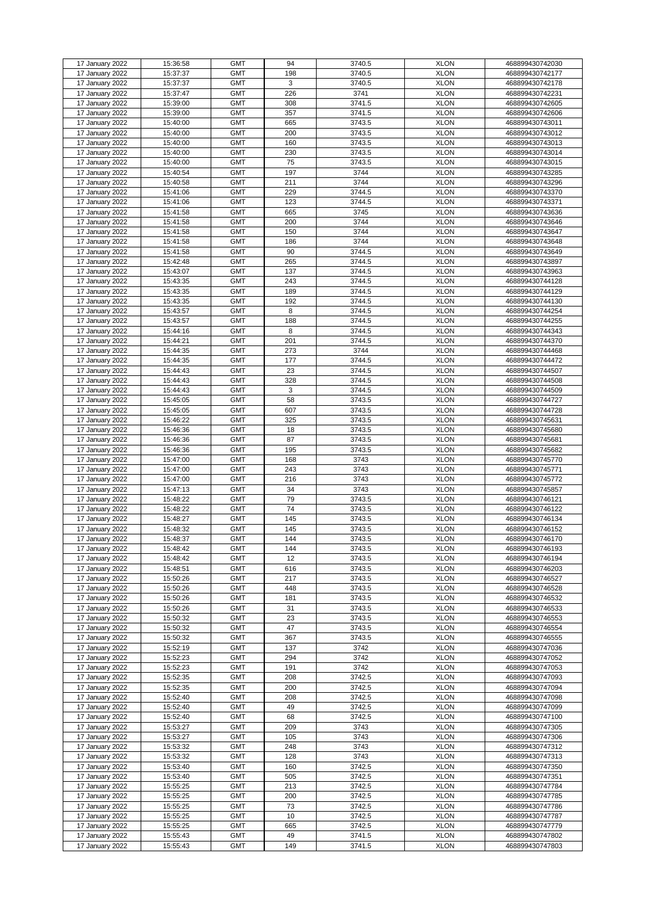| 17 January 2022                    | 15:36:58             | <b>GMT</b>               | 94        | 3740.5           | <b>XLON</b>                | 468899430742030                    |
|------------------------------------|----------------------|--------------------------|-----------|------------------|----------------------------|------------------------------------|
| 17 January 2022                    | 15:37:37             | <b>GMT</b>               | 198       | 3740.5           | <b>XLON</b>                | 468899430742177                    |
|                                    |                      |                          |           |                  |                            |                                    |
| 17 January 2022                    | 15:37:37             | <b>GMT</b>               | 3         | 3740.5           | <b>XLON</b>                | 468899430742178                    |
| 17 January 2022                    | 15:37:47             | <b>GMT</b>               | 226       | 3741             | <b>XLON</b>                | 468899430742231                    |
| 17 January 2022                    | 15:39:00             | <b>GMT</b>               | 308       | 3741.5           | <b>XLON</b>                | 468899430742605                    |
|                                    |                      |                          |           |                  |                            |                                    |
| 17 January 2022                    | 15:39:00             | <b>GMT</b>               | 357       | 3741.5           | <b>XLON</b>                | 468899430742606                    |
| 17 January 2022                    | 15:40:00             | <b>GMT</b>               | 665       | 3743.5           | <b>XLON</b>                | 468899430743011                    |
| 17 January 2022                    | 15:40:00             | <b>GMT</b>               | 200       | 3743.5           | <b>XLON</b>                | 468899430743012                    |
|                                    |                      |                          |           |                  |                            |                                    |
| 17 January 2022                    | 15:40:00             | <b>GMT</b>               | 160       | 3743.5           | <b>XLON</b>                | 468899430743013                    |
| 17 January 2022                    | 15:40:00             | <b>GMT</b>               | 230       | 3743.5           | <b>XLON</b>                | 468899430743014                    |
|                                    |                      |                          |           |                  |                            |                                    |
| 17 January 2022                    | 15:40:00             | <b>GMT</b>               | 75        | 3743.5           | <b>XLON</b>                | 468899430743015                    |
| 17 January 2022                    | 15:40:54             | <b>GMT</b>               | 197       | 3744             | <b>XLON</b>                | 468899430743285                    |
| 17 January 2022                    | 15:40:58             | <b>GMT</b>               | 211       | 3744             | <b>XLON</b>                | 468899430743296                    |
|                                    |                      |                          |           |                  |                            |                                    |
| 17 January 2022                    | 15:41:06             | <b>GMT</b>               | 229       | 3744.5           | <b>XLON</b>                | 468899430743370                    |
| 17 January 2022                    | 15:41:06             | <b>GMT</b>               | 123       | 3744.5           | <b>XLON</b>                | 468899430743371                    |
| 17 January 2022                    | 15:41:58             | <b>GMT</b>               | 665       | 3745             | <b>XLON</b>                | 468899430743636                    |
|                                    |                      |                          |           |                  |                            |                                    |
| 17 January 2022                    | 15:41:58             | <b>GMT</b>               | 200       | 3744             | <b>XLON</b>                | 468899430743646                    |
| $\overline{17}$ January 2022       | 15:41:58             | <b>GMT</b>               | 150       | 3744             | <b>XLON</b>                | 468899430743647                    |
|                                    |                      |                          |           | 3744             |                            | 468899430743648                    |
| 17 January 2022                    | 15:41:58             | <b>GMT</b>               | 186       |                  | <b>XLON</b>                |                                    |
| 17 January 2022                    | 15:41:58             | <b>GMT</b>               | 90        | 3744.5           | <b>XLON</b>                | 468899430743649                    |
| 17 January 2022                    | 15:42:48             | <b>GMT</b>               | 265       | 3744.5           | <b>XLON</b>                | 468899430743897                    |
|                                    |                      |                          |           |                  |                            |                                    |
| 17 January 2022                    | 15:43:07             | <b>GMT</b>               | 137       | 3744.5           | <b>XLON</b>                | 468899430743963                    |
| 17 January 2022                    | 15:43:35             | <b>GMT</b>               | 243       | 3744.5           | <b>XLON</b>                | 468899430744128                    |
| 17 January 2022                    | 15:43:35             | <b>GMT</b>               | 189       | 3744.5           | <b>XLON</b>                | 468899430744129                    |
|                                    |                      |                          |           |                  |                            |                                    |
| 17 January 2022                    | 15:43:35             | <b>GMT</b>               | 192       | 3744.5           | <b>XLON</b>                | 468899430744130                    |
| 17 January 2022                    | 15:43:57             | <b>GMT</b>               | 8         | 3744.5           | <b>XLON</b>                | 468899430744254                    |
|                                    |                      |                          |           |                  |                            |                                    |
| 17 January 2022                    | 15:43:57             | <b>GMT</b>               | 188       | 3744.5           | <b>XLON</b>                | 468899430744255                    |
| 17 January 2022                    | 15:44:16             | <b>GMT</b>               | 8         | 3744.5           | <b>XLON</b>                | 468899430744343                    |
| 17 January 2022                    | 15:44:21             | <b>GMT</b>               | 201       | 3744.5           | <b>XLON</b>                | 468899430744370                    |
|                                    |                      |                          |           |                  |                            |                                    |
| 17 January 2022                    | 15:44:35             | <b>GMT</b>               | 273       | 3744             | <b>XLON</b>                | 468899430744468                    |
| 17 January 2022                    | 15:44:35             | <b>GMT</b>               | 177       | 3744.5           | <b>XLON</b>                | 468899430744472                    |
|                                    |                      |                          |           |                  |                            |                                    |
| $\overline{17}$ January 2022       | 15:44:43             | <b>GMT</b>               | 23        | 3744.5           | <b>XLON</b>                | 468899430744507                    |
| 17 January 2022                    | 15:44:43             | <b>GMT</b>               | 328       | 3744.5           | <b>XLON</b>                | 468899430744508                    |
| 17 January 2022                    | 15:44:43             | <b>GMT</b>               | 3         | 3744.5           | <b>XLON</b>                | 468899430744509                    |
|                                    |                      |                          |           |                  |                            |                                    |
| 17 January 2022                    | 15:45:05             | <b>GMT</b>               | 58        | 3743.5           | <b>XLON</b>                | 468899430744727                    |
| 17 January 2022                    | 15:45:05             | <b>GMT</b>               | 607       | 3743.5           | <b>XLON</b>                | 468899430744728                    |
| 17 January 2022                    | 15:46:22             | <b>GMT</b>               | 325       | 3743.5           | <b>XLON</b>                | 468899430745631                    |
|                                    |                      |                          |           |                  |                            |                                    |
| 17 January 2022                    | 15:46:36             | <b>GMT</b>               | 18        | 3743.5           | <b>XLON</b>                | 468899430745680                    |
| 17 January 2022                    | 15:46:36             | <b>GMT</b>               | 87        | 3743.5           | <b>XLON</b>                | 468899430745681                    |
|                                    |                      |                          |           |                  |                            |                                    |
| 17 January 2022                    | 15:46:36             | <b>GMT</b>               | 195       | 3743.5           | <b>XLON</b>                | 468899430745682                    |
| 17 January 2022                    | 15:47:00             | <b>GMT</b>               | 168       | 3743             | <b>XLON</b>                | 468899430745770                    |
| 17 January 2022                    | 15:47:00             | <b>GMT</b>               | 243       | 3743             | <b>XLON</b>                | 468899430745771                    |
|                                    |                      |                          |           |                  |                            |                                    |
| 17 January 2022                    | 15:47:00             | <b>GMT</b>               | 216       | 3743             | <b>XLON</b>                | 468899430745772                    |
| 17 January 2022                    | 15:47:13             | <b>GMT</b>               | 34        | 3743             | <b>XLON</b>                | 468899430745857                    |
| 17 January 2022                    | 15:48:22             | <b>GMT</b>               | 79        | 3743.5           | <b>XLON</b>                | 468899430746121                    |
|                                    |                      |                          |           |                  |                            |                                    |
| 17 January 2022                    | 15:48:22             | <b>GMT</b>               | 74        | 3743.5           | <b>XLON</b>                | 468899430746122                    |
| 17 January 2022                    | 15:48:27             | <b>GMT</b>               | 145       | 3743.5           | <b>XLON</b>                | 468899430746134                    |
|                                    |                      |                          |           |                  |                            |                                    |
| 17 January 2022                    | 15:48:32             | <b>GMT</b>               | 145       | 3743.5           | <b>XLON</b>                | 468899430746152                    |
| 17 January 2022                    | 15:48:37             | <b>GMT</b>               | 144       | 3743.5           | <b>XLON</b>                | 468899430746170                    |
| 17 January 2022                    | 15:48:42             | <b>GMT</b>               | 144       | 3743.5           | <b>XLON</b>                | 468899430746193                    |
|                                    |                      |                          |           |                  |                            |                                    |
| 17 January 2022                    | 15:48:42             | <b>GMT</b>               | 12        | 3743.5           | <b>XLON</b>                | 468899430746194                    |
| 17 January 2022                    | 15:48:51             | <b>GMT</b>               | 616       | 3743.5           | <b>XLON</b>                | 468899430746203                    |
| 17 January 2022                    | 15:50:26             | <b>GMT</b>               | 217       | 3743.5           | <b>XLON</b>                | 468899430746527                    |
|                                    |                      |                          |           |                  |                            |                                    |
| 17 January 2022                    | 15:50:26             | <b>GMT</b>               | 448       | 3743.5           | <b>XLON</b>                | 468899430746528                    |
| 17 January 2022                    | 15:50:26             | <b>GMT</b>               | 181       | 3743.5           | <b>XLON</b>                | 468899430746532                    |
| 17 January 2022                    | 15:50:26             | <b>GMT</b>               | 31        | 3743.5           | <b>XLON</b>                | 468899430746533                    |
|                                    |                      |                          |           |                  |                            |                                    |
| 17 January 2022                    | 15:50:32             | <b>GMT</b>               | 23        | 3743.5           | <b>XLON</b>                | 468899430746553                    |
| 17 January 2022                    | 15:50:32             | <b>GMT</b>               | 47        | 3743.5           | <b>XLON</b>                | 468899430746554                    |
| 17 January 2022                    | 15:50:32             | <b>GMT</b>               | 367       | 3743.5           | <b>XLON</b>                | 468899430746555                    |
|                                    |                      |                          |           |                  |                            |                                    |
| 17 January 2022                    | 15:52:19             | <b>GMT</b>               | 137       | 3742             | <b>XLON</b>                | 468899430747036                    |
| 17 January 2022                    | 15:52:23             | <b>GMT</b>               | 294       | 3742             | <b>XLON</b>                | 468899430747052                    |
| 17 January 2022                    | 15:52:23             | <b>GMT</b>               | 191       | 3742             | <b>XLON</b>                | 468899430747053                    |
|                                    |                      |                          |           |                  |                            |                                    |
| 17 January 2022                    | 15:52:35             | <b>GMT</b>               | 208       | 3742.5           | <b>XLON</b>                | 468899430747093                    |
| 17 January 2022                    | 15:52:35             | <b>GMT</b>               | 200       | 3742.5           | <b>XLON</b>                | 468899430747094                    |
| 17 January 2022                    | 15:52:40             | <b>GMT</b>               | 208       | 3742.5           | <b>XLON</b>                | 468899430747098                    |
|                                    |                      |                          |           |                  |                            |                                    |
| 17 January 2022                    | 15:52:40             | <b>GMT</b>               | 49        | 3742.5           | <b>XLON</b>                | 468899430747099                    |
| 17 January 2022                    | 15:52:40             | <b>GMT</b>               | 68        | 3742.5           | <b>XLON</b>                | 468899430747100                    |
|                                    |                      |                          |           |                  |                            | 468899430747305                    |
| 17 January 2022                    | 15:53:27             | <b>GMT</b>               | 209       | 3743             | <b>XLON</b>                |                                    |
| 17 January 2022                    | 15:53:27             | <b>GMT</b>               | 105       | 3743             | <b>XLON</b>                | 468899430747306                    |
| 17 January 2022                    | 15:53:32             | <b>GMT</b>               | 248       | 3743             | <b>XLON</b>                | 468899430747312                    |
|                                    |                      |                          |           |                  |                            |                                    |
| 17 January 2022                    | 15:53:32             | <b>GMT</b>               | 128       | 3743             | <b>XLON</b>                | 468899430747313                    |
| 17 January 2022                    | 15:53:40             | <b>GMT</b>               | 160       | 3742.5           | <b>XLON</b>                | 468899430747350                    |
| 17 January 2022                    | 15:53:40             | <b>GMT</b>               | 505       | 3742.5           | <b>XLON</b>                | 468899430747351                    |
|                                    |                      |                          |           |                  | <b>XLON</b>                |                                    |
| 17 January 2022                    |                      |                          |           | 3742.5           |                            | 468899430747784                    |
|                                    | 15:55:25             | <b>GMT</b>               | 213       |                  |                            |                                    |
| 17 January 2022                    | 15:55:25             | <b>GMT</b>               | 200       | 3742.5           | <b>XLON</b>                | 468899430747785                    |
|                                    |                      |                          |           |                  |                            |                                    |
| 17 January 2022                    | 15:55:25             | <b>GMT</b>               | 73        | 3742.5           | <b>XLON</b>                | 468899430747786                    |
| 17 January 2022                    | 15:55:25             | <b>GMT</b>               | 10        | 3742.5           | <b>XLON</b>                | 468899430747787                    |
|                                    |                      |                          |           |                  |                            |                                    |
| 17 January 2022                    | 15:55:25             | <b>GMT</b>               | 665       | 3742.5           | <b>XLON</b>                | 468899430747779                    |
| 17 January 2022<br>17 January 2022 | 15:55:43<br>15:55:43 | <b>GMT</b><br><b>GMT</b> | 49<br>149 | 3741.5<br>3741.5 | <b>XLON</b><br><b>XLON</b> | 468899430747802<br>468899430747803 |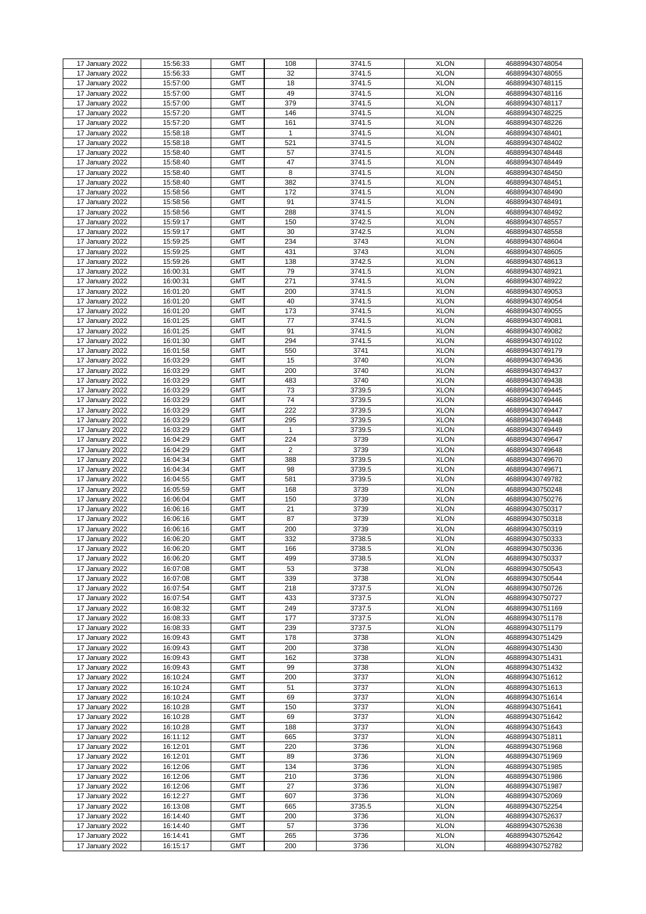| 17 January 2022 | 15:56:33 | <b>GMT</b> | 108            | 3741.5 | <b>XLON</b> | 468899430748054 |
|-----------------|----------|------------|----------------|--------|-------------|-----------------|
| 17 January 2022 | 15:56:33 | <b>GMT</b> | 32             | 3741.5 | <b>XLON</b> | 468899430748055 |
|                 |          |            |                |        |             |                 |
| 17 January 2022 | 15:57:00 | <b>GMT</b> | 18             | 3741.5 | <b>XLON</b> | 468899430748115 |
| 17 January 2022 | 15:57:00 | <b>GMT</b> | 49             | 3741.5 | <b>XLON</b> | 468899430748116 |
|                 |          |            |                |        |             |                 |
| 17 January 2022 | 15:57:00 | <b>GMT</b> | 379            | 3741.5 | <b>XLON</b> | 468899430748117 |
| 17 January 2022 | 15:57:20 | <b>GMT</b> | 146            | 3741.5 | <b>XLON</b> | 468899430748225 |
|                 |          |            |                |        |             |                 |
| 17 January 2022 | 15:57:20 | <b>GMT</b> | 161            | 3741.5 | <b>XLON</b> | 468899430748226 |
| 17 January 2022 | 15:58:18 | <b>GMT</b> | 1              | 3741.5 | <b>XLON</b> | 468899430748401 |
|                 |          |            |                |        |             |                 |
| 17 January 2022 | 15:58:18 | <b>GMT</b> | 521            | 3741.5 | <b>XLON</b> | 468899430748402 |
| 17 January 2022 | 15:58:40 | <b>GMT</b> | 57             | 3741.5 | <b>XLON</b> | 468899430748448 |
|                 |          |            |                |        |             |                 |
| 17 January 2022 | 15:58:40 | <b>GMT</b> | 47             | 3741.5 | <b>XLON</b> | 468899430748449 |
| 17 January 2022 | 15:58:40 | <b>GMT</b> | 8              | 3741.5 | <b>XLON</b> | 468899430748450 |
|                 |          |            |                |        |             |                 |
| 17 January 2022 | 15:58:40 | <b>GMT</b> | 382            | 3741.5 | <b>XLON</b> | 468899430748451 |
| 17 January 2022 | 15:58:56 | <b>GMT</b> | 172            | 3741.5 | <b>XLON</b> | 468899430748490 |
|                 |          |            |                |        |             |                 |
| 17 January 2022 | 15:58:56 | <b>GMT</b> | 91             | 3741.5 | <b>XLON</b> | 468899430748491 |
| 17 January 2022 | 15:58:56 | <b>GMT</b> | 288            | 3741.5 | <b>XLON</b> | 468899430748492 |
|                 |          |            |                |        |             |                 |
| 17 January 2022 | 15:59:17 | <b>GMT</b> | 150            | 3742.5 | <b>XLON</b> | 468899430748557 |
| 17 January 2022 | 15:59:17 | <b>GMT</b> | 30             | 3742.5 | <b>XLON</b> | 468899430748558 |
|                 |          | <b>GMT</b> | 234            | 3743   | <b>XLON</b> | 468899430748604 |
| 17 January 2022 | 15:59:25 |            |                |        |             |                 |
| 17 January 2022 | 15:59:25 | <b>GMT</b> | 431            | 3743   | <b>XLON</b> | 468899430748605 |
|                 |          | <b>GMT</b> | 138            | 3742.5 | <b>XLON</b> |                 |
| 17 January 2022 | 15:59:26 |            |                |        |             | 468899430748613 |
| 17 January 2022 | 16:00:31 | <b>GMT</b> | 79             | 3741.5 | <b>XLON</b> | 468899430748921 |
| 17 January 2022 | 16:00:31 | <b>GMT</b> | 271            | 3741.5 | <b>XLON</b> | 468899430748922 |
|                 |          |            |                |        |             |                 |
| 17 January 2022 | 16:01:20 | <b>GMT</b> | 200            | 3741.5 | <b>XLON</b> | 468899430749053 |
| 17 January 2022 | 16:01:20 | <b>GMT</b> | 40             | 3741.5 | <b>XLON</b> | 468899430749054 |
|                 |          |            |                |        |             |                 |
| 17 January 2022 | 16:01:20 | <b>GMT</b> | 173            | 3741.5 | <b>XLON</b> | 468899430749055 |
| 17 January 2022 | 16:01:25 | <b>GMT</b> | 77             | 3741.5 | <b>XLON</b> | 468899430749081 |
|                 |          |            |                |        |             |                 |
| 17 January 2022 | 16:01:25 | <b>GMT</b> | 91             | 3741.5 | <b>XLON</b> | 468899430749082 |
| 17 January 2022 | 16:01:30 | <b>GMT</b> | 294            | 3741.5 | <b>XLON</b> | 468899430749102 |
|                 |          |            |                |        |             |                 |
| 17 January 2022 | 16:01:58 | <b>GMT</b> | 550            | 3741   | <b>XLON</b> | 468899430749179 |
| 17 January 2022 | 16:03:29 | <b>GMT</b> | 15             | 3740   | <b>XLON</b> | 468899430749436 |
|                 |          | <b>GMT</b> |                |        | <b>XLON</b> |                 |
| 17 January 2022 | 16:03:29 |            | 200            | 3740   |             | 468899430749437 |
| 17 January 2022 | 16:03:29 | <b>GMT</b> | 483            | 3740   | <b>XLON</b> | 468899430749438 |
| 17 January 2022 | 16:03:29 | <b>GMT</b> | 73             | 3739.5 | <b>XLON</b> | 468899430749445 |
|                 |          |            |                |        |             |                 |
| 17 January 2022 | 16:03:29 | <b>GMT</b> | 74             | 3739.5 | <b>XLON</b> | 468899430749446 |
| 17 January 2022 | 16:03:29 | <b>GMT</b> | 222            | 3739.5 | <b>XLON</b> | 468899430749447 |
|                 |          |            |                |        |             |                 |
| 17 January 2022 | 16:03:29 | <b>GMT</b> | 295            | 3739.5 | <b>XLON</b> | 468899430749448 |
| 17 January 2022 | 16:03:29 | <b>GMT</b> | $\mathbf 1$    | 3739.5 | <b>XLON</b> | 468899430749449 |
|                 |          |            |                |        |             |                 |
| 17 January 2022 | 16:04:29 | <b>GMT</b> | 224            | 3739   | <b>XLON</b> | 468899430749647 |
| 17 January 2022 | 16:04:29 | <b>GMT</b> | $\overline{2}$ | 3739   | <b>XLON</b> | 468899430749648 |
|                 |          |            |                |        |             |                 |
| 17 January 2022 | 16:04:34 | <b>GMT</b> | 388            | 3739.5 | <b>XLON</b> | 468899430749670 |
| 17 January 2022 | 16:04:34 | <b>GMT</b> | 98             | 3739.5 | <b>XLON</b> | 468899430749671 |
|                 |          | <b>GMT</b> |                | 3739.5 | <b>XLON</b> | 468899430749782 |
| 17 January 2022 | 16:04:55 |            | 581            |        |             |                 |
| 17 January 2022 | 16:05:59 | <b>GMT</b> | 168            | 3739   | <b>XLON</b> | 468899430750248 |
| 17 January 2022 | 16:06:04 | <b>GMT</b> | 150            | 3739   | <b>XLON</b> | 468899430750276 |
|                 |          |            |                |        |             |                 |
| 17 January 2022 | 16:06:16 | <b>GMT</b> | 21             | 3739   | <b>XLON</b> | 468899430750317 |
| 17 January 2022 | 16:06:16 | <b>GMT</b> | 87             | 3739   | <b>XLON</b> | 468899430750318 |
|                 |          |            |                |        |             |                 |
| 17 January 2022 | 16:06:16 | <b>GMT</b> | 200            | 3739   | <b>XLON</b> | 468899430750319 |
| 17 January 2022 | 16:06:20 | <b>GMT</b> | 332            | 3738.5 | <b>XLON</b> | 468899430750333 |
|                 |          |            |                |        |             |                 |
| 17 January 2022 | 16:06:20 | <b>GMT</b> | 166            | 3738.5 | <b>XLON</b> | 468899430750336 |
| 17 January 2022 | 16:06:20 | <b>GMT</b> | 499            | 3738.5 | <b>XLON</b> | 468899430750337 |
| 17 January 2022 | 16:07:08 | <b>GMT</b> | 53             | 3738   | <b>XLON</b> | 468899430750543 |
|                 |          |            |                |        |             |                 |
| 17 January 2022 | 16:07:08 | <b>GMT</b> | 339            | 3738   | <b>XLON</b> | 468899430750544 |
| 17 January 2022 | 16:07:54 | <b>GMT</b> | 218            | 3737.5 | <b>XLON</b> | 468899430750726 |
|                 |          |            |                |        |             |                 |
| 17 January 2022 | 16:07:54 | <b>GMT</b> | 433            | 3737.5 | <b>XLON</b> | 468899430750727 |
| 17 January 2022 | 16:08:32 | <b>GMT</b> | 249            | 3737.5 | <b>XLON</b> | 468899430751169 |
|                 | 16:08:33 | <b>GMT</b> | 177            | 3737.5 | <b>XLON</b> |                 |
| 17 January 2022 |          |            |                |        |             | 468899430751178 |
| 17 January 2022 | 16:08:33 | <b>GMT</b> | 239            | 3737.5 | <b>XLON</b> | 468899430751179 |
| 17 January 2022 | 16:09:43 | <b>GMT</b> | 178            | 3738   | <b>XLON</b> | 468899430751429 |
|                 |          |            |                |        |             |                 |
| 17 January 2022 | 16:09:43 | <b>GMT</b> | 200            | 3738   | <b>XLON</b> | 468899430751430 |
| 17 January 2022 | 16:09:43 | <b>GMT</b> | 162            | 3738   | <b>XLON</b> | 468899430751431 |
|                 |          |            |                |        |             |                 |
| 17 January 2022 | 16:09:43 | <b>GMT</b> | 99             | 3738   | <b>XLON</b> | 468899430751432 |
| 17 January 2022 | 16:10:24 | <b>GMT</b> | 200            | 3737   | <b>XLON</b> | 468899430751612 |
|                 | 16:10:24 | <b>GMT</b> | 51             | 3737   | <b>XLON</b> |                 |
| 17 January 2022 |          |            |                |        |             | 468899430751613 |
| 17 January 2022 | 16:10:24 | <b>GMT</b> | 69             | 3737   | <b>XLON</b> | 468899430751614 |
| 17 January 2022 | 16:10:28 | <b>GMT</b> | 150            | 3737   | <b>XLON</b> | 468899430751641 |
|                 |          |            |                |        |             |                 |
| 17 January 2022 | 16:10:28 | <b>GMT</b> | 69             | 3737   | <b>XLON</b> | 468899430751642 |
| 17 January 2022 | 16:10:28 | <b>GMT</b> | 188            | 3737   | <b>XLON</b> | 468899430751643 |
|                 |          |            |                |        |             |                 |
| 17 January 2022 | 16:11:12 | <b>GMT</b> | 665            | 3737   | <b>XLON</b> | 468899430751811 |
| 17 January 2022 | 16:12:01 | <b>GMT</b> | 220            | 3736   | <b>XLON</b> | 468899430751968 |
|                 |          |            |                |        |             |                 |
| 17 January 2022 | 16:12:01 | <b>GMT</b> | 89             | 3736   | <b>XLON</b> | 468899430751969 |
| 17 January 2022 | 16:12:06 | <b>GMT</b> | 134            | 3736   | <b>XLON</b> | 468899430751985 |
| 17 January 2022 | 16:12:06 | <b>GMT</b> | 210            | 3736   | <b>XLON</b> | 468899430751986 |
|                 |          |            |                |        |             |                 |
| 17 January 2022 | 16:12:06 | <b>GMT</b> | 27             | 3736   | <b>XLON</b> | 468899430751987 |
| 17 January 2022 | 16:12:27 | <b>GMT</b> | 607            | 3736   | <b>XLON</b> | 468899430752069 |
|                 |          |            |                |        |             |                 |
| 17 January 2022 | 16:13:08 | <b>GMT</b> | 665            | 3735.5 | <b>XLON</b> | 468899430752254 |
| 17 January 2022 | 16:14:40 | <b>GMT</b> | 200            | 3736   | <b>XLON</b> | 468899430752637 |
|                 |          |            |                |        |             |                 |
| 17 January 2022 | 16:14:40 | <b>GMT</b> | 57             | 3736   | <b>XLON</b> | 468899430752638 |
| 17 January 2022 | 16:14:41 | <b>GMT</b> | 265            | 3736   | <b>XLON</b> | 468899430752642 |
|                 |          | <b>GMT</b> | 200            | 3736   | <b>XLON</b> | 468899430752782 |
| 17 January 2022 | 16:15:17 |            |                |        |             |                 |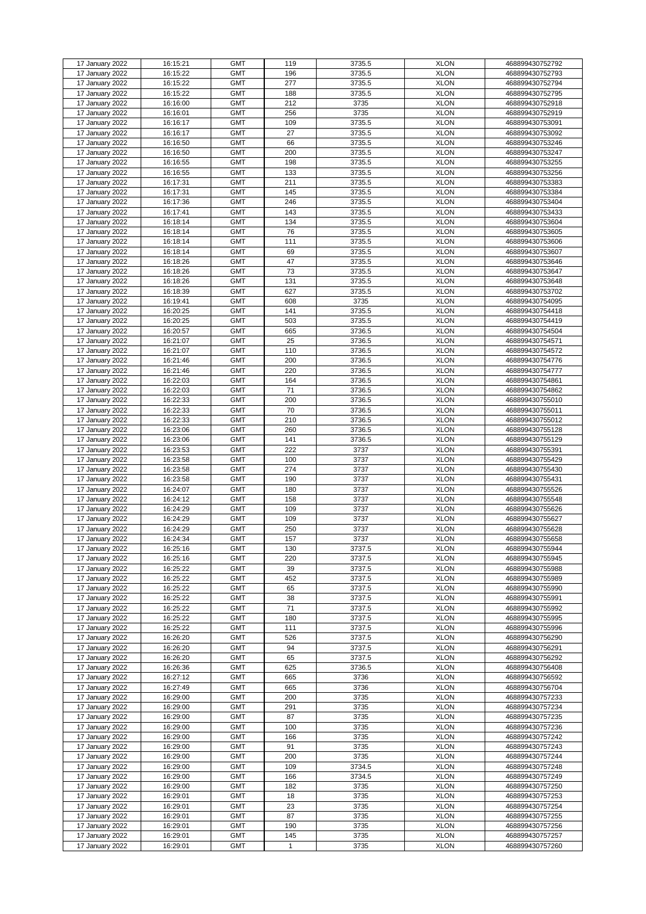|                                    |                      | <b>GMT</b>               | 119                 | 3735.5       | <b>XLON</b>                | 468899430752792                    |
|------------------------------------|----------------------|--------------------------|---------------------|--------------|----------------------------|------------------------------------|
| 17 January 2022                    | 16:15:21             |                          |                     |              |                            |                                    |
| 17 January 2022                    | 16:15:22             | <b>GMT</b>               | 196                 | 3735.5       | <b>XLON</b>                | 468899430752793                    |
| 17 January 2022                    | 16:15:22             | <b>GMT</b>               | 277                 | 3735.5       | <b>XLON</b>                | 468899430752794                    |
| 17 January 2022                    | 16:15:22             | <b>GMT</b>               | 188                 | 3735.5       | <b>XLON</b>                | 468899430752795                    |
| 17 January 2022                    | 16:16:00             | <b>GMT</b>               | 212                 | 3735         | <b>XLON</b>                | 468899430752918                    |
|                                    | 16:16:01             | <b>GMT</b>               | 256                 | 3735         | <b>XLON</b>                | 468899430752919                    |
| 17 January 2022                    |                      |                          |                     |              |                            |                                    |
| 17 January 2022                    | 16:16:17             | <b>GMT</b>               | 109                 | 3735.5       | <b>XLON</b>                | 468899430753091                    |
| 17 January 2022                    | 16:16:17             | <b>GMT</b>               | 27                  | 3735.5       | <b>XLON</b>                | 468899430753092                    |
| 17 January 2022                    | 16:16:50             | <b>GMT</b>               | 66                  | 3735.5       | <b>XLON</b>                | 468899430753246                    |
| 17 January 2022                    | 16:16:50             | <b>GMT</b>               | 200                 | 3735.5       | <b>XLON</b>                | 468899430753247                    |
|                                    | 16:16:55             | <b>GMT</b>               |                     |              | <b>XLON</b>                |                                    |
| 17 January 2022                    |                      |                          | 198                 | 3735.5       |                            | 468899430753255                    |
| 17 January 2022                    | 16:16:55             | <b>GMT</b>               | 133                 | 3735.5       | <b>XLON</b>                | 468899430753256                    |
| 17 January 2022                    | 16:17:31             | <b>GMT</b>               | 211                 | 3735.5       | <b>XLON</b>                | 468899430753383                    |
| 17 January 2022                    | 16:17:31             | <b>GMT</b>               | 145                 | 3735.5       | <b>XLON</b>                | 468899430753384                    |
| 17 January 2022                    | 16:17:36             | <b>GMT</b>               | 246                 | 3735.5       | <b>XLON</b>                | 468899430753404                    |
| 17 January 2022                    | 16:17:41             | <b>GMT</b>               | 143                 | 3735.5       | <b>XLON</b>                | 468899430753433                    |
|                                    |                      |                          |                     |              |                            |                                    |
| 17 January 2022                    | 16:18:14             | <b>GMT</b>               | 134                 | 3735.5       | <b>XLON</b>                | 468899430753604                    |
| 17 January 2022                    | 16:18:14             | <b>GMT</b>               | 76                  | 3735.5       | <b>XLON</b>                | 468899430753605                    |
| 17 January 2022                    | 16:18:14             | <b>GMT</b>               | 111                 | 3735.5       | <b>XLON</b>                | 468899430753606                    |
| 17 January 2022                    | 16:18:14             | <b>GMT</b>               | 69                  | 3735.5       | <b>XLON</b>                | 468899430753607                    |
| 17 January 2022                    | 16:18:26             | <b>GMT</b>               | 47                  | 3735.5       | <b>XLON</b>                | 468899430753646                    |
|                                    |                      | <b>GMT</b>               | 73                  | 3735.5       | <b>XLON</b>                | 468899430753647                    |
| 17 January 2022                    | 16:18:26             |                          |                     |              |                            |                                    |
| 17 January 2022                    | 16:18:26             | <b>GMT</b>               | 131                 | 3735.5       | <b>XLON</b>                | 468899430753648                    |
| 17 January 2022                    | 16:18:39             | <b>GMT</b>               | 627                 | 3735.5       | <b>XLON</b>                | 468899430753702                    |
| 17 January 2022                    | 16:19:41             | <b>GMT</b>               | 608                 | 3735         | <b>XLON</b>                | 468899430754095                    |
| 17 January 2022                    | 16:20:25             | <b>GMT</b>               | 141                 | 3735.5       | <b>XLON</b>                | 468899430754418                    |
| 17 January 2022                    | 16:20:25             | <b>GMT</b>               | 503                 | 3735.5       | <b>XLON</b>                | 468899430754419                    |
|                                    |                      |                          |                     |              |                            |                                    |
| 17 January 2022                    | 16:20:57             | <b>GMT</b>               | 665                 | 3736.5       | <b>XLON</b>                | 468899430754504                    |
| 17 January 2022                    | 16:21:07             | <b>GMT</b>               | 25                  | 3736.5       | <b>XLON</b>                | 468899430754571                    |
| 17 January 2022                    | 16:21:07             | <b>GMT</b>               | 110                 | 3736.5       | <b>XLON</b>                | 468899430754572                    |
| 17 January 2022                    | 16:21:46             | <b>GMT</b>               | 200                 | 3736.5       | <b>XLON</b>                | 468899430754776                    |
| 17 January 2022                    | 16:21:46             | <b>GMT</b>               | 220                 | 3736.5       | <b>XLON</b>                | 468899430754777                    |
|                                    |                      |                          |                     |              |                            |                                    |
| 17 January 2022                    | 16:22:03             | <b>GMT</b>               | 164                 | 3736.5       | <b>XLON</b>                | 468899430754861                    |
| 17 January 2022                    | 16:22:03             | <b>GMT</b>               | 71                  | 3736.5       | <b>XLON</b>                | 468899430754862                    |
| 17 January 2022                    | 16:22:33             | <b>GMT</b>               | 200                 | 3736.5       | <b>XLON</b>                | 468899430755010                    |
| 17 January 2022                    | 16:22:33             | <b>GMT</b>               | 70                  | 3736.5       | <b>XLON</b>                | 468899430755011                    |
| 17 January 2022                    | 16:22:33             | <b>GMT</b>               | 210                 | 3736.5       | <b>XLON</b>                | 468899430755012                    |
|                                    |                      | <b>GMT</b>               | 260                 |              | <b>XLON</b>                |                                    |
| 17 January 2022                    | 16:23:06             |                          |                     | 3736.5       |                            | 468899430755128                    |
| 17 January 2022                    | 16:23:06             | <b>GMT</b>               | 141                 | 3736.5       | <b>XLON</b>                | 468899430755129                    |
| 17 January 2022                    | 16:23:53             | <b>GMT</b>               | 222                 | 3737         | <b>XLON</b>                | 468899430755391                    |
| 17 January 2022                    | 16:23:58             | <b>GMT</b>               | 100                 | 3737         | <b>XLON</b>                | 468899430755429                    |
| 17 January 2022                    | 16:23:58             | <b>GMT</b>               | 274                 | 3737         | <b>XLON</b>                | 468899430755430                    |
|                                    | 16:23:58             | <b>GMT</b>               | 190                 | 3737         | <b>XLON</b>                | 468899430755431                    |
| 17 January 2022                    |                      |                          |                     |              |                            |                                    |
| 17 January 2022                    | 16:24:07             | <b>GMT</b>               | 180                 | 3737         | <b>XLON</b>                | 468899430755526                    |
| 17 January 2022                    | 16:24:12             | <b>GMT</b>               | 158                 | 3737         | <b>XLON</b>                | 468899430755548                    |
| 17 January 2022                    | 16:24:29             | <b>GMT</b>               | 109                 | 3737         | <b>XLON</b>                | 468899430755626                    |
| 17 January 2022                    | 16:24:29             | <b>GMT</b>               | 109                 | 3737         | <b>XLON</b>                | 468899430755627                    |
| 17 January 2022                    | 16:24:29             | <b>GMT</b>               | 250                 | 3737         | <b>XLON</b>                | 468899430755628                    |
|                                    |                      |                          |                     |              |                            |                                    |
| 17 January 2022                    | 16:24:34             | <b>GMT</b>               | 157                 | 3737         | <b>XLON</b>                | 468899430755658                    |
| 17 January 2022                    | 16:25:16             | <b>GMT</b>               | 130                 | 3737.5       | <b>XLON</b>                | 468899430755944                    |
| 17 January 2022                    | 16:25:16             | <b>GMT</b>               | 220                 | 3737.5       | <b>XLON</b>                | 468899430755945                    |
| 17 January 2022                    | 16:25:22             | <b>GMT</b>               | 39                  | 3737.5       | <b>XLON</b>                | 468899430755988                    |
| 17 January 2022                    | 16:25:22             | <b>GMT</b>               | 452                 | 3737.5       | <b>XLON</b>                | 468899430755989                    |
| 17 January 2022                    | 16:25:22             | <b>GMT</b>               | 65                  | 3737.5       | <b>XLON</b>                |                                    |
|                                    |                      |                          |                     |              |                            | 468899430755990                    |
| 17 January 2022                    | 16:25:22             | <b>GMT</b>               | 38                  | 3737.5       | <b>XLON</b>                | 468899430755991                    |
| 17 January 2022                    | 16:25:22             | <b>GMT</b>               | 71                  | 3737.5       | <b>XLON</b>                | 468899430755992                    |
| 17 January 2022                    | 16:25:22             | <b>GMT</b>               | 180                 | 3737.5       | <b>XLON</b>                | 468899430755995                    |
| 17 January 2022                    | 16:25:22             | <b>GMT</b>               | 111                 | 3737.5       | <b>XLON</b>                | 468899430755996                    |
| 17 January 2022                    | 16:26:20             | <b>GMT</b>               | 526                 | 3737.5       | <b>XLON</b>                | 468899430756290                    |
| 17 January 2022                    | 16:26:20             | <b>GMT</b>               | 94                  | 3737.5       | <b>XLON</b>                | 468899430756291                    |
| 17 January 2022                    |                      | <b>GMT</b>               |                     |              | <b>XLON</b>                |                                    |
|                                    | 16:26:20             |                          | 65                  | 3737.5       |                            | 468899430756292                    |
| 17 January 2022                    | 16:26:36             | <b>GMT</b>               | 625                 | 3736.5       | <b>XLON</b>                | 468899430756408                    |
| 17 January 2022                    | 16:27:12             | <b>GMT</b>               | 665                 | 3736         | <b>XLON</b>                | 468899430756592                    |
| 17 January 2022                    | 16:27:49             | <b>GMT</b>               | 665                 | 3736         | <b>XLON</b>                | 468899430756704                    |
| 17 January 2022                    | 16:29:00             | <b>GMT</b>               | 200                 | 3735         | <b>XLON</b>                | 468899430757233                    |
| 17 January 2022                    | 16:29:00             | <b>GMT</b>               | 291                 | 3735         | <b>XLON</b>                | 468899430757234                    |
| 17 January 2022                    | 16:29:00             | <b>GMT</b>               | 87                  | 3735         | <b>XLON</b>                | 468899430757235                    |
|                                    |                      |                          |                     |              |                            |                                    |
| 17 January 2022                    | 16:29:00             | <b>GMT</b>               | 100                 | 3735         | <b>XLON</b>                | 468899430757236                    |
| 17 January 2022                    | 16:29:00             | <b>GMT</b>               | 166                 | 3735         | <b>XLON</b>                | 468899430757242                    |
| 17 January 2022                    | 16:29:00             | <b>GMT</b>               | 91                  | 3735         | <b>XLON</b>                | 468899430757243                    |
| 17 January 2022                    | 16:29:00             | <b>GMT</b>               | 200                 | 3735         | <b>XLON</b>                | 468899430757244                    |
| 17 January 2022                    | 16:29:00             | <b>GMT</b>               | 109                 | 3734.5       | <b>XLON</b>                | 468899430757248                    |
| 17 January 2022                    |                      | <b>GMT</b>               | 166                 | 3734.5       | <b>XLON</b>                |                                    |
|                                    | 16:29:00             |                          |                     |              |                            | 468899430757249                    |
| 17 January 2022                    | 16:29:00             | <b>GMT</b>               | 182                 | 3735         | <b>XLON</b>                | 468899430757250                    |
| 17 January 2022                    | 16:29:01             | <b>GMT</b>               | 18                  | 3735         | <b>XLON</b>                | 468899430757253                    |
| 17 January 2022                    | 16:29:01             | <b>GMT</b>               | 23                  | 3735         | <b>XLON</b>                | 468899430757254                    |
| 17 January 2022                    | 16:29:01             | <b>GMT</b>               | 87                  | 3735         | <b>XLON</b>                | 468899430757255                    |
| 17 January 2022                    |                      |                          | 190                 | 3735         | <b>XLON</b>                | 468899430757256                    |
|                                    |                      |                          |                     |              |                            |                                    |
|                                    | 16:29:01             | <b>GMT</b>               |                     |              |                            |                                    |
| 17 January 2022<br>17 January 2022 | 16:29:01<br>16:29:01 | <b>GMT</b><br><b>GMT</b> | 145<br>$\mathbf{1}$ | 3735<br>3735 | <b>XLON</b><br><b>XLON</b> | 468899430757257<br>468899430757260 |